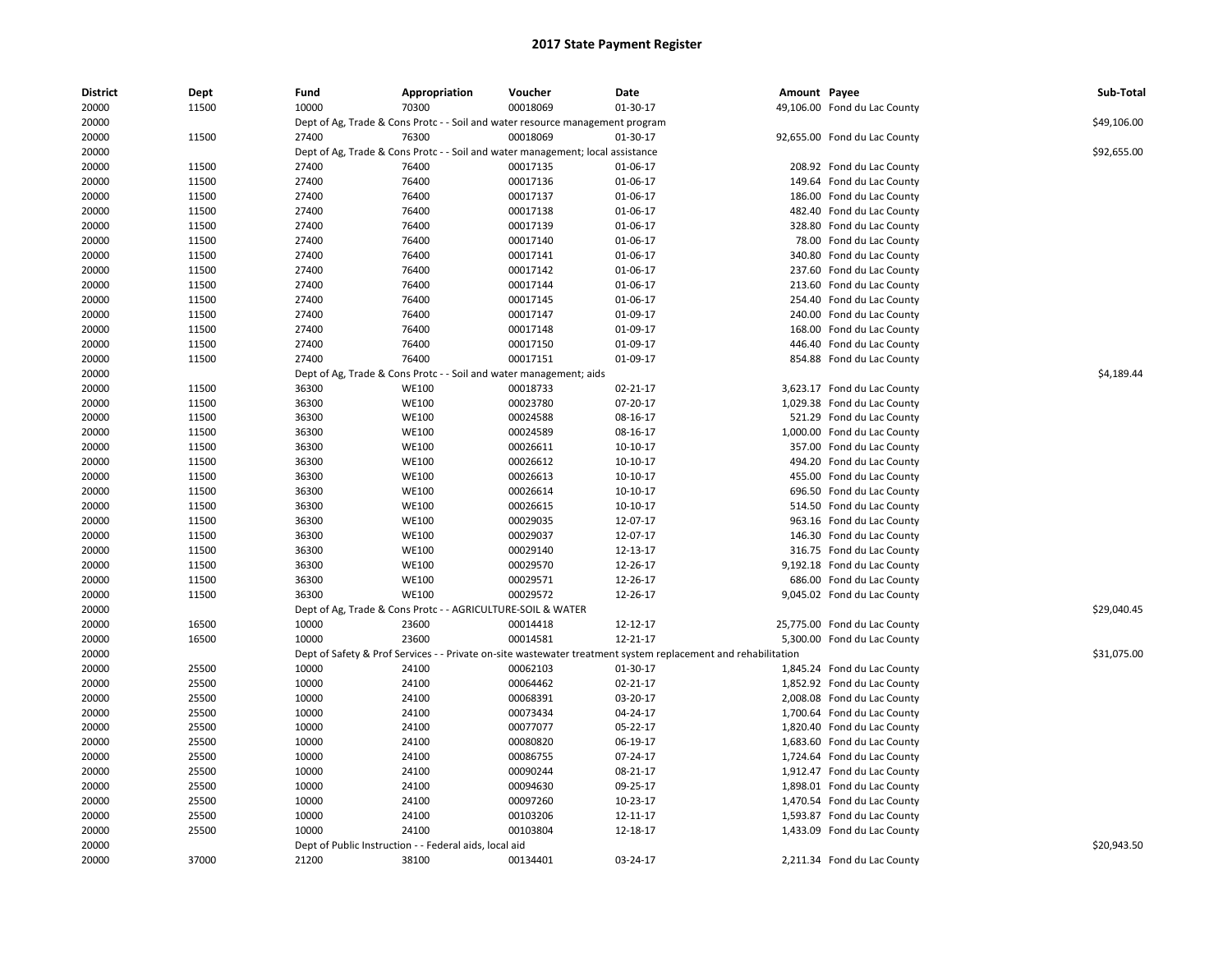| <b>District</b> | Dept  | Fund  | Appropriation                                                                  | Voucher  | Date                                                                                                          | Amount Payee |                              | Sub-Total   |
|-----------------|-------|-------|--------------------------------------------------------------------------------|----------|---------------------------------------------------------------------------------------------------------------|--------------|------------------------------|-------------|
| 20000           | 11500 | 10000 | 70300                                                                          | 00018069 | 01-30-17                                                                                                      |              | 49,106.00 Fond du Lac County |             |
| 20000           |       |       | Dept of Ag, Trade & Cons Protc - - Soil and water resource management program  |          |                                                                                                               |              |                              | \$49,106.00 |
| 20000           | 11500 | 27400 | 76300                                                                          | 00018069 | 01-30-17                                                                                                      |              | 92,655.00 Fond du Lac County |             |
| 20000           |       |       | Dept of Ag, Trade & Cons Protc - - Soil and water management; local assistance |          |                                                                                                               |              |                              | \$92,655.00 |
| 20000           | 11500 | 27400 | 76400                                                                          | 00017135 | 01-06-17                                                                                                      |              | 208.92 Fond du Lac County    |             |
| 20000           | 11500 | 27400 | 76400                                                                          | 00017136 | 01-06-17                                                                                                      |              | 149.64 Fond du Lac County    |             |
| 20000           | 11500 | 27400 | 76400                                                                          | 00017137 | 01-06-17                                                                                                      |              | 186.00 Fond du Lac County    |             |
| 20000           | 11500 | 27400 | 76400                                                                          | 00017138 | 01-06-17                                                                                                      |              | 482.40 Fond du Lac County    |             |
| 20000           | 11500 | 27400 | 76400                                                                          | 00017139 | 01-06-17                                                                                                      |              | 328.80 Fond du Lac County    |             |
| 20000           | 11500 | 27400 | 76400                                                                          | 00017140 | 01-06-17                                                                                                      |              | 78.00 Fond du Lac County     |             |
| 20000           | 11500 | 27400 | 76400                                                                          | 00017141 | 01-06-17                                                                                                      |              | 340.80 Fond du Lac County    |             |
| 20000           | 11500 | 27400 | 76400                                                                          | 00017142 | 01-06-17                                                                                                      |              | 237.60 Fond du Lac County    |             |
| 20000           | 11500 | 27400 | 76400                                                                          | 00017144 | 01-06-17                                                                                                      |              | 213.60 Fond du Lac County    |             |
| 20000           | 11500 | 27400 | 76400                                                                          | 00017145 | 01-06-17                                                                                                      |              | 254.40 Fond du Lac County    |             |
| 20000           | 11500 | 27400 | 76400                                                                          | 00017147 | 01-09-17                                                                                                      |              | 240.00 Fond du Lac County    |             |
| 20000           | 11500 | 27400 | 76400                                                                          | 00017148 | 01-09-17                                                                                                      |              | 168.00 Fond du Lac County    |             |
| 20000           | 11500 | 27400 | 76400                                                                          | 00017150 | 01-09-17                                                                                                      |              | 446.40 Fond du Lac County    |             |
| 20000           | 11500 | 27400 | 76400                                                                          | 00017151 | 01-09-17                                                                                                      |              | 854.88 Fond du Lac County    |             |
| 20000           |       |       | Dept of Ag, Trade & Cons Protc - - Soil and water management; aids             |          |                                                                                                               |              |                              | \$4,189.44  |
| 20000           | 11500 | 36300 | <b>WE100</b>                                                                   | 00018733 | 02-21-17                                                                                                      |              | 3,623.17 Fond du Lac County  |             |
| 20000           | 11500 | 36300 | <b>WE100</b>                                                                   | 00023780 | 07-20-17                                                                                                      |              | 1,029.38 Fond du Lac County  |             |
| 20000           | 11500 | 36300 | <b>WE100</b>                                                                   | 00024588 | 08-16-17                                                                                                      |              | 521.29 Fond du Lac County    |             |
| 20000           | 11500 | 36300 | <b>WE100</b>                                                                   | 00024589 | 08-16-17                                                                                                      |              | 1,000.00 Fond du Lac County  |             |
| 20000           | 11500 | 36300 | WE100                                                                          | 00026611 | 10-10-17                                                                                                      |              | 357.00 Fond du Lac County    |             |
| 20000           | 11500 | 36300 | <b>WE100</b>                                                                   | 00026612 | 10-10-17                                                                                                      |              | 494.20 Fond du Lac County    |             |
| 20000           | 11500 | 36300 | <b>WE100</b>                                                                   | 00026613 | 10-10-17                                                                                                      |              | 455.00 Fond du Lac County    |             |
| 20000           | 11500 | 36300 | <b>WE100</b>                                                                   | 00026614 | 10-10-17                                                                                                      |              | 696.50 Fond du Lac County    |             |
| 20000           | 11500 | 36300 | <b>WE100</b>                                                                   | 00026615 | 10-10-17                                                                                                      |              | 514.50 Fond du Lac County    |             |
| 20000           | 11500 | 36300 | WE100                                                                          | 00029035 | 12-07-17                                                                                                      |              | 963.16 Fond du Lac County    |             |
| 20000           | 11500 | 36300 | <b>WE100</b>                                                                   | 00029037 | 12-07-17                                                                                                      |              | 146.30 Fond du Lac County    |             |
| 20000           | 11500 | 36300 | <b>WE100</b>                                                                   | 00029140 | 12-13-17                                                                                                      |              | 316.75 Fond du Lac County    |             |
| 20000           | 11500 | 36300 | <b>WE100</b>                                                                   | 00029570 | 12-26-17                                                                                                      |              | 9,192.18 Fond du Lac County  |             |
| 20000           | 11500 | 36300 | <b>WE100</b>                                                                   | 00029571 | 12-26-17                                                                                                      |              | 686.00 Fond du Lac County    |             |
| 20000           | 11500 | 36300 | <b>WE100</b>                                                                   | 00029572 | 12-26-17                                                                                                      |              | 9,045.02 Fond du Lac County  |             |
| 20000           |       |       | Dept of Ag, Trade & Cons Protc - - AGRICULTURE-SOIL & WATER                    |          |                                                                                                               |              |                              | \$29,040.45 |
| 20000           | 16500 | 10000 | 23600                                                                          | 00014418 | 12-12-17                                                                                                      |              | 25,775.00 Fond du Lac County |             |
| 20000           | 16500 | 10000 | 23600                                                                          | 00014581 | 12-21-17                                                                                                      |              | 5,300.00 Fond du Lac County  |             |
| 20000           |       |       |                                                                                |          | Dept of Safety & Prof Services - - Private on-site wastewater treatment system replacement and rehabilitation |              |                              | \$31,075.00 |
| 20000           | 25500 | 10000 | 24100                                                                          | 00062103 | 01-30-17                                                                                                      |              | 1,845.24 Fond du Lac County  |             |
| 20000           | 25500 | 10000 | 24100                                                                          | 00064462 | 02-21-17                                                                                                      |              | 1,852.92 Fond du Lac County  |             |
| 20000           | 25500 | 10000 | 24100                                                                          | 00068391 | 03-20-17                                                                                                      |              | 2,008.08 Fond du Lac County  |             |
| 20000           | 25500 | 10000 | 24100                                                                          | 00073434 | 04-24-17                                                                                                      |              | 1,700.64 Fond du Lac County  |             |
| 20000           | 25500 | 10000 | 24100                                                                          | 00077077 | 05-22-17                                                                                                      |              | 1,820.40 Fond du Lac County  |             |
| 20000           | 25500 | 10000 | 24100                                                                          | 00080820 | 06-19-17                                                                                                      |              | 1,683.60 Fond du Lac County  |             |
| 20000           | 25500 | 10000 | 24100                                                                          | 00086755 | 07-24-17                                                                                                      |              | 1,724.64 Fond du Lac County  |             |
| 20000           | 25500 | 10000 | 24100                                                                          | 00090244 | 08-21-17                                                                                                      |              | 1,912.47 Fond du Lac County  |             |
| 20000           | 25500 | 10000 | 24100                                                                          | 00094630 | 09-25-17                                                                                                      |              | 1,898.01 Fond du Lac County  |             |
| 20000           | 25500 | 10000 | 24100                                                                          | 00097260 | 10-23-17                                                                                                      |              | 1,470.54 Fond du Lac County  |             |
| 20000           | 25500 | 10000 | 24100                                                                          | 00103206 | 12-11-17                                                                                                      |              | 1,593.87 Fond du Lac County  |             |
| 20000           | 25500 | 10000 | 24100                                                                          | 00103804 | 12-18-17                                                                                                      |              | 1,433.09 Fond du Lac County  |             |
| 20000           |       |       | Dept of Public Instruction - - Federal aids, local aid                         |          |                                                                                                               |              |                              | \$20,943.50 |
| 20000           | 37000 | 21200 | 38100                                                                          | 00134401 | 03-24-17                                                                                                      |              | 2,211.34 Fond du Lac County  |             |
|                 |       |       |                                                                                |          |                                                                                                               |              |                              |             |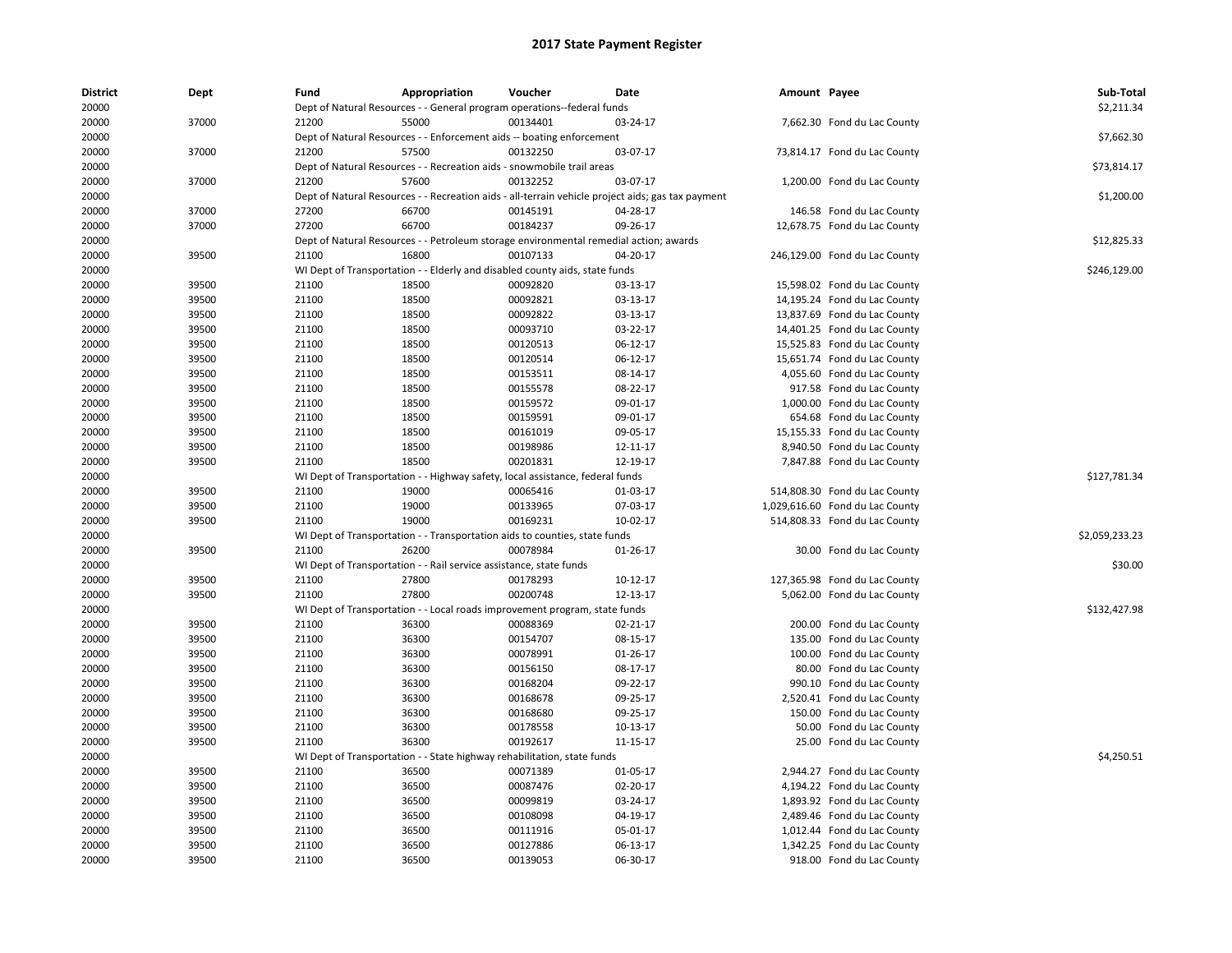| <b>District</b><br>20000 | Dept  | Fund  | Appropriation                                                                         | Voucher  | Date                                                                                              | Amount Payee |                                 | Sub-Total      |
|--------------------------|-------|-------|---------------------------------------------------------------------------------------|----------|---------------------------------------------------------------------------------------------------|--------------|---------------------------------|----------------|
|                          |       |       | Dept of Natural Resources - - General program operations--federal funds               |          |                                                                                                   |              |                                 | \$2,211.34     |
| 20000                    | 37000 | 21200 | 55000                                                                                 | 00134401 | 03-24-17                                                                                          |              | 7,662.30 Fond du Lac County     |                |
| 20000                    |       |       | Dept of Natural Resources - - Enforcement aids -- boating enforcement                 |          |                                                                                                   |              |                                 | \$7,662.30     |
| 20000                    | 37000 | 21200 | 57500                                                                                 | 00132250 | 03-07-17                                                                                          |              | 73,814.17 Fond du Lac County    |                |
| 20000                    |       |       | Dept of Natural Resources - - Recreation aids - snowmobile trail areas                |          |                                                                                                   |              |                                 | \$73,814.17    |
| 20000                    | 37000 | 21200 | 57600                                                                                 | 00132252 | 03-07-17                                                                                          |              | 1,200.00 Fond du Lac County     |                |
| 20000                    |       |       |                                                                                       |          | Dept of Natural Resources - - Recreation aids - all-terrain vehicle project aids; gas tax payment |              |                                 | \$1,200.00     |
| 20000                    | 37000 | 27200 | 66700                                                                                 | 00145191 | 04-28-17                                                                                          |              | 146.58 Fond du Lac County       |                |
| 20000                    | 37000 | 27200 | 66700                                                                                 | 00184237 | 09-26-17                                                                                          |              | 12,678.75 Fond du Lac County    |                |
| 20000                    |       |       | Dept of Natural Resources - - Petroleum storage environmental remedial action; awards |          |                                                                                                   |              |                                 | \$12,825.33    |
| 20000                    | 39500 | 21100 | 16800                                                                                 | 00107133 | 04-20-17                                                                                          |              | 246,129.00 Fond du Lac County   |                |
| 20000                    |       |       | WI Dept of Transportation - - Elderly and disabled county aids, state funds           |          |                                                                                                   |              |                                 | \$246,129.00   |
| 20000                    | 39500 | 21100 | 18500                                                                                 | 00092820 | 03-13-17                                                                                          |              | 15,598.02 Fond du Lac County    |                |
| 20000                    | 39500 | 21100 | 18500                                                                                 | 00092821 | 03-13-17                                                                                          |              | 14,195.24 Fond du Lac County    |                |
| 20000                    | 39500 | 21100 | 18500                                                                                 | 00092822 | 03-13-17                                                                                          |              | 13,837.69 Fond du Lac County    |                |
| 20000                    | 39500 | 21100 | 18500                                                                                 | 00093710 | 03-22-17                                                                                          |              | 14,401.25 Fond du Lac County    |                |
| 20000                    | 39500 | 21100 | 18500                                                                                 | 00120513 | 06-12-17                                                                                          |              | 15,525.83 Fond du Lac County    |                |
| 20000                    | 39500 | 21100 | 18500                                                                                 | 00120514 | 06-12-17                                                                                          |              | 15,651.74 Fond du Lac County    |                |
| 20000                    | 39500 | 21100 | 18500                                                                                 | 00153511 | 08-14-17                                                                                          |              | 4,055.60 Fond du Lac County     |                |
| 20000                    | 39500 | 21100 | 18500                                                                                 | 00155578 | 08-22-17                                                                                          |              | 917.58 Fond du Lac County       |                |
| 20000                    | 39500 | 21100 | 18500                                                                                 | 00159572 | 09-01-17                                                                                          |              | 1,000.00 Fond du Lac County     |                |
| 20000                    | 39500 | 21100 | 18500                                                                                 | 00159591 | 09-01-17                                                                                          |              | 654.68 Fond du Lac County       |                |
| 20000                    | 39500 | 21100 | 18500                                                                                 | 00161019 | 09-05-17                                                                                          |              | 15,155.33 Fond du Lac County    |                |
| 20000                    | 39500 | 21100 | 18500                                                                                 | 00198986 | 12-11-17                                                                                          |              | 8,940.50 Fond du Lac County     |                |
| 20000                    | 39500 | 21100 | 18500                                                                                 | 00201831 | 12-19-17                                                                                          |              | 7,847.88 Fond du Lac County     |                |
| 20000                    |       |       | WI Dept of Transportation - - Highway safety, local assistance, federal funds         |          |                                                                                                   |              |                                 | \$127,781.34   |
| 20000                    | 39500 | 21100 | 19000                                                                                 | 00065416 | 01-03-17                                                                                          |              | 514,808.30 Fond du Lac County   |                |
| 20000                    | 39500 | 21100 | 19000                                                                                 | 00133965 | 07-03-17                                                                                          |              | 1,029,616.60 Fond du Lac County |                |
| 20000                    | 39500 | 21100 | 19000                                                                                 | 00169231 | 10-02-17                                                                                          |              | 514,808.33 Fond du Lac County   |                |
| 20000                    |       |       | WI Dept of Transportation - - Transportation aids to counties, state funds            |          |                                                                                                   |              |                                 | \$2,059,233.23 |
| 20000                    | 39500 | 21100 | 26200                                                                                 | 00078984 | 01-26-17                                                                                          |              | 30.00 Fond du Lac County        |                |
| 20000                    |       |       | WI Dept of Transportation - - Rail service assistance, state funds                    |          |                                                                                                   |              |                                 | \$30.00        |
| 20000                    | 39500 | 21100 | 27800                                                                                 | 00178293 | 10-12-17                                                                                          |              | 127,365.98 Fond du Lac County   |                |
| 20000                    | 39500 | 21100 | 27800                                                                                 | 00200748 | 12-13-17                                                                                          |              | 5,062.00 Fond du Lac County     |                |
| 20000                    |       |       | WI Dept of Transportation - - Local roads improvement program, state funds            |          |                                                                                                   |              |                                 | \$132,427.98   |
| 20000                    | 39500 | 21100 | 36300                                                                                 | 00088369 | 02-21-17                                                                                          |              | 200.00 Fond du Lac County       |                |
| 20000                    | 39500 | 21100 | 36300                                                                                 | 00154707 | 08-15-17                                                                                          |              | 135.00 Fond du Lac County       |                |
| 20000                    | 39500 | 21100 | 36300                                                                                 | 00078991 | 01-26-17                                                                                          |              | 100.00 Fond du Lac County       |                |
| 20000                    | 39500 | 21100 | 36300                                                                                 | 00156150 | 08-17-17                                                                                          | 80.00        | Fond du Lac County              |                |
| 20000                    | 39500 | 21100 | 36300                                                                                 | 00168204 | 09-22-17                                                                                          |              | 990.10 Fond du Lac County       |                |
| 20000                    | 39500 | 21100 | 36300                                                                                 | 00168678 | 09-25-17                                                                                          |              | 2,520.41 Fond du Lac County     |                |
| 20000                    | 39500 | 21100 | 36300                                                                                 | 00168680 | 09-25-17                                                                                          |              | 150.00 Fond du Lac County       |                |
| 20000                    | 39500 | 21100 | 36300                                                                                 | 00178558 | 10-13-17                                                                                          |              | 50.00 Fond du Lac County        |                |
| 20000                    | 39500 | 21100 | 36300                                                                                 | 00192617 | 11-15-17                                                                                          |              | 25.00 Fond du Lac County        |                |
| 20000                    |       |       | WI Dept of Transportation - - State highway rehabilitation, state funds               |          |                                                                                                   |              |                                 | \$4,250.51     |
| 20000                    | 39500 | 21100 | 36500                                                                                 | 00071389 | 01-05-17                                                                                          |              | 2,944.27 Fond du Lac County     |                |
| 20000                    | 39500 | 21100 | 36500                                                                                 | 00087476 | 02-20-17                                                                                          |              | 4,194.22 Fond du Lac County     |                |
| 20000                    | 39500 | 21100 | 36500                                                                                 | 00099819 | 03-24-17                                                                                          |              | 1,893.92 Fond du Lac County     |                |
| 20000                    | 39500 | 21100 | 36500                                                                                 | 00108098 | 04-19-17                                                                                          |              | 2,489.46 Fond du Lac County     |                |
| 20000                    | 39500 | 21100 | 36500                                                                                 | 00111916 | 05-01-17                                                                                          |              | 1,012.44 Fond du Lac County     |                |
| 20000                    | 39500 | 21100 | 36500                                                                                 | 00127886 | 06-13-17                                                                                          |              | 1,342.25 Fond du Lac County     |                |
| 20000                    | 39500 | 21100 | 36500                                                                                 | 00139053 | 06-30-17                                                                                          |              | 918.00 Fond du Lac County       |                |
|                          |       |       |                                                                                       |          |                                                                                                   |              |                                 |                |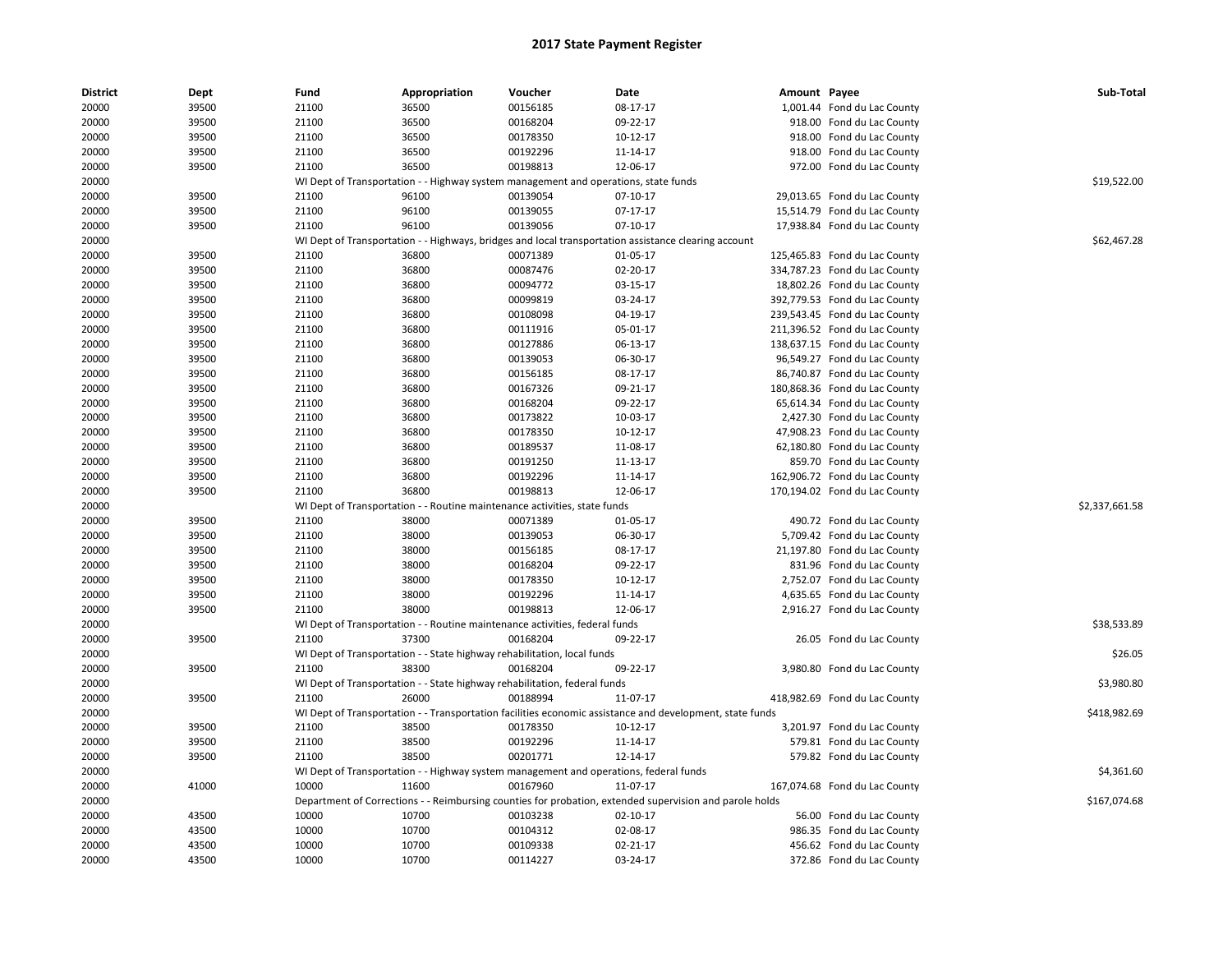| <b>District</b> | Dept           | Fund           | Appropriation | Voucher                                                                                 | <b>Date</b>                                                                                              | Amount Payee |                                                            | Sub-Total      |
|-----------------|----------------|----------------|---------------|-----------------------------------------------------------------------------------------|----------------------------------------------------------------------------------------------------------|--------------|------------------------------------------------------------|----------------|
| 20000           | 39500          | 21100          | 36500         | 00156185                                                                                | 08-17-17                                                                                                 |              | 1,001.44 Fond du Lac County                                |                |
| 20000           | 39500          | 21100          | 36500         | 00168204                                                                                | 09-22-17                                                                                                 |              | 918.00 Fond du Lac County                                  |                |
| 20000           | 39500          | 21100          | 36500         | 00178350                                                                                | 10-12-17                                                                                                 |              | 918.00 Fond du Lac County                                  |                |
| 20000           | 39500          | 21100          | 36500         | 00192296                                                                                | 11-14-17                                                                                                 |              | 918.00 Fond du Lac County                                  |                |
| 20000           | 39500          | 21100          | 36500         | 00198813                                                                                | 12-06-17                                                                                                 |              | 972.00 Fond du Lac County                                  |                |
| 20000           |                |                |               | WI Dept of Transportation - - Highway system management and operations, state funds     |                                                                                                          |              |                                                            | \$19,522.00    |
| 20000           | 39500          | 21100          | 96100         | 00139054                                                                                | 07-10-17                                                                                                 |              | 29,013.65 Fond du Lac County                               |                |
| 20000           | 39500          | 21100          | 96100         | 00139055                                                                                | 07-17-17                                                                                                 |              | 15,514.79 Fond du Lac County                               |                |
| 20000           | 39500          | 21100          | 96100         | 00139056                                                                                | 07-10-17                                                                                                 |              | 17,938.84 Fond du Lac County                               |                |
| 20000           |                |                |               |                                                                                         | WI Dept of Transportation - - Highways, bridges and local transportation assistance clearing account     |              |                                                            | \$62,467.28    |
| 20000           | 39500          | 21100          | 36800         | 00071389                                                                                | 01-05-17                                                                                                 |              | 125,465.83 Fond du Lac County                              |                |
| 20000           | 39500          | 21100          | 36800         | 00087476                                                                                | 02-20-17                                                                                                 |              | 334,787.23 Fond du Lac County                              |                |
| 20000           | 39500          | 21100          | 36800         | 00094772                                                                                | 03-15-17                                                                                                 |              | 18,802.26 Fond du Lac County                               |                |
| 20000           | 39500          | 21100          | 36800         | 00099819                                                                                | 03-24-17                                                                                                 |              | 392,779.53 Fond du Lac County                              |                |
| 20000           | 39500          | 21100          | 36800         | 00108098                                                                                | 04-19-17                                                                                                 |              | 239,543.45 Fond du Lac County                              |                |
| 20000           | 39500          | 21100          | 36800         | 00111916                                                                                | 05-01-17                                                                                                 |              | 211,396.52 Fond du Lac County                              |                |
| 20000           | 39500          | 21100          | 36800         | 00127886                                                                                | 06-13-17                                                                                                 |              | 138,637.15 Fond du Lac County                              |                |
| 20000           | 39500          | 21100          | 36800         | 00139053                                                                                | 06-30-17                                                                                                 |              | 96,549.27 Fond du Lac County                               |                |
| 20000           | 39500          | 21100          | 36800         | 00156185                                                                                | 08-17-17                                                                                                 |              | 86,740.87 Fond du Lac County                               |                |
| 20000           | 39500          | 21100          | 36800         | 00167326                                                                                | 09-21-17                                                                                                 |              | 180,868.36 Fond du Lac County                              |                |
| 20000           | 39500          | 21100          | 36800         | 00168204                                                                                | 09-22-17                                                                                                 |              | 65,614.34 Fond du Lac County                               |                |
| 20000           | 39500          | 21100          | 36800         | 00173822                                                                                | 10-03-17                                                                                                 |              | 2,427.30 Fond du Lac County                                |                |
| 20000           | 39500          | 21100          | 36800         | 00178350                                                                                | 10-12-17                                                                                                 |              | 47,908.23 Fond du Lac County                               |                |
| 20000           | 39500          | 21100          | 36800         | 00189537                                                                                | 11-08-17                                                                                                 |              | 62,180.80 Fond du Lac County                               |                |
| 20000           | 39500          | 21100          | 36800         | 00191250                                                                                | 11-13-17                                                                                                 |              | 859.70 Fond du Lac County                                  |                |
| 20000           | 39500          | 21100          | 36800         | 00192296                                                                                | 11-14-17                                                                                                 |              | 162,906.72 Fond du Lac County                              |                |
| 20000           | 39500          | 21100          | 36800         | 00198813                                                                                | 12-06-17                                                                                                 |              | 170,194.02 Fond du Lac County                              |                |
| 20000           |                |                |               | WI Dept of Transportation - - Routine maintenance activities, state funds               |                                                                                                          |              |                                                            | \$2,337,661.58 |
| 20000           | 39500          | 21100          | 38000         | 00071389                                                                                | 01-05-17                                                                                                 |              | 490.72 Fond du Lac County                                  |                |
| 20000           | 39500          | 21100          | 38000         | 00139053                                                                                | 06-30-17                                                                                                 |              | 5,709.42 Fond du Lac County                                |                |
| 20000           | 39500          | 21100          | 38000         | 00156185                                                                                | 08-17-17                                                                                                 |              | 21,197.80 Fond du Lac County                               |                |
| 20000           | 39500          | 21100          | 38000         | 00168204                                                                                | 09-22-17                                                                                                 |              | 831.96 Fond du Lac County                                  |                |
| 20000           | 39500          | 21100          | 38000         | 00178350                                                                                | 10-12-17                                                                                                 |              | 2,752.07 Fond du Lac County                                |                |
|                 |                |                | 38000         | 00192296                                                                                |                                                                                                          |              |                                                            |                |
| 20000<br>20000  | 39500<br>39500 | 21100<br>21100 | 38000         | 00198813                                                                                | 11-14-17<br>12-06-17                                                                                     |              | 4,635.65 Fond du Lac County<br>2,916.27 Fond du Lac County |                |
| 20000           |                |                |               |                                                                                         |                                                                                                          |              |                                                            | \$38,533.89    |
| 20000           | 39500          | 21100          | 37300         | WI Dept of Transportation - - Routine maintenance activities, federal funds<br>00168204 | 09-22-17                                                                                                 |              | 26.05 Fond du Lac County                                   |                |
|                 |                |                |               |                                                                                         |                                                                                                          |              |                                                            |                |
| 20000           |                |                | 38300         | WI Dept of Transportation - - State highway rehabilitation, local funds                 |                                                                                                          |              |                                                            | \$26.05        |
| 20000           | 39500          | 21100          |               | 00168204                                                                                | 09-22-17                                                                                                 |              | 3,980.80 Fond du Lac County                                |                |
| 20000           |                |                |               | WI Dept of Transportation - - State highway rehabilitation, federal funds               |                                                                                                          |              |                                                            | \$3,980.80     |
| 20000           | 39500          | 21100          | 26000         | 00188994                                                                                | 11-07-17                                                                                                 |              | 418,982.69 Fond du Lac County                              |                |
| 20000           |                |                |               |                                                                                         | WI Dept of Transportation - - Transportation facilities economic assistance and development, state funds |              |                                                            | \$418,982.69   |
| 20000           | 39500          | 21100          | 38500         | 00178350                                                                                | 10-12-17                                                                                                 |              | 3,201.97 Fond du Lac County                                |                |
| 20000           | 39500          | 21100          | 38500         | 00192296                                                                                | 11-14-17                                                                                                 |              | 579.81 Fond du Lac County                                  |                |
| 20000           | 39500          | 21100          | 38500         | 00201771                                                                                | 12-14-17                                                                                                 |              | 579.82 Fond du Lac County                                  |                |
| 20000           |                |                |               | WI Dept of Transportation - - Highway system management and operations, federal funds   |                                                                                                          |              |                                                            | \$4,361.60     |
| 20000           | 41000          | 10000          | 11600         | 00167960                                                                                | 11-07-17                                                                                                 |              | 167,074.68 Fond du Lac County                              |                |
| 20000           |                |                |               |                                                                                         | Department of Corrections - - Reimbursing counties for probation, extended supervision and parole holds  |              |                                                            | \$167,074.68   |
| 20000           | 43500          | 10000          | 10700         | 00103238                                                                                | $02 - 10 - 17$                                                                                           |              | 56.00 Fond du Lac County                                   |                |
| 20000           | 43500          | 10000          | 10700         | 00104312                                                                                | 02-08-17                                                                                                 |              | 986.35 Fond du Lac County                                  |                |
| 20000           | 43500          | 10000          | 10700         | 00109338                                                                                | 02-21-17                                                                                                 |              | 456.62 Fond du Lac County                                  |                |
| 20000           | 43500          | 10000          | 10700         | 00114227                                                                                | 03-24-17                                                                                                 |              | 372.86 Fond du Lac County                                  |                |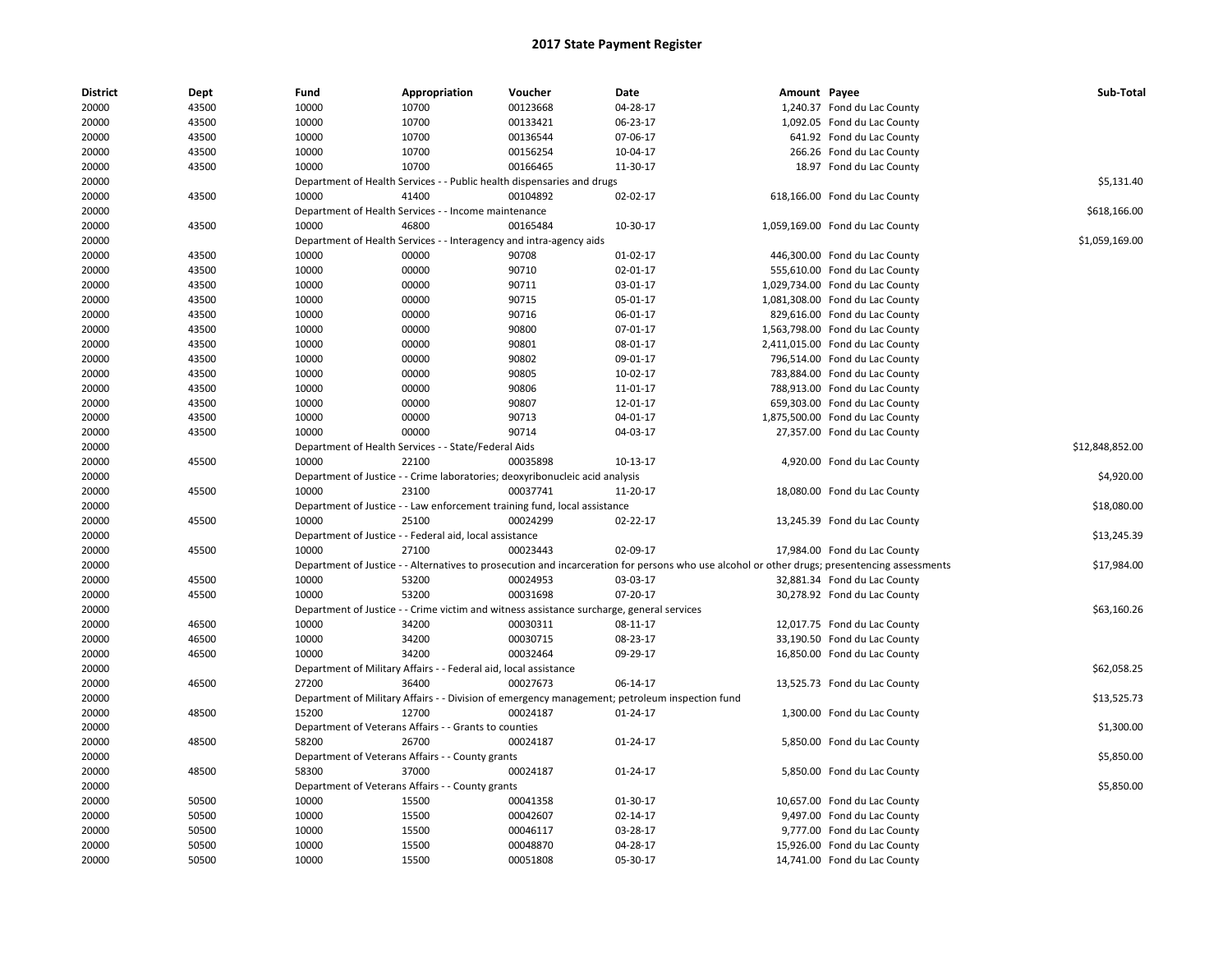| <b>District</b> | Dept  | Fund  | Appropriation                                                       | Voucher                                                                                   | Date                                                                                                                                          | Amount Payee |                                 | Sub-Total       |
|-----------------|-------|-------|---------------------------------------------------------------------|-------------------------------------------------------------------------------------------|-----------------------------------------------------------------------------------------------------------------------------------------------|--------------|---------------------------------|-----------------|
| 20000           | 43500 | 10000 | 10700                                                               | 00123668                                                                                  | 04-28-17                                                                                                                                      |              | 1,240.37 Fond du Lac County     |                 |
| 20000           | 43500 | 10000 | 10700                                                               | 00133421                                                                                  | 06-23-17                                                                                                                                      |              | 1,092.05 Fond du Lac County     |                 |
| 20000           | 43500 | 10000 | 10700                                                               | 00136544                                                                                  | 07-06-17                                                                                                                                      |              | 641.92 Fond du Lac County       |                 |
| 20000           | 43500 | 10000 | 10700                                                               | 00156254                                                                                  | 10-04-17                                                                                                                                      |              | 266.26 Fond du Lac County       |                 |
| 20000           | 43500 | 10000 | 10700                                                               | 00166465                                                                                  | 11-30-17                                                                                                                                      |              | 18.97 Fond du Lac County        |                 |
| 20000           |       |       |                                                                     | Department of Health Services - - Public health dispensaries and drugs                    |                                                                                                                                               |              |                                 | \$5,131.40      |
| 20000           | 43500 | 10000 | 41400                                                               | 00104892                                                                                  | 02-02-17                                                                                                                                      |              | 618,166.00 Fond du Lac County   |                 |
| 20000           |       |       | Department of Health Services - - Income maintenance                |                                                                                           |                                                                                                                                               |              |                                 | \$618,166.00    |
| 20000           | 43500 | 10000 | 46800                                                               | 00165484                                                                                  | 10-30-17                                                                                                                                      |              | 1,059,169.00 Fond du Lac County |                 |
| 20000           |       |       | Department of Health Services - - Interagency and intra-agency aids |                                                                                           |                                                                                                                                               |              |                                 | \$1,059,169.00  |
| 20000           | 43500 | 10000 | 00000                                                               | 90708                                                                                     | $01-02-17$                                                                                                                                    |              | 446,300.00 Fond du Lac County   |                 |
| 20000           | 43500 | 10000 | 00000                                                               | 90710                                                                                     | 02-01-17                                                                                                                                      |              | 555,610.00 Fond du Lac County   |                 |
| 20000           | 43500 | 10000 | 00000                                                               | 90711                                                                                     | 03-01-17                                                                                                                                      |              | 1,029,734.00 Fond du Lac County |                 |
| 20000           | 43500 | 10000 | 00000                                                               | 90715                                                                                     | 05-01-17                                                                                                                                      |              | 1,081,308.00 Fond du Lac County |                 |
| 20000           | 43500 | 10000 | 00000                                                               | 90716                                                                                     | 06-01-17                                                                                                                                      |              | 829,616.00 Fond du Lac County   |                 |
| 20000           | 43500 | 10000 | 00000                                                               | 90800                                                                                     | 07-01-17                                                                                                                                      |              | 1,563,798.00 Fond du Lac County |                 |
| 20000           | 43500 | 10000 | 00000                                                               | 90801                                                                                     | 08-01-17                                                                                                                                      |              | 2,411,015.00 Fond du Lac County |                 |
| 20000           | 43500 | 10000 | 00000                                                               | 90802                                                                                     | 09-01-17                                                                                                                                      |              | 796,514.00 Fond du Lac County   |                 |
| 20000           | 43500 | 10000 | 00000                                                               | 90805                                                                                     | 10-02-17                                                                                                                                      |              | 783,884.00 Fond du Lac County   |                 |
| 20000           | 43500 | 10000 | 00000                                                               | 90806                                                                                     | 11-01-17                                                                                                                                      |              | 788,913.00 Fond du Lac County   |                 |
| 20000           | 43500 | 10000 | 00000                                                               | 90807                                                                                     | 12-01-17                                                                                                                                      |              | 659,303.00 Fond du Lac County   |                 |
| 20000           | 43500 | 10000 | 00000                                                               | 90713                                                                                     | 04-01-17                                                                                                                                      |              | 1,875,500.00 Fond du Lac County |                 |
| 20000           | 43500 | 10000 | 00000                                                               | 90714                                                                                     | 04-03-17                                                                                                                                      |              | 27,357.00 Fond du Lac County    |                 |
| 20000           |       |       | Department of Health Services - - State/Federal Aids                |                                                                                           |                                                                                                                                               |              |                                 | \$12,848,852.00 |
| 20000           | 45500 | 10000 | 22100                                                               | 00035898                                                                                  | 10-13-17                                                                                                                                      |              | 4,920.00 Fond du Lac County     |                 |
| 20000           |       |       |                                                                     | Department of Justice - - Crime laboratories; deoxyribonucleic acid analysis              |                                                                                                                                               |              |                                 | \$4,920.00      |
| 20000           | 45500 | 10000 | 23100                                                               | 00037741                                                                                  | 11-20-17                                                                                                                                      |              | 18,080.00 Fond du Lac County    |                 |
| 20000           |       |       |                                                                     | Department of Justice - - Law enforcement training fund, local assistance                 |                                                                                                                                               |              |                                 | \$18,080.00     |
| 20000           | 45500 | 10000 | 25100                                                               | 00024299                                                                                  | $02 - 22 - 17$                                                                                                                                |              | 13,245.39 Fond du Lac County    |                 |
| 20000           |       |       | Department of Justice - - Federal aid, local assistance             |                                                                                           |                                                                                                                                               |              |                                 | \$13,245.39     |
| 20000           | 45500 | 10000 | 27100                                                               | 00023443                                                                                  | 02-09-17                                                                                                                                      |              | 17,984.00 Fond du Lac County    |                 |
| 20000           |       |       |                                                                     |                                                                                           | Department of Justice - - Alternatives to prosecution and incarceration for persons who use alcohol or other drugs; presentencing assessments |              |                                 | \$17,984.00     |
| 20000           | 45500 | 10000 | 53200                                                               | 00024953                                                                                  | 03-03-17                                                                                                                                      |              | 32,881.34 Fond du Lac County    |                 |
| 20000           | 45500 | 10000 | 53200                                                               | 00031698                                                                                  | 07-20-17                                                                                                                                      |              | 30,278.92 Fond du Lac County    |                 |
| 20000           |       |       |                                                                     | Department of Justice - - Crime victim and witness assistance surcharge, general services |                                                                                                                                               |              |                                 | \$63,160.26     |
| 20000           | 46500 | 10000 | 34200                                                               | 00030311                                                                                  | 08-11-17                                                                                                                                      |              | 12,017.75 Fond du Lac County    |                 |
| 20000           | 46500 | 10000 | 34200                                                               | 00030715                                                                                  | 08-23-17                                                                                                                                      |              | 33,190.50 Fond du Lac County    |                 |
| 20000           | 46500 | 10000 | 34200                                                               | 00032464                                                                                  | 09-29-17                                                                                                                                      |              | 16,850.00 Fond du Lac County    |                 |
| 20000           |       |       | Department of Military Affairs - - Federal aid, local assistance    |                                                                                           |                                                                                                                                               |              |                                 | \$62,058.25     |
| 20000           | 46500 | 27200 | 36400                                                               | 00027673                                                                                  | 06-14-17                                                                                                                                      |              | 13,525.73 Fond du Lac County    |                 |
| 20000           |       |       |                                                                     |                                                                                           | Department of Military Affairs - - Division of emergency management; petroleum inspection fund                                                |              |                                 | \$13,525.73     |
| 20000           | 48500 | 15200 | 12700                                                               | 00024187                                                                                  | $01 - 24 - 17$                                                                                                                                |              | 1,300.00 Fond du Lac County     |                 |
|                 |       |       | Department of Veterans Affairs - - Grants to counties               |                                                                                           |                                                                                                                                               |              |                                 | \$1,300.00      |
| 20000           | 48500 | 58200 | 26700                                                               | 00024187                                                                                  |                                                                                                                                               |              |                                 |                 |
| 20000           |       |       |                                                                     |                                                                                           | 01-24-17                                                                                                                                      |              | 5,850.00 Fond du Lac County     |                 |
| 20000           |       |       | Department of Veterans Affairs - - County grants                    |                                                                                           |                                                                                                                                               |              |                                 | \$5,850.00      |
| 20000           | 48500 | 58300 | 37000                                                               | 00024187                                                                                  | 01-24-17                                                                                                                                      |              | 5,850.00 Fond du Lac County     |                 |
| 20000           |       |       | Department of Veterans Affairs - - County grants                    |                                                                                           |                                                                                                                                               |              |                                 | \$5,850.00      |
| 20000           | 50500 | 10000 | 15500                                                               | 00041358                                                                                  | 01-30-17                                                                                                                                      |              | 10,657.00 Fond du Lac County    |                 |
| 20000           | 50500 | 10000 | 15500                                                               | 00042607                                                                                  | 02-14-17                                                                                                                                      |              | 9,497.00 Fond du Lac County     |                 |
| 20000           | 50500 | 10000 | 15500                                                               | 00046117                                                                                  | 03-28-17                                                                                                                                      |              | 9,777.00 Fond du Lac County     |                 |
| 20000           | 50500 | 10000 | 15500                                                               | 00048870                                                                                  | 04-28-17                                                                                                                                      |              | 15,926.00 Fond du Lac County    |                 |
| 20000           | 50500 | 10000 | 15500                                                               | 00051808                                                                                  | 05-30-17                                                                                                                                      |              | 14,741.00 Fond du Lac County    |                 |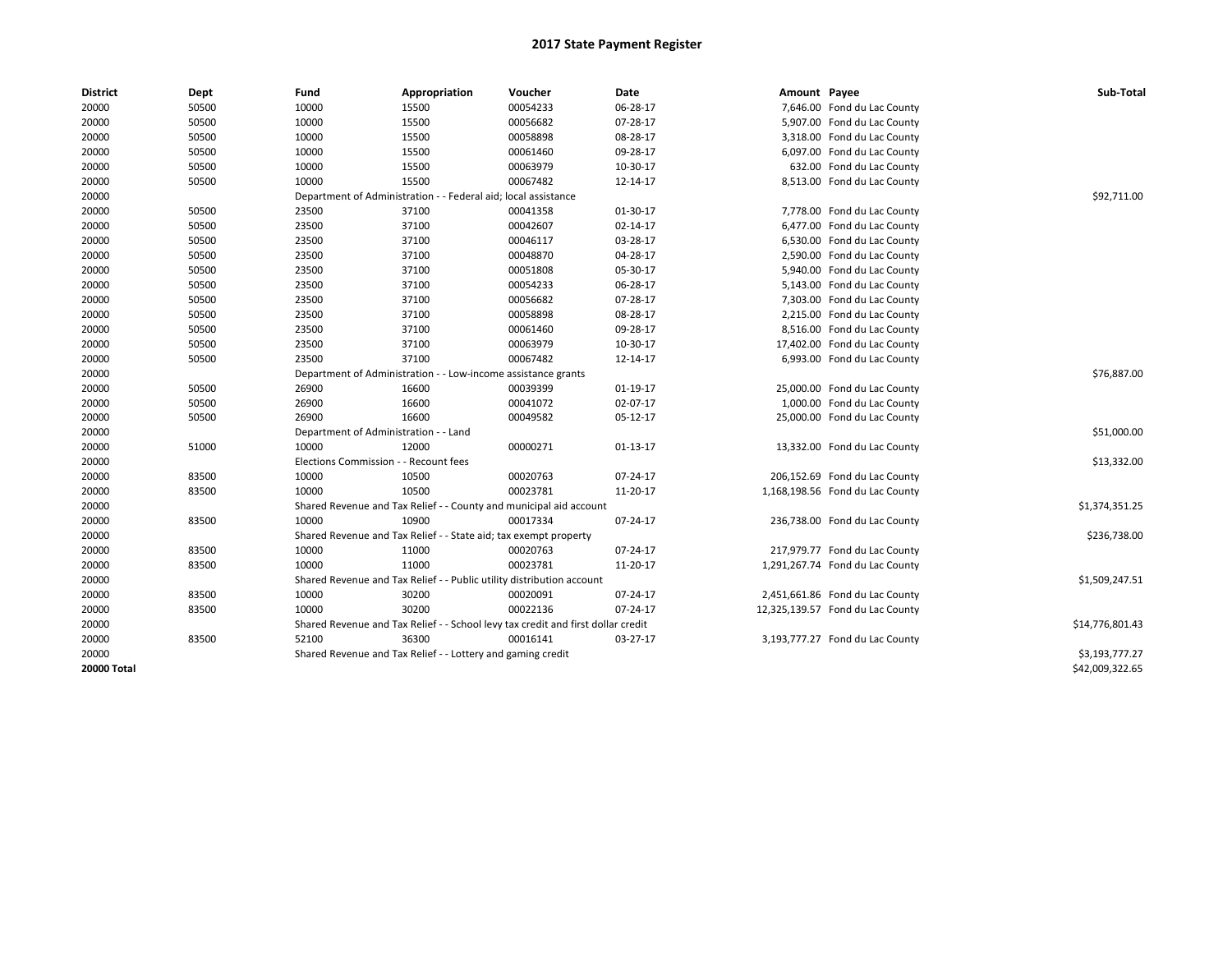| <b>District</b>    | Dept  | Fund                                                          | Appropriation                                                                    | Voucher     | Date       | Amount Payee |                                  | Sub-Total       |
|--------------------|-------|---------------------------------------------------------------|----------------------------------------------------------------------------------|-------------|------------|--------------|----------------------------------|-----------------|
| 20000              | 50500 | 10000                                                         | 15500                                                                            | 00054233    | 06-28-17   |              | 7,646.00 Fond du Lac County      |                 |
| 20000              | 50500 | 10000                                                         | 15500                                                                            | 00056682    | 07-28-17   |              | 5,907.00 Fond du Lac County      |                 |
| 20000              | 50500 | 10000                                                         | 15500                                                                            | 00058898    | 08-28-17   |              | 3,318.00 Fond du Lac County      |                 |
| 20000              | 50500 | 10000                                                         | 15500                                                                            | 00061460    | 09-28-17   |              | 6,097.00 Fond du Lac County      |                 |
| 20000              | 50500 | 10000                                                         | 15500                                                                            | 00063979    | 10-30-17   |              | 632.00 Fond du Lac County        |                 |
| 20000              | 50500 | 10000                                                         | 15500                                                                            | 00067482    | 12-14-17   |              | 8,513.00 Fond du Lac County      |                 |
| 20000              |       |                                                               | Department of Administration - - Federal aid; local assistance                   |             |            |              |                                  | \$92,711.00     |
| 20000              | 50500 | 23500                                                         | 37100                                                                            | 00041358    | 01-30-17   |              | 7,778.00 Fond du Lac County      |                 |
| 20000              | 50500 | 23500                                                         | 37100                                                                            | 00042607    | 02-14-17   |              | 6,477.00 Fond du Lac County      |                 |
| 20000              | 50500 | 23500                                                         | 37100                                                                            | 00046117    | 03-28-17   |              | 6,530.00 Fond du Lac County      |                 |
| 20000              | 50500 | 23500                                                         | 37100                                                                            | 00048870    | 04-28-17   |              | 2,590.00 Fond du Lac County      |                 |
| 20000              | 50500 | 23500                                                         | 37100                                                                            | 00051808    | 05-30-17   |              | 5,940.00 Fond du Lac County      |                 |
| 20000              | 50500 | 23500                                                         | 37100                                                                            | 00054233    | 06-28-17   |              | 5,143.00 Fond du Lac County      |                 |
| 20000              | 50500 | 23500                                                         | 37100                                                                            | 00056682    | 07-28-17   |              | 7,303.00 Fond du Lac County      |                 |
| 20000              | 50500 | 23500                                                         | 37100                                                                            | 00058898    | 08-28-17   |              | 2,215.00 Fond du Lac County      |                 |
| 20000              | 50500 | 23500                                                         | 37100                                                                            | 00061460    | 09-28-17   |              | 8,516.00 Fond du Lac County      |                 |
| 20000              | 50500 | 23500                                                         | 37100                                                                            | 00063979    | 10-30-17   |              | 17,402.00 Fond du Lac County     |                 |
| 20000              | 50500 | 23500                                                         | 37100                                                                            | 00067482    | 12-14-17   |              | 6,993.00 Fond du Lac County      |                 |
| 20000              |       | Department of Administration - - Low-income assistance grants |                                                                                  | \$76,887.00 |            |              |                                  |                 |
| 20000              | 50500 | 26900                                                         | 16600                                                                            | 00039399    | 01-19-17   |              | 25,000.00 Fond du Lac County     |                 |
| 20000              | 50500 | 26900                                                         | 16600                                                                            | 00041072    | 02-07-17   |              | 1,000.00 Fond du Lac County      |                 |
| 20000              | 50500 | 26900                                                         | 16600                                                                            | 00049582    | 05-12-17   |              | 25,000.00 Fond du Lac County     |                 |
| 20000              |       | Department of Administration - - Land                         |                                                                                  |             |            |              |                                  | \$51,000.00     |
| 20000              | 51000 | 10000                                                         | 12000                                                                            | 00000271    | $01-13-17$ |              | 13,332.00 Fond du Lac County     |                 |
| 20000              |       | Elections Commission - - Recount fees                         |                                                                                  |             |            |              |                                  | \$13,332.00     |
| 20000              | 83500 | 10000                                                         | 10500                                                                            | 00020763    | 07-24-17   |              | 206,152.69 Fond du Lac County    |                 |
| 20000              | 83500 | 10000                                                         | 10500                                                                            | 00023781    | 11-20-17   |              | 1,168,198.56 Fond du Lac County  |                 |
| 20000              |       |                                                               | Shared Revenue and Tax Relief - - County and municipal aid account               |             |            |              |                                  | \$1,374,351.25  |
| 20000              | 83500 | 10000                                                         | 10900                                                                            | 00017334    | 07-24-17   |              | 236,738.00 Fond du Lac County    |                 |
| 20000              |       |                                                               | Shared Revenue and Tax Relief - - State aid; tax exempt property                 |             |            |              |                                  | \$236,738.00    |
| 20000              | 83500 | 10000                                                         | 11000                                                                            | 00020763    | 07-24-17   |              | 217,979.77 Fond du Lac County    |                 |
| 20000              | 83500 | 10000                                                         | 11000                                                                            | 00023781    | 11-20-17   |              | 1,291,267.74 Fond du Lac County  |                 |
| 20000              |       |                                                               | Shared Revenue and Tax Relief - - Public utility distribution account            |             |            |              |                                  | \$1,509,247.51  |
| 20000              | 83500 | 10000                                                         | 30200                                                                            | 00020091    | 07-24-17   |              | 2,451,661.86 Fond du Lac County  |                 |
| 20000              | 83500 | 10000                                                         | 30200                                                                            | 00022136    | 07-24-17   |              | 12,325,139.57 Fond du Lac County |                 |
| 20000              |       |                                                               | Shared Revenue and Tax Relief - - School levy tax credit and first dollar credit |             |            |              |                                  | \$14,776,801.43 |
| 20000              | 83500 | 52100                                                         | 36300                                                                            | 00016141    | 03-27-17   |              | 3,193,777.27 Fond du Lac County  |                 |
| 20000              |       |                                                               | Shared Revenue and Tax Relief - - Lottery and gaming credit                      |             |            |              |                                  | \$3,193,777.27  |
| <b>20000 Total</b> |       |                                                               |                                                                                  |             |            |              |                                  | \$42,009,322.65 |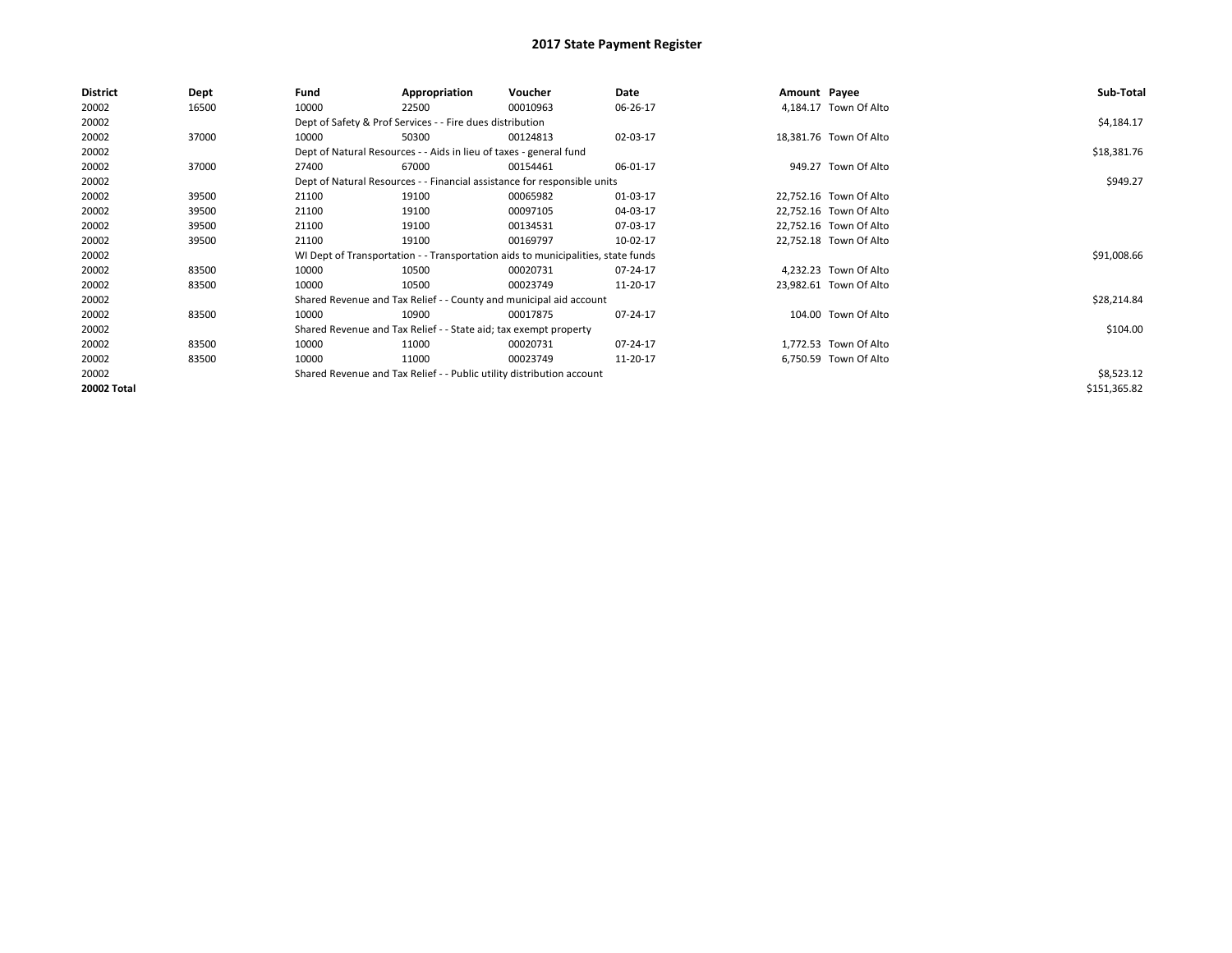| <b>District</b> | Dept  | Fund  | Appropriation                                                                    | Voucher  | Date     | Amount Payee |                        | Sub-Total    |
|-----------------|-------|-------|----------------------------------------------------------------------------------|----------|----------|--------------|------------------------|--------------|
| 20002           | 16500 | 10000 | 22500                                                                            | 00010963 | 06-26-17 |              | 4,184.17 Town Of Alto  |              |
| 20002           |       |       | Dept of Safety & Prof Services - - Fire dues distribution                        |          |          |              |                        | \$4,184.17   |
| 20002           | 37000 | 10000 | 50300                                                                            | 00124813 | 02-03-17 |              | 18,381.76 Town Of Alto |              |
| 20002           |       |       | Dept of Natural Resources - - Aids in lieu of taxes - general fund               |          |          |              |                        | \$18,381.76  |
| 20002           | 37000 | 27400 | 67000                                                                            | 00154461 | 06-01-17 |              | 949.27 Town Of Alto    |              |
| 20002           |       |       | Dept of Natural Resources - - Financial assistance for responsible units         |          |          |              |                        | \$949.27     |
| 20002           | 39500 | 21100 | 19100                                                                            | 00065982 | 01-03-17 |              | 22,752.16 Town Of Alto |              |
| 20002           | 39500 | 21100 | 19100                                                                            | 00097105 | 04-03-17 |              | 22,752.16 Town Of Alto |              |
| 20002           | 39500 | 21100 | 19100                                                                            | 00134531 | 07-03-17 |              | 22,752.16 Town Of Alto |              |
| 20002           | 39500 | 21100 | 19100                                                                            | 00169797 | 10-02-17 |              | 22,752.18 Town Of Alto |              |
| 20002           |       |       | WI Dept of Transportation - - Transportation aids to municipalities, state funds |          |          |              |                        | \$91,008.66  |
| 20002           | 83500 | 10000 | 10500                                                                            | 00020731 | 07-24-17 |              | 4,232.23 Town Of Alto  |              |
| 20002           | 83500 | 10000 | 10500                                                                            | 00023749 | 11-20-17 |              | 23,982.61 Town Of Alto |              |
| 20002           |       |       | Shared Revenue and Tax Relief - - County and municipal aid account               |          |          |              |                        | \$28,214.84  |
| 20002           | 83500 | 10000 | 10900                                                                            | 00017875 | 07-24-17 |              | 104.00 Town Of Alto    |              |
| 20002           |       |       | Shared Revenue and Tax Relief - - State aid; tax exempt property                 |          |          |              |                        | \$104.00     |
| 20002           | 83500 | 10000 | 11000                                                                            | 00020731 | 07-24-17 |              | 1,772.53 Town Of Alto  |              |
| 20002           | 83500 | 10000 | 11000                                                                            | 00023749 | 11-20-17 |              | 6,750.59 Town Of Alto  |              |
| 20002           |       |       | Shared Revenue and Tax Relief - - Public utility distribution account            |          |          |              |                        | \$8,523.12   |
| 20002 Total     |       |       |                                                                                  |          |          |              |                        | \$151,365.82 |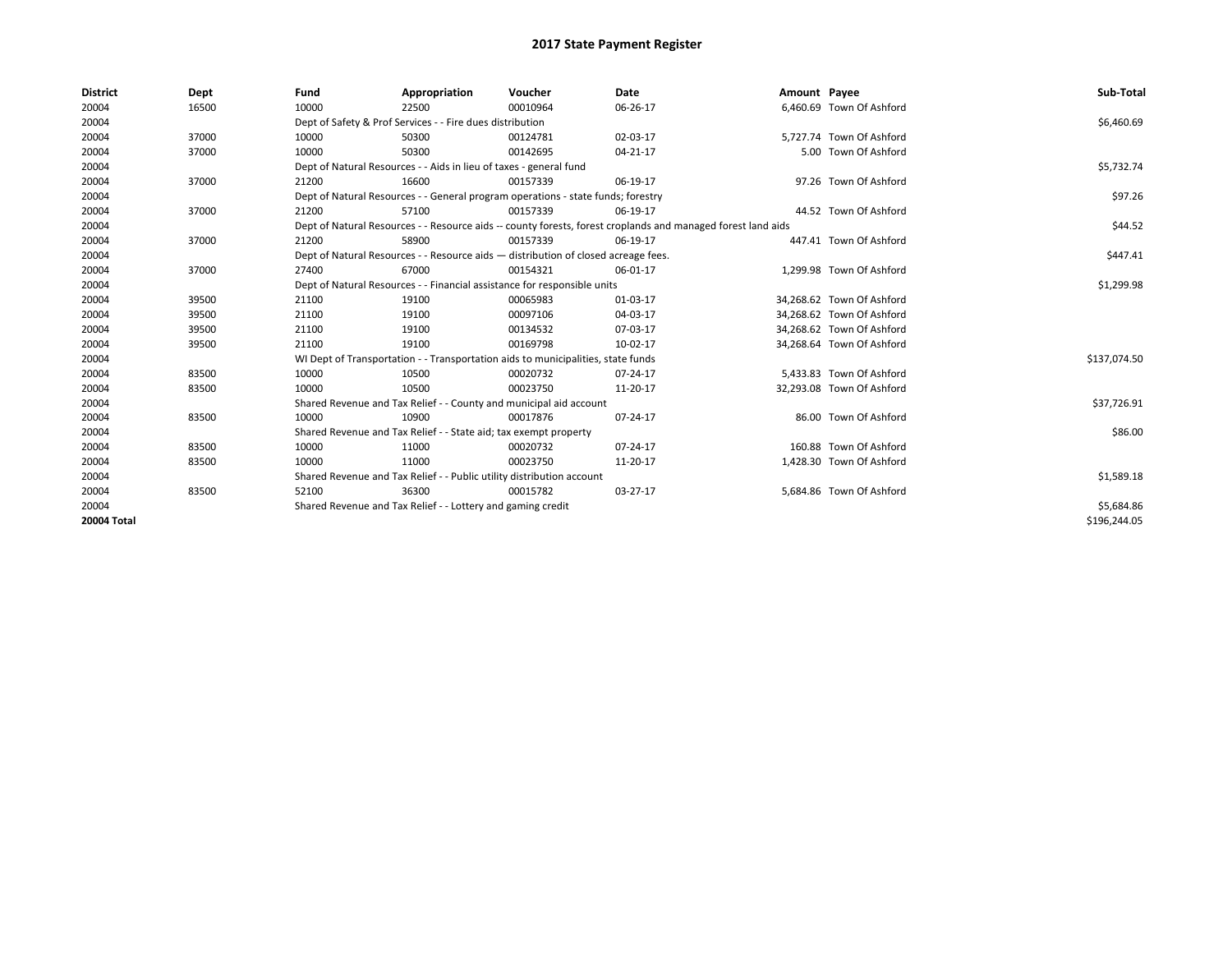| <b>District</b>    | Dept  | Fund                                                                     | Appropriation                                                                      | Voucher    | <b>Date</b>                                                                                                  | Amount Payee |                           | Sub-Total    |
|--------------------|-------|--------------------------------------------------------------------------|------------------------------------------------------------------------------------|------------|--------------------------------------------------------------------------------------------------------------|--------------|---------------------------|--------------|
| 20004              | 16500 | 10000                                                                    | 22500                                                                              | 00010964   | 06-26-17                                                                                                     |              | 6.460.69 Town Of Ashford  |              |
| 20004              |       |                                                                          | Dept of Safety & Prof Services - - Fire dues distribution                          |            |                                                                                                              |              |                           | \$6,460.69   |
| 20004              | 37000 | 10000                                                                    | 50300                                                                              | 00124781   | 02-03-17                                                                                                     |              | 5,727.74 Town Of Ashford  |              |
| 20004              | 37000 | 10000                                                                    | 50300                                                                              | 00142695   | 04-21-17                                                                                                     |              | 5.00 Town Of Ashford      |              |
| 20004              |       |                                                                          | Dept of Natural Resources - - Aids in lieu of taxes - general fund                 |            |                                                                                                              |              |                           | \$5,732.74   |
| 20004              | 37000 | 21200                                                                    | 16600                                                                              | 00157339   | 06-19-17                                                                                                     |              | 97.26 Town Of Ashford     |              |
| 20004              |       |                                                                          | Dept of Natural Resources - - General program operations - state funds; forestry   |            |                                                                                                              |              |                           | \$97.26      |
| 20004              | 37000 | 21200                                                                    | 57100                                                                              | 00157339   | 06-19-17                                                                                                     |              | 44.52 Town Of Ashford     |              |
| 20004              |       |                                                                          |                                                                                    |            | Dept of Natural Resources - - Resource aids -- county forests, forest croplands and managed forest land aids |              |                           | \$44.52      |
| 20004              | 37000 | 21200                                                                    | 58900                                                                              | 00157339   | 06-19-17                                                                                                     |              | 447.41 Town Of Ashford    |              |
| 20004              |       |                                                                          | Dept of Natural Resources - - Resource aids - distribution of closed acreage fees. |            |                                                                                                              |              |                           | \$447.41     |
| 20004              | 37000 | 27400                                                                    | 67000                                                                              | 00154321   | 06-01-17                                                                                                     |              | 1.299.98 Town Of Ashford  |              |
| 20004              |       | Dept of Natural Resources - - Financial assistance for responsible units |                                                                                    | \$1,299.98 |                                                                                                              |              |                           |              |
| 20004              | 39500 | 21100                                                                    | 19100                                                                              | 00065983   | 01-03-17                                                                                                     |              | 34,268.62 Town Of Ashford |              |
| 20004              | 39500 | 21100                                                                    | 19100                                                                              | 00097106   | 04-03-17                                                                                                     |              | 34,268.62 Town Of Ashford |              |
| 20004              | 39500 | 21100                                                                    | 19100                                                                              | 00134532   | 07-03-17                                                                                                     |              | 34.268.62 Town Of Ashford |              |
| 20004              | 39500 | 21100                                                                    | 19100                                                                              | 00169798   | 10-02-17                                                                                                     |              | 34,268.64 Town Of Ashford |              |
| 20004              |       |                                                                          | WI Dept of Transportation - - Transportation aids to municipalities, state funds   |            |                                                                                                              |              |                           | \$137,074.50 |
| 20004              | 83500 | 10000                                                                    | 10500                                                                              | 00020732   | 07-24-17                                                                                                     |              | 5,433.83 Town Of Ashford  |              |
| 20004              | 83500 | 10000                                                                    | 10500                                                                              | 00023750   | 11-20-17                                                                                                     |              | 32,293.08 Town Of Ashford |              |
| 20004              |       |                                                                          | Shared Revenue and Tax Relief - - County and municipal aid account                 |            |                                                                                                              |              |                           | \$37,726.91  |
| 20004              | 83500 | 10000                                                                    | 10900                                                                              | 00017876   | 07-24-17                                                                                                     |              | 86.00 Town Of Ashford     |              |
| 20004              |       |                                                                          | Shared Revenue and Tax Relief - - State aid; tax exempt property                   |            |                                                                                                              |              |                           | \$86.00      |
| 20004              | 83500 | 10000                                                                    | 11000                                                                              | 00020732   | 07-24-17                                                                                                     |              | 160.88 Town Of Ashford    |              |
| 20004              | 83500 | 10000                                                                    | 11000                                                                              | 00023750   | 11-20-17                                                                                                     |              | 1,428.30 Town Of Ashford  |              |
| 20004              |       |                                                                          | Shared Revenue and Tax Relief - - Public utility distribution account              |            |                                                                                                              |              |                           | \$1,589.18   |
| 20004              | 83500 | 52100                                                                    | 36300                                                                              | 00015782   | 03-27-17                                                                                                     |              | 5,684.86 Town Of Ashford  |              |
| 20004              |       | Shared Revenue and Tax Relief - - Lottery and gaming credit              |                                                                                    | \$5,684.86 |                                                                                                              |              |                           |              |
| <b>20004 Total</b> |       |                                                                          |                                                                                    |            |                                                                                                              |              |                           | \$196,244.05 |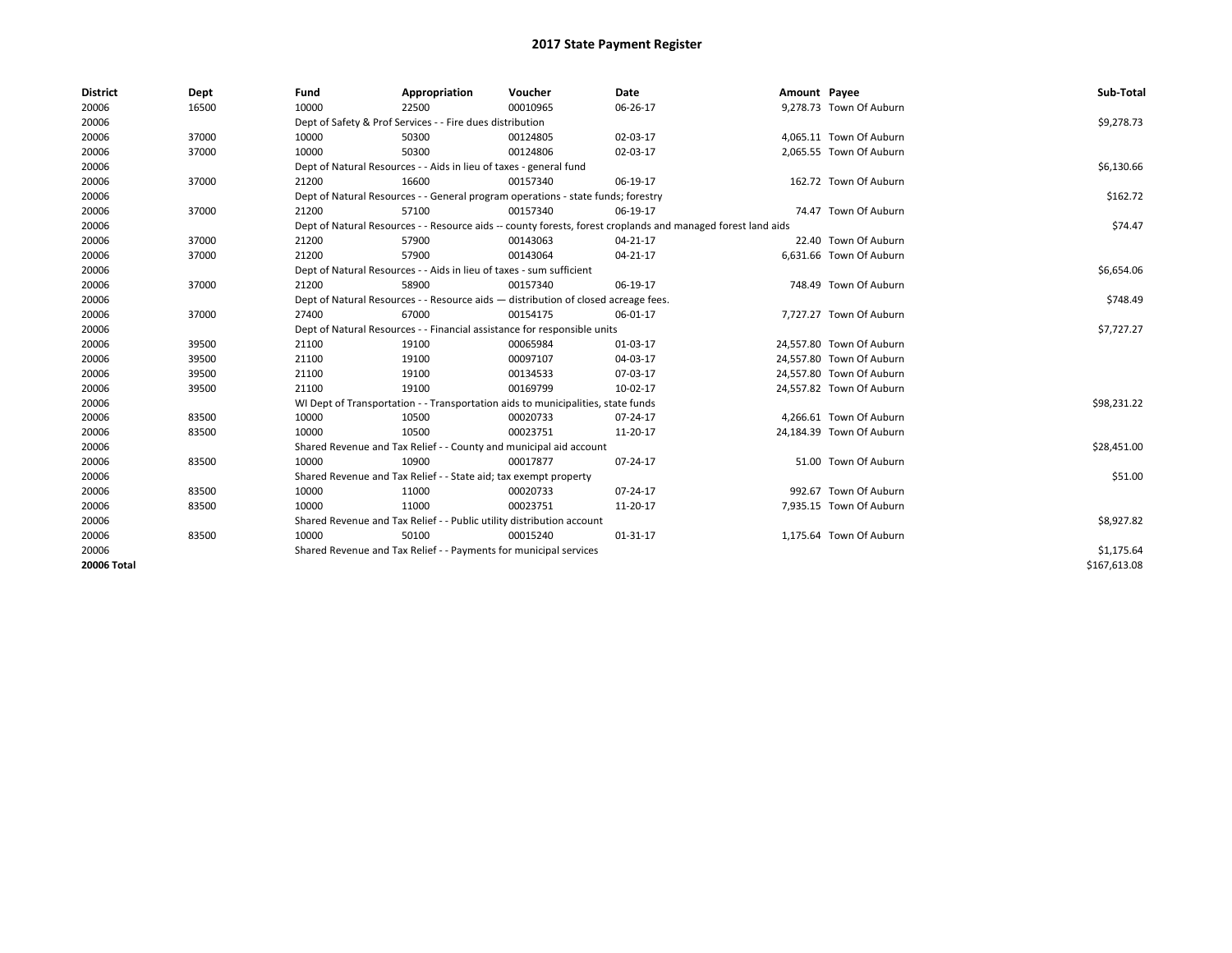| <b>District</b> | Dept  | Fund  | Appropriation                                                                                                | Voucher  | Date           | Amount Payee |                          | Sub-Total    |  |  |
|-----------------|-------|-------|--------------------------------------------------------------------------------------------------------------|----------|----------------|--------------|--------------------------|--------------|--|--|
| 20006           | 16500 | 10000 | 22500                                                                                                        | 00010965 | 06-26-17       |              | 9,278.73 Town Of Auburn  |              |  |  |
| 20006           |       |       | Dept of Safety & Prof Services - - Fire dues distribution                                                    |          |                |              |                          | \$9,278.73   |  |  |
| 20006           | 37000 | 10000 | 50300                                                                                                        | 00124805 | 02-03-17       |              | 4,065.11 Town Of Auburn  |              |  |  |
| 20006           | 37000 | 10000 | 50300                                                                                                        | 00124806 | 02-03-17       |              | 2,065.55 Town Of Auburn  |              |  |  |
| 20006           |       |       | Dept of Natural Resources - - Aids in lieu of taxes - general fund                                           |          |                |              |                          | \$6,130.66   |  |  |
| 20006           | 37000 | 21200 | 16600                                                                                                        | 00157340 | 06-19-17       |              | 162.72 Town Of Auburn    |              |  |  |
| 20006           |       |       | Dept of Natural Resources - - General program operations - state funds; forestry                             |          |                |              |                          | \$162.72     |  |  |
| 20006           | 37000 | 21200 | 57100                                                                                                        | 00157340 | 06-19-17       |              | 74.47 Town Of Auburn     |              |  |  |
| 20006           |       |       | Dept of Natural Resources - - Resource aids -- county forests, forest croplands and managed forest land aids |          |                |              |                          |              |  |  |
| 20006           | 37000 | 21200 | 57900                                                                                                        | 00143063 | $04 - 21 - 17$ |              | 22.40 Town Of Auburn     |              |  |  |
| 20006           | 37000 | 21200 | 57900                                                                                                        | 00143064 | $04 - 21 - 17$ |              | 6,631.66 Town Of Auburn  |              |  |  |
| 20006           |       |       | Dept of Natural Resources - - Aids in lieu of taxes - sum sufficient                                         |          |                |              |                          | \$6,654.06   |  |  |
| 20006           | 37000 | 21200 | 58900                                                                                                        | 00157340 | 06-19-17       |              | 748.49 Town Of Auburn    |              |  |  |
| 20006           |       |       | Dept of Natural Resources - - Resource aids - distribution of closed acreage fees.                           |          |                |              |                          |              |  |  |
| 20006           | 37000 | 27400 | 67000                                                                                                        | 00154175 | 06-01-17       |              | 7,727.27 Town Of Auburn  |              |  |  |
| 20006           |       |       | Dept of Natural Resources - - Financial assistance for responsible units                                     |          |                |              |                          | \$7,727.27   |  |  |
| 20006           | 39500 | 21100 | 19100                                                                                                        | 00065984 | 01-03-17       |              | 24.557.80 Town Of Auburn |              |  |  |
| 20006           | 39500 | 21100 | 19100                                                                                                        | 00097107 | 04-03-17       |              | 24,557.80 Town Of Auburn |              |  |  |
| 20006           | 39500 | 21100 | 19100                                                                                                        | 00134533 | 07-03-17       |              | 24,557.80 Town Of Auburn |              |  |  |
| 20006           | 39500 | 21100 | 19100                                                                                                        | 00169799 | 10-02-17       |              | 24,557.82 Town Of Auburn |              |  |  |
| 20006           |       |       | WI Dept of Transportation - - Transportation aids to municipalities, state funds                             |          |                |              |                          | \$98,231.22  |  |  |
| 20006           | 83500 | 10000 | 10500                                                                                                        | 00020733 | 07-24-17       |              | 4,266.61 Town Of Auburn  |              |  |  |
| 20006           | 83500 | 10000 | 10500                                                                                                        | 00023751 | 11-20-17       |              | 24,184.39 Town Of Auburn |              |  |  |
| 20006           |       |       | Shared Revenue and Tax Relief - - County and municipal aid account                                           |          |                |              |                          | \$28,451.00  |  |  |
| 20006           | 83500 | 10000 | 10900                                                                                                        | 00017877 | 07-24-17       |              | 51.00 Town Of Auburn     |              |  |  |
| 20006           |       |       | Shared Revenue and Tax Relief - - State aid; tax exempt property                                             |          |                |              |                          | \$51.00      |  |  |
| 20006           | 83500 | 10000 | 11000                                                                                                        | 00020733 | 07-24-17       |              | 992.67 Town Of Auburn    |              |  |  |
| 20006           | 83500 | 10000 | 11000                                                                                                        | 00023751 | 11-20-17       |              | 7,935.15 Town Of Auburn  |              |  |  |
| 20006           |       |       | Shared Revenue and Tax Relief - - Public utility distribution account                                        |          |                |              |                          | \$8,927.82   |  |  |
| 20006           | 83500 | 10000 | 50100                                                                                                        | 00015240 | $01 - 31 - 17$ |              | 1,175.64 Town Of Auburn  |              |  |  |
| 20006           |       |       | Shared Revenue and Tax Relief - - Payments for municipal services                                            |          |                |              |                          | \$1,175.64   |  |  |
| 20006 Total     |       |       |                                                                                                              |          |                |              |                          | \$167,613.08 |  |  |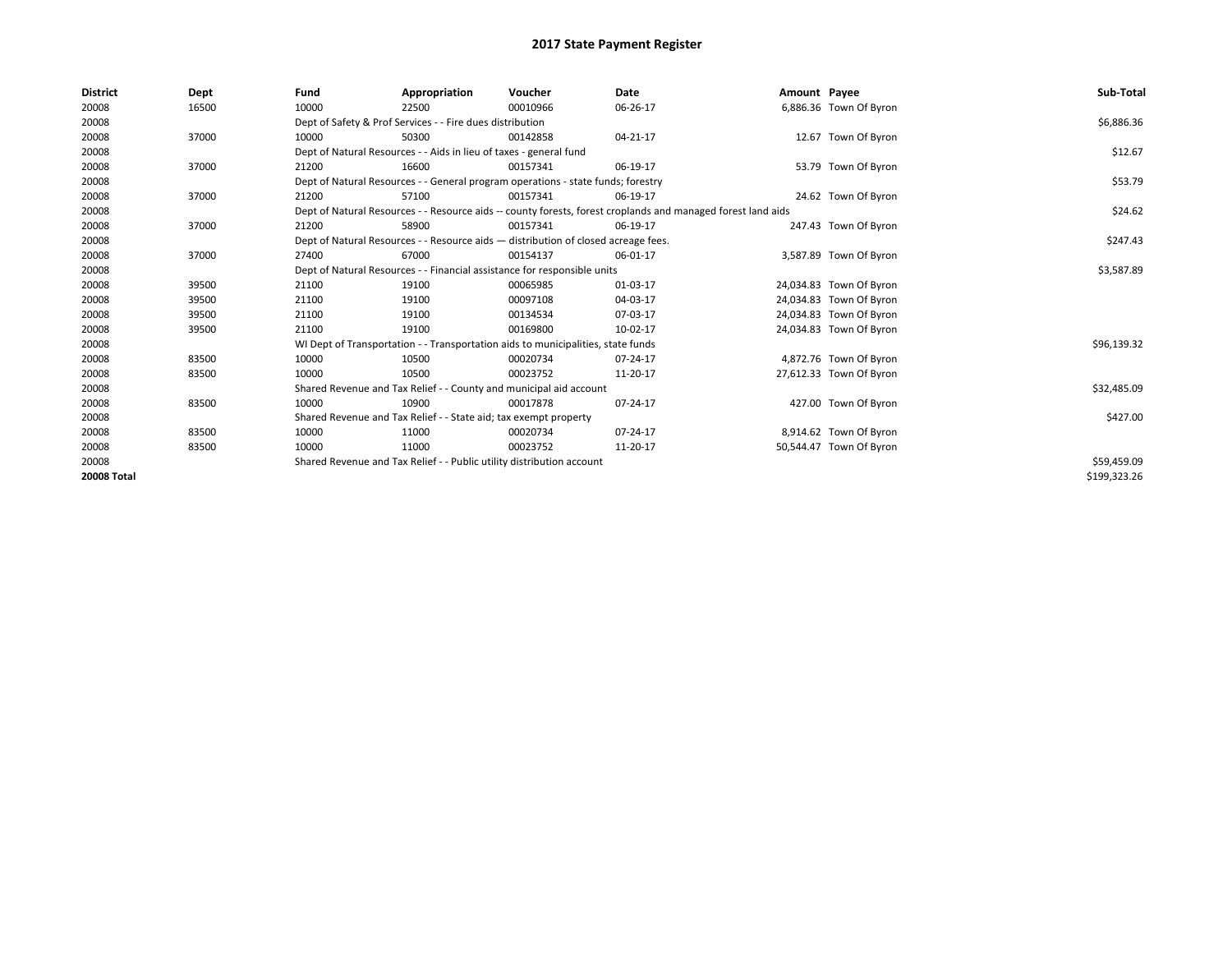| <b>District</b> | Dept  | Fund  | Appropriation                                                                      | Voucher  | Date                                                                                                         | Amount Payee |                         | Sub-Total    |
|-----------------|-------|-------|------------------------------------------------------------------------------------|----------|--------------------------------------------------------------------------------------------------------------|--------------|-------------------------|--------------|
| 20008           | 16500 | 10000 | 22500                                                                              | 00010966 | 06-26-17                                                                                                     |              | 6,886.36 Town Of Byron  |              |
| 20008           |       |       | Dept of Safety & Prof Services - - Fire dues distribution                          |          |                                                                                                              |              |                         | \$6,886.36   |
| 20008           | 37000 | 10000 | 50300                                                                              | 00142858 | 04-21-17                                                                                                     |              | 12.67 Town Of Byron     |              |
| 20008           |       |       | Dept of Natural Resources - - Aids in lieu of taxes - general fund                 |          |                                                                                                              |              |                         | \$12.67      |
| 20008           | 37000 | 21200 | 16600                                                                              | 00157341 | 06-19-17                                                                                                     |              | 53.79 Town Of Byron     |              |
| 20008           |       |       | Dept of Natural Resources - - General program operations - state funds; forestry   |          |                                                                                                              |              |                         | \$53.79      |
| 20008           | 37000 | 21200 | 57100                                                                              | 00157341 | 06-19-17                                                                                                     |              | 24.62 Town Of Byron     |              |
| 20008           |       |       |                                                                                    |          | Dept of Natural Resources - - Resource aids -- county forests, forest croplands and managed forest land aids |              |                         | \$24.62      |
| 20008           | 37000 | 21200 | 58900                                                                              | 00157341 | 06-19-17                                                                                                     |              | 247.43 Town Of Byron    |              |
| 20008           |       |       | Dept of Natural Resources - - Resource aids - distribution of closed acreage fees. |          |                                                                                                              |              |                         | \$247.43     |
| 20008           | 37000 | 27400 | 67000                                                                              | 00154137 | 06-01-17                                                                                                     |              | 3,587.89 Town Of Byron  |              |
| 20008           |       |       | Dept of Natural Resources - - Financial assistance for responsible units           |          | \$3,587.89                                                                                                   |              |                         |              |
| 20008           | 39500 | 21100 | 19100                                                                              | 00065985 | 01-03-17                                                                                                     |              | 24,034.83 Town Of Byron |              |
| 20008           | 39500 | 21100 | 19100                                                                              | 00097108 | 04-03-17                                                                                                     |              | 24,034.83 Town Of Byron |              |
| 20008           | 39500 | 21100 | 19100                                                                              | 00134534 | 07-03-17                                                                                                     |              | 24,034.83 Town Of Byron |              |
| 20008           | 39500 | 21100 | 19100                                                                              | 00169800 | 10-02-17                                                                                                     |              | 24,034.83 Town Of Byron |              |
| 20008           |       |       | WI Dept of Transportation - - Transportation aids to municipalities, state funds   |          |                                                                                                              |              |                         | \$96,139.32  |
| 20008           | 83500 | 10000 | 10500                                                                              | 00020734 | 07-24-17                                                                                                     |              | 4,872.76 Town Of Byron  |              |
| 20008           | 83500 | 10000 | 10500                                                                              | 00023752 | 11-20-17                                                                                                     |              | 27,612.33 Town Of Byron |              |
| 20008           |       |       | Shared Revenue and Tax Relief - - County and municipal aid account                 |          |                                                                                                              |              |                         | \$32,485.09  |
| 20008           | 83500 | 10000 | 10900                                                                              | 00017878 | 07-24-17                                                                                                     |              | 427.00 Town Of Byron    |              |
| 20008           |       |       | Shared Revenue and Tax Relief - - State aid; tax exempt property                   |          |                                                                                                              |              |                         | \$427.00     |
| 20008           | 83500 | 10000 | 11000                                                                              | 00020734 | 07-24-17                                                                                                     |              | 8,914.62 Town Of Byron  |              |
| 20008           | 83500 | 10000 | 11000                                                                              | 00023752 | 11-20-17                                                                                                     |              | 50,544.47 Town Of Byron |              |
| 20008           |       |       | Shared Revenue and Tax Relief - - Public utility distribution account              |          |                                                                                                              |              |                         | \$59,459.09  |
| 20008 Total     |       |       |                                                                                    |          |                                                                                                              |              |                         | \$199,323.26 |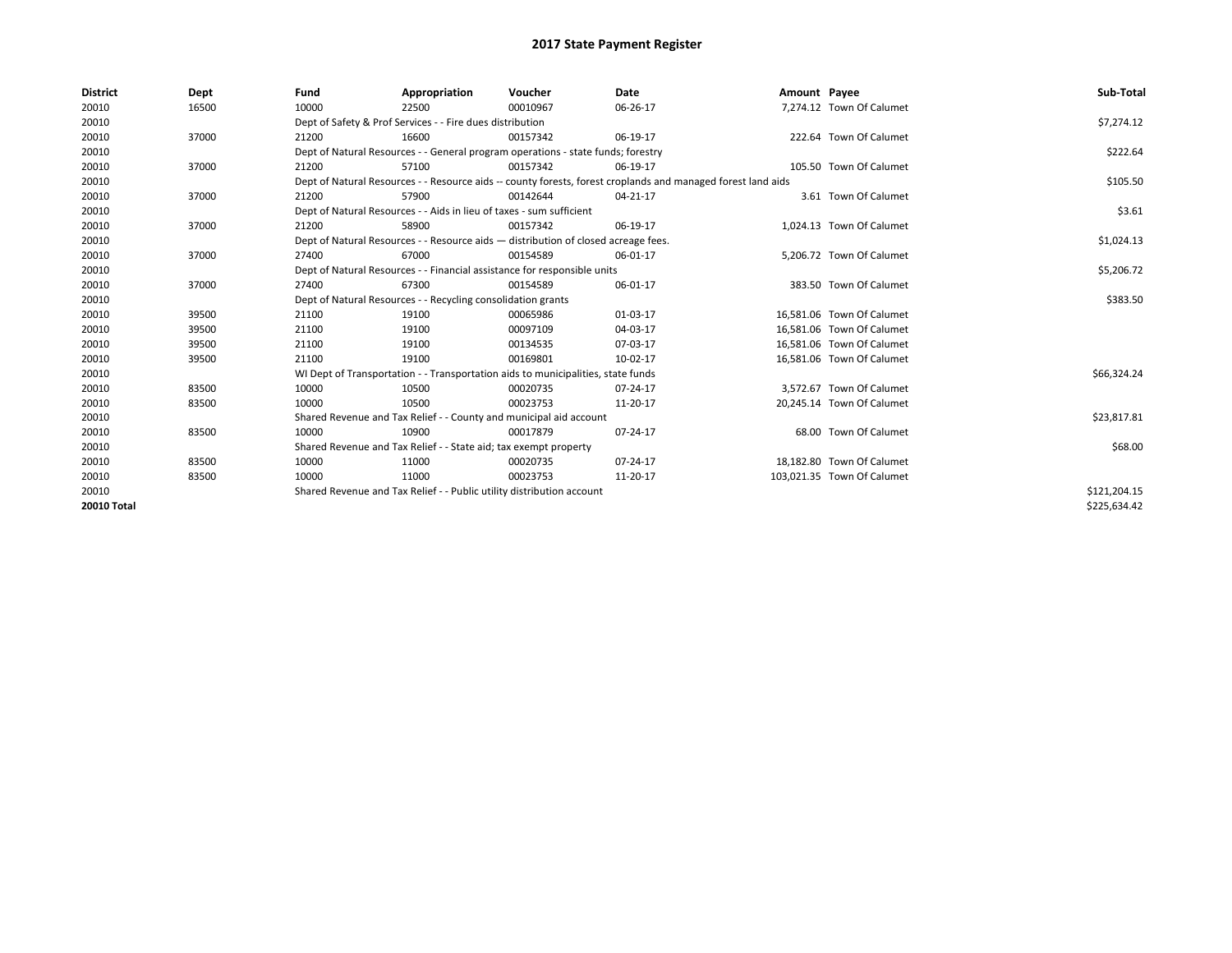| <b>District</b> | Dept  | Fund  | Appropriation                                                                                                | Voucher  | Date       | Amount Payee |                            | Sub-Total    |  |  |
|-----------------|-------|-------|--------------------------------------------------------------------------------------------------------------|----------|------------|--------------|----------------------------|--------------|--|--|
| 20010           | 16500 | 10000 | 22500                                                                                                        | 00010967 | 06-26-17   |              | 7,274.12 Town Of Calumet   |              |  |  |
| 20010           |       |       | Dept of Safety & Prof Services - - Fire dues distribution                                                    |          |            |              |                            | \$7,274.12   |  |  |
| 20010           | 37000 | 21200 | 16600                                                                                                        | 00157342 | 06-19-17   |              | 222.64 Town Of Calumet     |              |  |  |
| 20010           |       |       | Dept of Natural Resources - - General program operations - state funds; forestry                             |          |            |              |                            | \$222.64     |  |  |
| 20010           | 37000 | 21200 | 57100                                                                                                        | 00157342 | 06-19-17   |              | 105.50 Town Of Calumet     |              |  |  |
| 20010           |       |       | Dept of Natural Resources - - Resource aids -- county forests, forest croplands and managed forest land aids |          |            |              |                            |              |  |  |
| 20010           | 37000 | 21200 | 57900                                                                                                        | 00142644 | 04-21-17   |              | 3.61 Town Of Calumet       |              |  |  |
| 20010           |       |       | Dept of Natural Resources - - Aids in lieu of taxes - sum sufficient                                         |          |            |              |                            | \$3.61       |  |  |
| 20010           | 37000 | 21200 | 58900                                                                                                        | 00157342 | 06-19-17   |              | 1,024.13 Town Of Calumet   |              |  |  |
| 20010           |       |       | Dept of Natural Resources - - Resource aids - distribution of closed acreage fees.                           |          |            |              |                            | \$1,024.13   |  |  |
| 20010           | 37000 | 27400 | 67000                                                                                                        | 00154589 | 06-01-17   |              | 5.206.72 Town Of Calumet   |              |  |  |
| 20010           |       |       | Dept of Natural Resources - - Financial assistance for responsible units                                     |          | \$5,206.72 |              |                            |              |  |  |
| 20010           | 37000 | 27400 | 67300                                                                                                        | 00154589 | 06-01-17   |              | 383.50 Town Of Calumet     |              |  |  |
| 20010           |       |       | Dept of Natural Resources - - Recycling consolidation grants                                                 |          |            |              |                            | \$383.50     |  |  |
| 20010           | 39500 | 21100 | 19100                                                                                                        | 00065986 | 01-03-17   |              | 16,581.06 Town Of Calumet  |              |  |  |
| 20010           | 39500 | 21100 | 19100                                                                                                        | 00097109 | 04-03-17   |              | 16.581.06 Town Of Calumet  |              |  |  |
| 20010           | 39500 | 21100 | 19100                                                                                                        | 00134535 | 07-03-17   |              | 16,581.06 Town Of Calumet  |              |  |  |
| 20010           | 39500 | 21100 | 19100                                                                                                        | 00169801 | 10-02-17   |              | 16,581.06 Town Of Calumet  |              |  |  |
| 20010           |       |       | WI Dept of Transportation - - Transportation aids to municipalities, state funds                             |          |            |              |                            | \$66,324.24  |  |  |
| 20010           | 83500 | 10000 | 10500                                                                                                        | 00020735 | 07-24-17   |              | 3,572.67 Town Of Calumet   |              |  |  |
| 20010           | 83500 | 10000 | 10500                                                                                                        | 00023753 | 11-20-17   |              | 20,245.14 Town Of Calumet  |              |  |  |
| 20010           |       |       | Shared Revenue and Tax Relief - - County and municipal aid account                                           |          |            |              |                            | \$23,817.81  |  |  |
| 20010           | 83500 | 10000 | 10900                                                                                                        | 00017879 | 07-24-17   |              | 68.00 Town Of Calumet      |              |  |  |
| 20010           |       |       | Shared Revenue and Tax Relief - - State aid; tax exempt property                                             |          |            |              |                            | \$68.00      |  |  |
| 20010           | 83500 | 10000 | 11000                                                                                                        | 00020735 | 07-24-17   |              | 18,182.80 Town Of Calumet  |              |  |  |
| 20010           | 83500 | 10000 | 11000                                                                                                        | 00023753 | 11-20-17   |              | 103,021.35 Town Of Calumet |              |  |  |
| 20010           |       |       | Shared Revenue and Tax Relief - - Public utility distribution account                                        |          |            |              |                            | \$121,204.15 |  |  |
| 20010 Total     |       |       |                                                                                                              |          |            |              |                            | \$225,634.42 |  |  |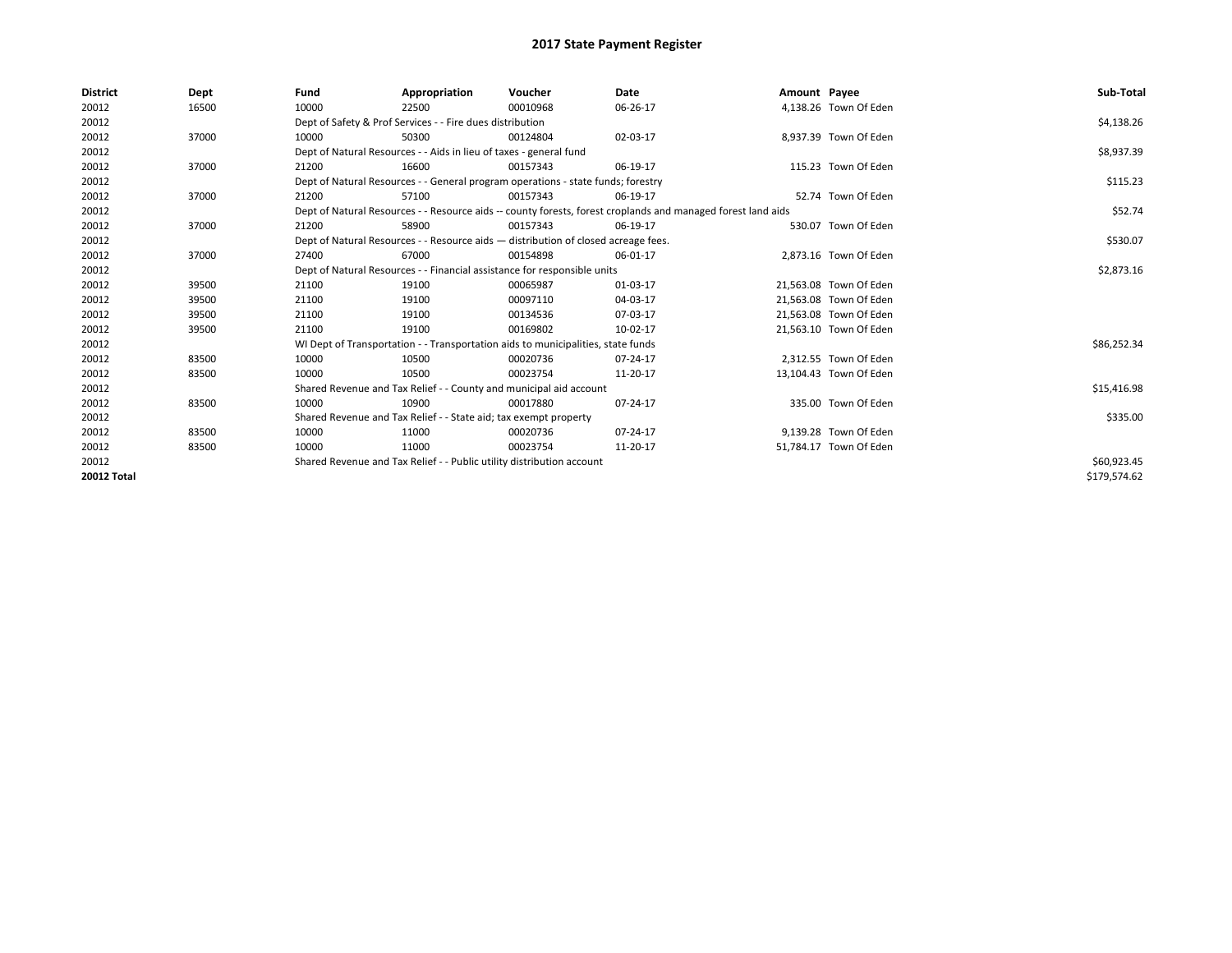| <b>District</b> | Dept  | Fund                                                                  | Appropriation                                                                      | Voucher     | Date                                                                                                         | Amount Payee |                        | Sub-Total    |
|-----------------|-------|-----------------------------------------------------------------------|------------------------------------------------------------------------------------|-------------|--------------------------------------------------------------------------------------------------------------|--------------|------------------------|--------------|
| 20012           | 16500 | 10000                                                                 | 22500                                                                              | 00010968    | 06-26-17                                                                                                     |              | 4,138.26 Town Of Eden  |              |
| 20012           |       |                                                                       | Dept of Safety & Prof Services - - Fire dues distribution                          |             |                                                                                                              |              |                        | \$4,138.26   |
| 20012           | 37000 | 10000                                                                 | 50300                                                                              | 00124804    | 02-03-17                                                                                                     |              | 8,937.39 Town Of Eden  |              |
| 20012           |       |                                                                       | Dept of Natural Resources - - Aids in lieu of taxes - general fund                 |             |                                                                                                              |              |                        | \$8,937.39   |
| 20012           | 37000 | 21200                                                                 | 16600                                                                              | 00157343    | 06-19-17                                                                                                     |              | 115.23 Town Of Eden    |              |
| 20012           |       |                                                                       | Dept of Natural Resources - - General program operations - state funds; forestry   |             |                                                                                                              |              |                        | \$115.23     |
| 20012           | 37000 | 21200                                                                 | 57100                                                                              | 00157343    | 06-19-17                                                                                                     |              | 52.74 Town Of Eden     |              |
| 20012           |       |                                                                       |                                                                                    |             | Dept of Natural Resources - - Resource aids -- county forests, forest croplands and managed forest land aids |              |                        | \$52.74      |
| 20012           | 37000 | 21200                                                                 | 58900                                                                              | 00157343    | 06-19-17                                                                                                     |              | 530.07 Town Of Eden    |              |
| 20012           |       |                                                                       | Dept of Natural Resources - - Resource aids - distribution of closed acreage fees. |             |                                                                                                              |              |                        | \$530.07     |
| 20012           | 37000 | 27400                                                                 | 67000                                                                              | 00154898    | 06-01-17                                                                                                     |              | 2,873.16 Town Of Eden  |              |
| 20012           |       |                                                                       | Dept of Natural Resources - - Financial assistance for responsible units           |             | \$2,873.16                                                                                                   |              |                        |              |
| 20012           | 39500 | 21100                                                                 | 19100                                                                              | 00065987    | 01-03-17                                                                                                     |              | 21,563.08 Town Of Eden |              |
| 20012           | 39500 | 21100                                                                 | 19100                                                                              | 00097110    | 04-03-17                                                                                                     |              | 21,563.08 Town Of Eden |              |
| 20012           | 39500 | 21100                                                                 | 19100                                                                              | 00134536    | 07-03-17                                                                                                     |              | 21,563.08 Town Of Eden |              |
| 20012           | 39500 | 21100                                                                 | 19100                                                                              | 00169802    | 10-02-17                                                                                                     |              | 21,563.10 Town Of Eden |              |
| 20012           |       |                                                                       | WI Dept of Transportation - - Transportation aids to municipalities, state funds   |             |                                                                                                              |              |                        | \$86,252.34  |
| 20012           | 83500 | 10000                                                                 | 10500                                                                              | 00020736    | 07-24-17                                                                                                     |              | 2,312.55 Town Of Eden  |              |
| 20012           | 83500 | 10000                                                                 | 10500                                                                              | 00023754    | 11-20-17                                                                                                     |              | 13,104.43 Town Of Eden |              |
| 20012           |       |                                                                       | Shared Revenue and Tax Relief - - County and municipal aid account                 |             |                                                                                                              |              |                        | \$15,416.98  |
| 20012           | 83500 | 10000                                                                 | 10900                                                                              | 00017880    | 07-24-17                                                                                                     |              | 335.00 Town Of Eden    |              |
| 20012           |       |                                                                       | Shared Revenue and Tax Relief - - State aid; tax exempt property                   |             |                                                                                                              |              |                        | \$335.00     |
| 20012           | 83500 | 10000                                                                 | 11000                                                                              | 00020736    | 07-24-17                                                                                                     |              | 9,139.28 Town Of Eden  |              |
| 20012           | 83500 | 10000                                                                 | 11000                                                                              | 00023754    | 11-20-17                                                                                                     |              | 51,784.17 Town Of Eden |              |
| 20012           |       | Shared Revenue and Tax Relief - - Public utility distribution account |                                                                                    | \$60,923.45 |                                                                                                              |              |                        |              |
| 20012 Total     |       |                                                                       |                                                                                    |             |                                                                                                              |              |                        | \$179,574.62 |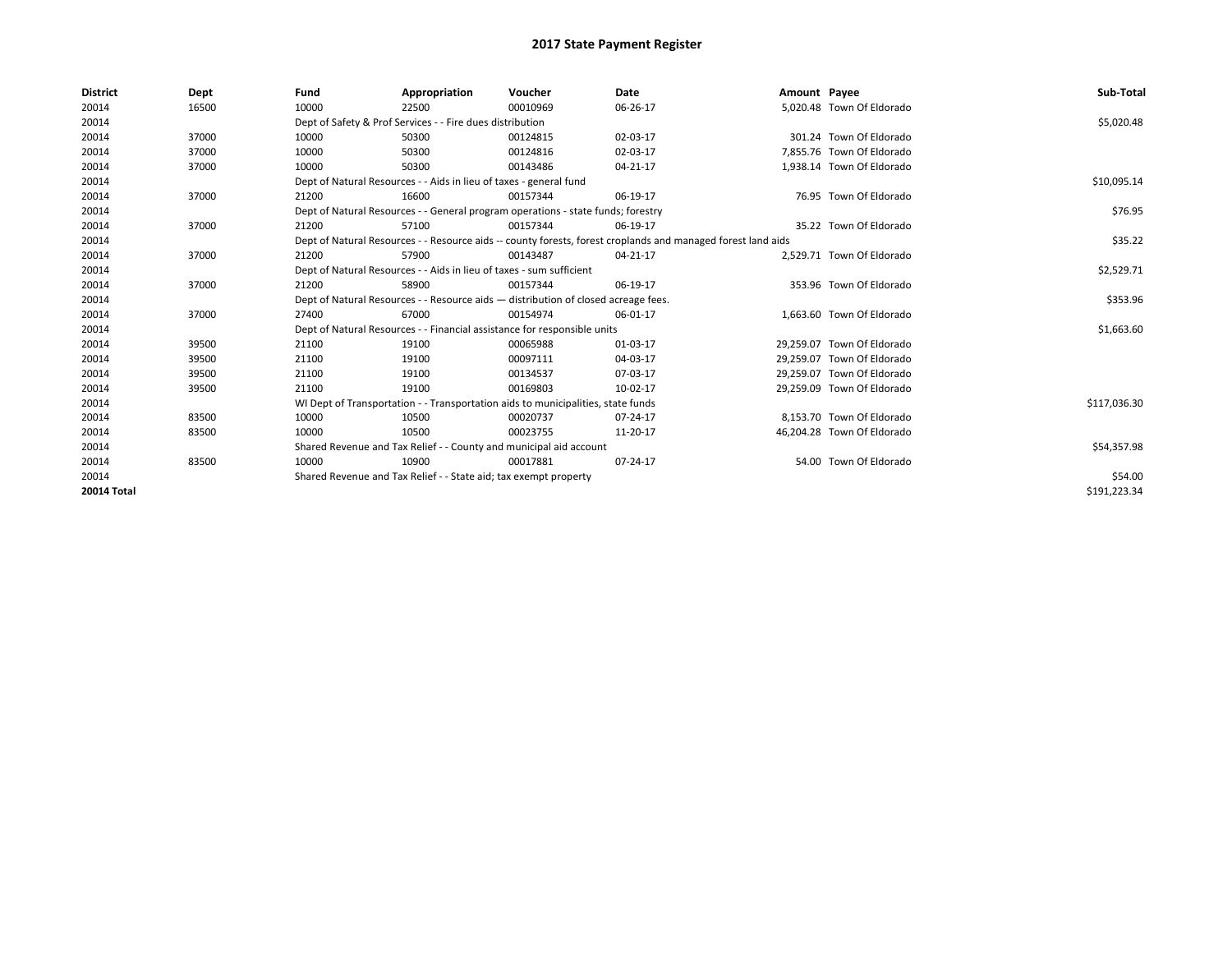| <b>District</b> | Dept  | Fund                                                                 | Appropriation                                                                                                | Voucher    | <b>Date</b> | Amount Payee |                            | Sub-Total    |
|-----------------|-------|----------------------------------------------------------------------|--------------------------------------------------------------------------------------------------------------|------------|-------------|--------------|----------------------------|--------------|
| 20014           | 16500 | 10000                                                                | 22500                                                                                                        | 00010969   | 06-26-17    |              | 5,020.48 Town Of Eldorado  |              |
| 20014           |       |                                                                      | Dept of Safety & Prof Services - - Fire dues distribution                                                    |            |             |              |                            | \$5,020.48   |
| 20014           | 37000 | 10000                                                                | 50300                                                                                                        | 00124815   | 02-03-17    |              | 301.24 Town Of Eldorado    |              |
| 20014           | 37000 | 10000                                                                | 50300                                                                                                        | 00124816   | 02-03-17    |              | 7,855.76 Town Of Eldorado  |              |
| 20014           | 37000 | 10000                                                                | 50300                                                                                                        | 00143486   | 04-21-17    |              | 1,938.14 Town Of Eldorado  |              |
| 20014           |       |                                                                      | Dept of Natural Resources - - Aids in lieu of taxes - general fund                                           |            |             |              |                            | \$10,095.14  |
| 20014           | 37000 | 21200                                                                | 16600                                                                                                        | 00157344   | 06-19-17    |              | 76.95 Town Of Eldorado     |              |
| 20014           |       |                                                                      | Dept of Natural Resources - - General program operations - state funds; forestry                             |            |             |              |                            | \$76.95      |
| 20014           | 37000 | 21200                                                                | 57100                                                                                                        | 00157344   | 06-19-17    |              | 35.22 Town Of Eldorado     |              |
| 20014           |       |                                                                      | Dept of Natural Resources - - Resource aids -- county forests, forest croplands and managed forest land aids |            | \$35.22     |              |                            |              |
| 20014           | 37000 | 21200                                                                | 57900                                                                                                        | 00143487   | 04-21-17    |              | 2,529.71 Town Of Eldorado  |              |
| 20014           |       | Dept of Natural Resources - - Aids in lieu of taxes - sum sufficient |                                                                                                              | \$2,529.71 |             |              |                            |              |
| 20014           | 37000 | 21200                                                                | 58900                                                                                                        | 00157344   | 06-19-17    |              | 353.96 Town Of Eldorado    |              |
| 20014           |       |                                                                      | Dept of Natural Resources - - Resource aids - distribution of closed acreage fees.                           |            |             |              |                            | \$353.96     |
| 20014           | 37000 | 27400                                                                | 67000                                                                                                        | 00154974   | 06-01-17    |              | 1.663.60 Town Of Eldorado  |              |
| 20014           |       |                                                                      | Dept of Natural Resources - - Financial assistance for responsible units                                     |            |             |              |                            | \$1,663.60   |
| 20014           | 39500 | 21100                                                                | 19100                                                                                                        | 00065988   | 01-03-17    |              | 29,259.07 Town Of Eldorado |              |
| 20014           | 39500 | 21100                                                                | 19100                                                                                                        | 00097111   | 04-03-17    |              | 29.259.07 Town Of Eldorado |              |
| 20014           | 39500 | 21100                                                                | 19100                                                                                                        | 00134537   | 07-03-17    |              | 29.259.07 Town Of Eldorado |              |
| 20014           | 39500 | 21100                                                                | 19100                                                                                                        | 00169803   | 10-02-17    |              | 29.259.09 Town Of Eldorado |              |
| 20014           |       |                                                                      | WI Dept of Transportation - - Transportation aids to municipalities, state funds                             |            |             |              |                            | \$117,036.30 |
| 20014           | 83500 | 10000                                                                | 10500                                                                                                        | 00020737   | 07-24-17    |              | 8,153.70 Town Of Eldorado  |              |
| 20014           | 83500 | 10000                                                                | 10500                                                                                                        | 00023755   | 11-20-17    |              | 46,204.28 Town Of Eldorado |              |
| 20014           |       |                                                                      | Shared Revenue and Tax Relief - - County and municipal aid account                                           |            |             |              |                            | \$54,357.98  |
| 20014           | 83500 | 10000                                                                | 10900                                                                                                        | 00017881   | 07-24-17    |              | 54.00 Town Of Eldorado     |              |
| 20014           |       | Shared Revenue and Tax Relief - - State aid; tax exempt property     |                                                                                                              | \$54.00    |             |              |                            |              |
| 20014 Total     |       |                                                                      |                                                                                                              |            |             |              |                            | \$191,223.34 |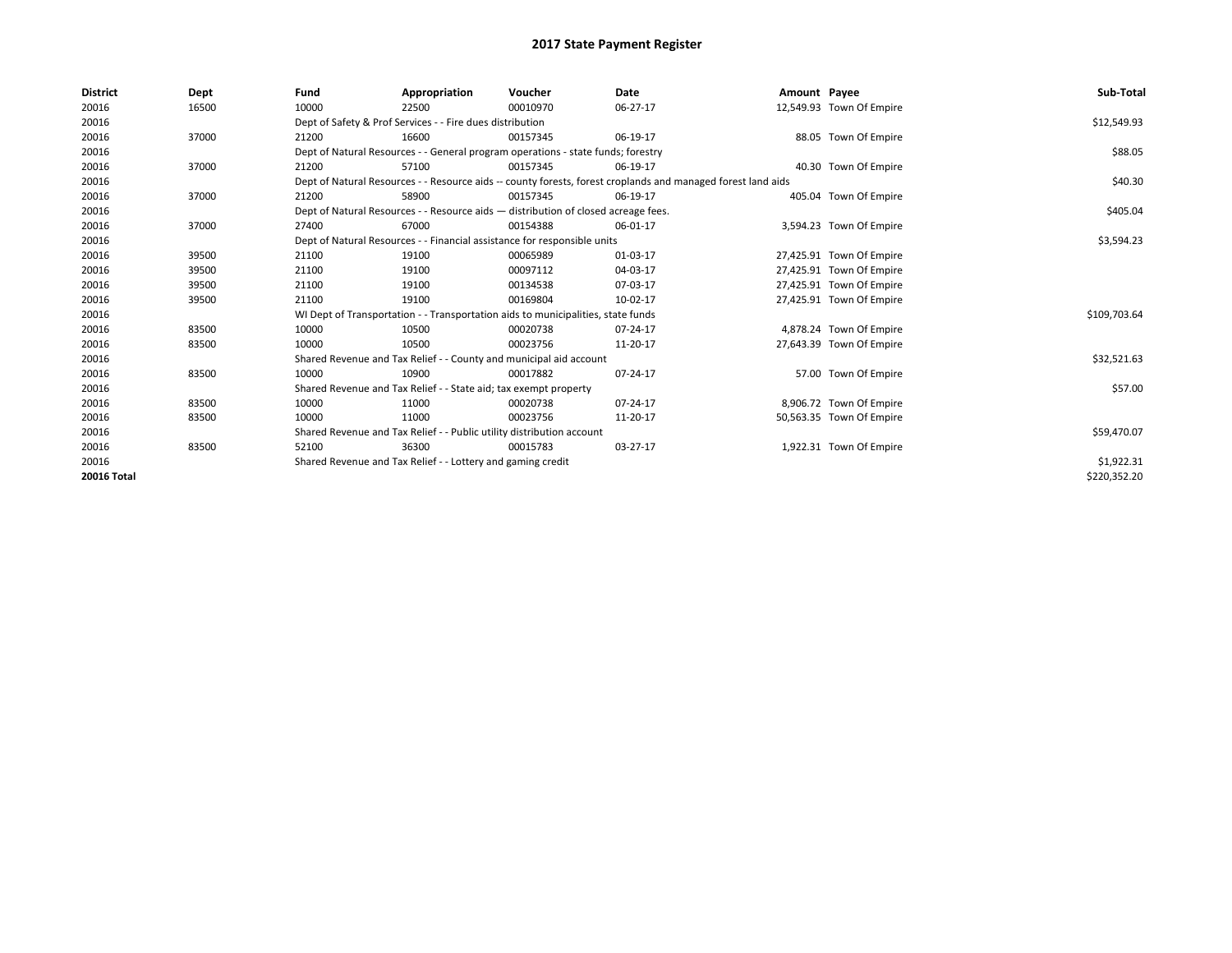| <b>District</b> | Dept  | Fund  | Appropriation                                                                      | Voucher  | Date                                                                                                         | Amount Payee |                          | Sub-Total    |
|-----------------|-------|-------|------------------------------------------------------------------------------------|----------|--------------------------------------------------------------------------------------------------------------|--------------|--------------------------|--------------|
| 20016           | 16500 | 10000 | 22500                                                                              | 00010970 | 06-27-17                                                                                                     |              | 12,549.93 Town Of Empire |              |
| 20016           |       |       | Dept of Safety & Prof Services - - Fire dues distribution                          |          |                                                                                                              |              |                          | \$12,549.93  |
| 20016           | 37000 | 21200 | 16600                                                                              | 00157345 | 06-19-17                                                                                                     |              | 88.05 Town Of Empire     |              |
| 20016           |       |       | Dept of Natural Resources - - General program operations - state funds; forestry   |          |                                                                                                              |              |                          | \$88.05      |
| 20016           | 37000 | 21200 | 57100                                                                              | 00157345 | 06-19-17                                                                                                     |              | 40.30 Town Of Empire     |              |
| 20016           |       |       |                                                                                    |          | Dept of Natural Resources - - Resource aids -- county forests, forest croplands and managed forest land aids |              |                          | \$40.30      |
| 20016           | 37000 | 21200 | 58900                                                                              | 00157345 | 06-19-17                                                                                                     |              | 405.04 Town Of Empire    |              |
| 20016           |       |       | Dept of Natural Resources - - Resource aids - distribution of closed acreage fees. |          |                                                                                                              |              |                          | \$405.04     |
| 20016           | 37000 | 27400 | 67000                                                                              | 00154388 | 06-01-17                                                                                                     |              | 3,594.23 Town Of Empire  |              |
| 20016           |       |       | Dept of Natural Resources - - Financial assistance for responsible units           |          | \$3,594.23                                                                                                   |              |                          |              |
| 20016           | 39500 | 21100 | 19100                                                                              | 00065989 | 01-03-17                                                                                                     |              | 27,425.91 Town Of Empire |              |
| 20016           | 39500 | 21100 | 19100                                                                              | 00097112 | 04-03-17                                                                                                     |              | 27,425.91 Town Of Empire |              |
| 20016           | 39500 | 21100 | 19100                                                                              | 00134538 | 07-03-17                                                                                                     |              | 27,425.91 Town Of Empire |              |
| 20016           | 39500 | 21100 | 19100                                                                              | 00169804 | 10-02-17                                                                                                     |              | 27,425.91 Town Of Empire |              |
| 20016           |       |       | WI Dept of Transportation - - Transportation aids to municipalities, state funds   |          |                                                                                                              |              |                          | \$109,703.64 |
| 20016           | 83500 | 10000 | 10500                                                                              | 00020738 | 07-24-17                                                                                                     |              | 4,878.24 Town Of Empire  |              |
| 20016           | 83500 | 10000 | 10500                                                                              | 00023756 | 11-20-17                                                                                                     |              | 27,643.39 Town Of Empire |              |
| 20016           |       |       | Shared Revenue and Tax Relief - - County and municipal aid account                 |          |                                                                                                              |              |                          | \$32,521.63  |
| 20016           | 83500 | 10000 | 10900                                                                              | 00017882 | 07-24-17                                                                                                     |              | 57.00 Town Of Empire     |              |
| 20016           |       |       | Shared Revenue and Tax Relief - - State aid; tax exempt property                   |          |                                                                                                              |              |                          | \$57.00      |
| 20016           | 83500 | 10000 | 11000                                                                              | 00020738 | 07-24-17                                                                                                     |              | 8,906.72 Town Of Empire  |              |
| 20016           | 83500 | 10000 | 11000                                                                              | 00023756 | 11-20-17                                                                                                     |              | 50,563.35 Town Of Empire |              |
| 20016           |       |       | Shared Revenue and Tax Relief - - Public utility distribution account              |          |                                                                                                              |              |                          | \$59,470.07  |
| 20016           | 83500 | 52100 | 36300                                                                              | 00015783 | 03-27-17                                                                                                     |              | 1,922.31 Town Of Empire  |              |
| 20016           |       |       | Shared Revenue and Tax Relief - - Lottery and gaming credit                        |          |                                                                                                              |              |                          | \$1,922.31   |
| 20016 Total     |       |       |                                                                                    |          |                                                                                                              |              |                          | \$220,352.20 |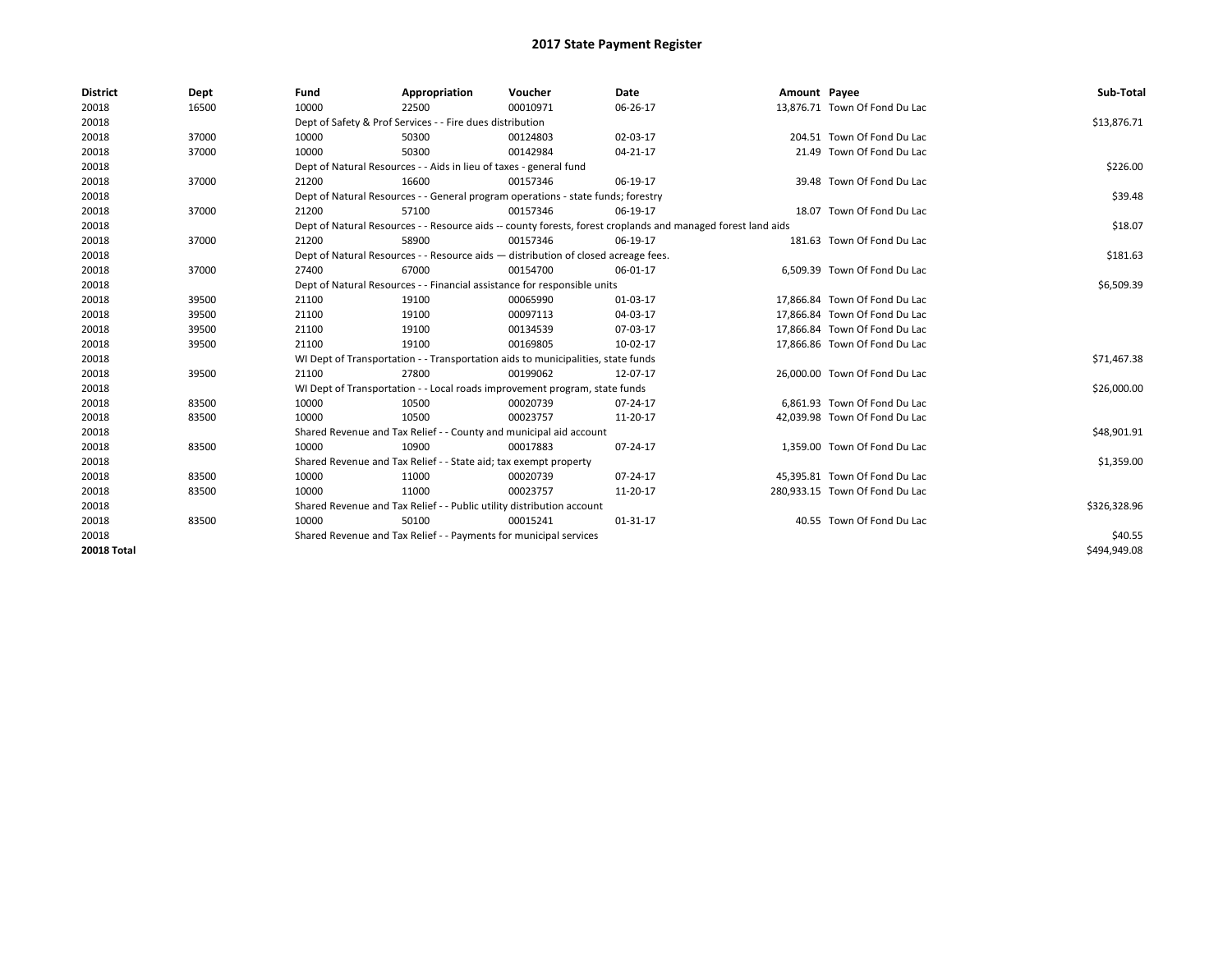| <b>District</b>    | Dept  | Fund  | Appropriation                                                                      | Voucher  | Date                                                                                                         | Amount Payee |                                | Sub-Total    |  |  |
|--------------------|-------|-------|------------------------------------------------------------------------------------|----------|--------------------------------------------------------------------------------------------------------------|--------------|--------------------------------|--------------|--|--|
| 20018              | 16500 | 10000 | 22500                                                                              | 00010971 | 06-26-17                                                                                                     |              | 13,876.71 Town Of Fond Du Lac  |              |  |  |
| 20018              |       |       | Dept of Safety & Prof Services - - Fire dues distribution                          |          |                                                                                                              |              |                                | \$13,876.71  |  |  |
| 20018              | 37000 | 10000 | 50300                                                                              | 00124803 | 02-03-17                                                                                                     |              | 204.51 Town Of Fond Du Lac     |              |  |  |
| 20018              | 37000 | 10000 | 50300                                                                              | 00142984 | 04-21-17                                                                                                     |              | 21.49 Town Of Fond Du Lac      |              |  |  |
| 20018              |       |       | Dept of Natural Resources - - Aids in lieu of taxes - general fund                 |          |                                                                                                              |              |                                | \$226.00     |  |  |
| 20018              | 37000 | 21200 | 16600                                                                              | 00157346 | 06-19-17                                                                                                     |              | 39.48 Town Of Fond Du Lac      |              |  |  |
| 20018              |       |       | Dept of Natural Resources - - General program operations - state funds; forestry   |          |                                                                                                              |              |                                | \$39.48      |  |  |
| 20018              | 37000 | 21200 | 57100                                                                              | 00157346 | 06-19-17                                                                                                     |              | 18.07 Town Of Fond Du Lac      |              |  |  |
| 20018              |       |       |                                                                                    |          | Dept of Natural Resources - - Resource aids -- county forests, forest croplands and managed forest land aids |              |                                | \$18.07      |  |  |
| 20018              | 37000 | 21200 | 58900                                                                              | 00157346 | 06-19-17                                                                                                     |              | 181.63 Town Of Fond Du Lac     |              |  |  |
| 20018              |       |       | Dept of Natural Resources - - Resource aids - distribution of closed acreage fees. |          |                                                                                                              |              |                                | \$181.63     |  |  |
| 20018              | 37000 | 27400 | 67000                                                                              | 00154700 | 06-01-17                                                                                                     |              | 6,509.39 Town Of Fond Du Lac   |              |  |  |
| 20018              |       |       | Dept of Natural Resources - - Financial assistance for responsible units           |          |                                                                                                              |              |                                |              |  |  |
| 20018              | 39500 | 21100 | 19100                                                                              | 00065990 | 01-03-17                                                                                                     |              | 17.866.84 Town Of Fond Du Lac  |              |  |  |
| 20018              | 39500 | 21100 | 19100                                                                              | 00097113 | 04-03-17                                                                                                     |              | 17.866.84 Town Of Fond Du Lac  |              |  |  |
| 20018              | 39500 | 21100 | 19100                                                                              | 00134539 | 07-03-17                                                                                                     |              | 17.866.84 Town Of Fond Du Lac  |              |  |  |
| 20018              | 39500 | 21100 | 19100                                                                              | 00169805 | 10-02-17                                                                                                     |              | 17,866.86 Town Of Fond Du Lac  |              |  |  |
| 20018              |       |       | WI Dept of Transportation - - Transportation aids to municipalities, state funds   |          |                                                                                                              |              |                                | \$71,467.38  |  |  |
| 20018              | 39500 | 21100 | 27800                                                                              | 00199062 | 12-07-17                                                                                                     |              | 26.000.00 Town Of Fond Du Lac  |              |  |  |
| 20018              |       |       | WI Dept of Transportation - - Local roads improvement program, state funds         |          |                                                                                                              |              |                                | \$26,000.00  |  |  |
| 20018              | 83500 | 10000 | 10500                                                                              | 00020739 | 07-24-17                                                                                                     |              | 6,861.93 Town Of Fond Du Lac   |              |  |  |
| 20018              | 83500 | 10000 | 10500                                                                              | 00023757 | 11-20-17                                                                                                     |              | 42,039.98 Town Of Fond Du Lac  |              |  |  |
| 20018              |       |       | Shared Revenue and Tax Relief - - County and municipal aid account                 |          |                                                                                                              |              |                                | \$48,901.91  |  |  |
| 20018              | 83500 | 10000 | 10900                                                                              | 00017883 | 07-24-17                                                                                                     |              | 1.359.00 Town Of Fond Du Lac   |              |  |  |
| 20018              |       |       | Shared Revenue and Tax Relief - - State aid; tax exempt property                   |          |                                                                                                              |              |                                | \$1,359.00   |  |  |
| 20018              | 83500 | 10000 | 11000                                                                              | 00020739 | 07-24-17                                                                                                     |              | 45,395.81 Town Of Fond Du Lac  |              |  |  |
| 20018              | 83500 | 10000 | 11000                                                                              | 00023757 | 11-20-17                                                                                                     |              | 280,933.15 Town Of Fond Du Lac |              |  |  |
| 20018              |       |       | Shared Revenue and Tax Relief - - Public utility distribution account              |          |                                                                                                              |              |                                | \$326,328.96 |  |  |
| 20018              | 83500 | 10000 | 50100                                                                              | 00015241 | 01-31-17                                                                                                     |              | 40.55 Town Of Fond Du Lac      |              |  |  |
| 20018              |       |       | Shared Revenue and Tax Relief - - Payments for municipal services                  |          |                                                                                                              |              |                                | \$40.55      |  |  |
| <b>20018 Total</b> |       |       |                                                                                    |          |                                                                                                              |              |                                | \$494.949.08 |  |  |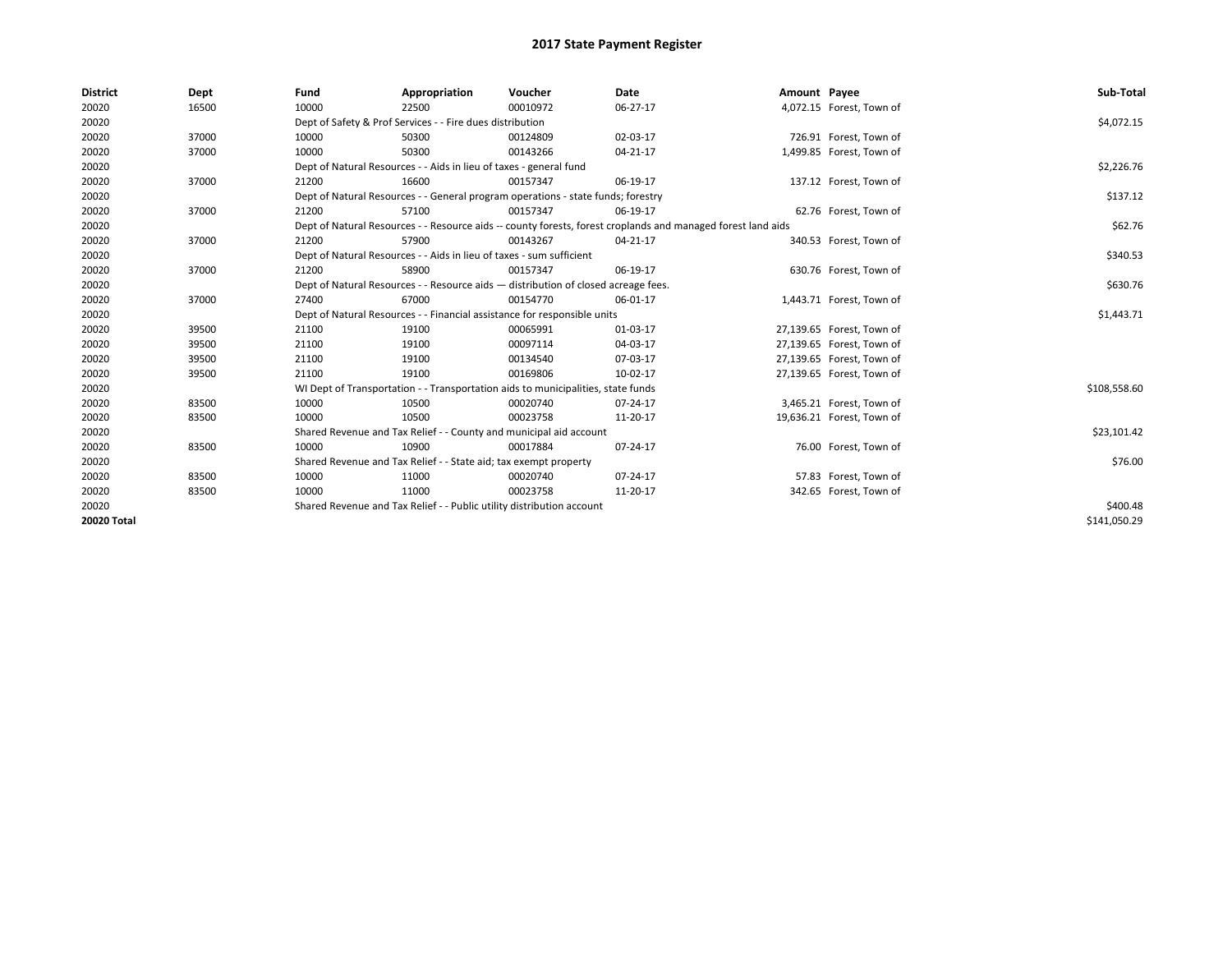| <b>District</b> | Dept  | Fund                                                                               | Appropriation                                                                    | Voucher  | Date                                                                                                         | Amount Payee |                           | Sub-Total    |
|-----------------|-------|------------------------------------------------------------------------------------|----------------------------------------------------------------------------------|----------|--------------------------------------------------------------------------------------------------------------|--------------|---------------------------|--------------|
| 20020           | 16500 | 10000                                                                              | 22500                                                                            | 00010972 | 06-27-17                                                                                                     |              | 4,072.15 Forest, Town of  |              |
| 20020           |       |                                                                                    | Dept of Safety & Prof Services - - Fire dues distribution                        |          |                                                                                                              |              |                           | \$4,072.15   |
| 20020           | 37000 | 10000                                                                              | 50300                                                                            | 00124809 | 02-03-17                                                                                                     |              | 726.91 Forest, Town of    |              |
| 20020           | 37000 | 10000                                                                              | 50300                                                                            | 00143266 | 04-21-17                                                                                                     |              | 1,499.85 Forest, Town of  |              |
| 20020           |       |                                                                                    | Dept of Natural Resources - - Aids in lieu of taxes - general fund               |          |                                                                                                              |              |                           | \$2,226.76   |
| 20020           | 37000 | 21200                                                                              | 16600                                                                            | 00157347 | 06-19-17                                                                                                     |              | 137.12 Forest, Town of    |              |
| 20020           |       |                                                                                    | Dept of Natural Resources - - General program operations - state funds; forestry |          |                                                                                                              |              |                           | \$137.12     |
| 20020           | 37000 | 21200                                                                              | 57100                                                                            | 00157347 | 06-19-17                                                                                                     |              | 62.76 Forest, Town of     |              |
| 20020           |       |                                                                                    |                                                                                  |          | Dept of Natural Resources - - Resource aids -- county forests, forest croplands and managed forest land aids |              |                           | \$62.76      |
| 20020           | 37000 | 21200                                                                              | 57900                                                                            | 00143267 | 04-21-17                                                                                                     |              | 340.53 Forest, Town of    |              |
| 20020           |       |                                                                                    | Dept of Natural Resources - - Aids in lieu of taxes - sum sufficient             |          |                                                                                                              |              |                           | \$340.53     |
| 20020           | 37000 | 21200                                                                              | 58900                                                                            | 00157347 | 06-19-17                                                                                                     |              | 630.76 Forest, Town of    |              |
| 20020           |       | Dept of Natural Resources - - Resource aids - distribution of closed acreage fees. |                                                                                  | \$630.76 |                                                                                                              |              |                           |              |
| 20020           | 37000 | 27400                                                                              | 67000                                                                            | 00154770 | 06-01-17                                                                                                     |              | 1,443.71 Forest, Town of  |              |
| 20020           |       |                                                                                    | Dept of Natural Resources - - Financial assistance for responsible units         |          |                                                                                                              |              |                           | \$1,443.71   |
| 20020           | 39500 | 21100                                                                              | 19100                                                                            | 00065991 | 01-03-17                                                                                                     |              | 27,139.65 Forest, Town of |              |
| 20020           | 39500 | 21100                                                                              | 19100                                                                            | 00097114 | 04-03-17                                                                                                     |              | 27,139.65 Forest, Town of |              |
| 20020           | 39500 | 21100                                                                              | 19100                                                                            | 00134540 | 07-03-17                                                                                                     |              | 27,139.65 Forest, Town of |              |
| 20020           | 39500 | 21100                                                                              | 19100                                                                            | 00169806 | 10-02-17                                                                                                     |              | 27,139.65 Forest, Town of |              |
| 20020           |       |                                                                                    | WI Dept of Transportation - - Transportation aids to municipalities, state funds |          |                                                                                                              |              |                           | \$108,558.60 |
| 20020           | 83500 | 10000                                                                              | 10500                                                                            | 00020740 | 07-24-17                                                                                                     |              | 3,465.21 Forest, Town of  |              |
| 20020           | 83500 | 10000                                                                              | 10500                                                                            | 00023758 | 11-20-17                                                                                                     |              | 19,636.21 Forest, Town of |              |
| 20020           |       |                                                                                    | Shared Revenue and Tax Relief - - County and municipal aid account               |          |                                                                                                              |              |                           | \$23,101.42  |
| 20020           | 83500 | 10000                                                                              | 10900                                                                            | 00017884 | 07-24-17                                                                                                     |              | 76.00 Forest, Town of     |              |
| 20020           |       |                                                                                    | Shared Revenue and Tax Relief - - State aid; tax exempt property                 |          |                                                                                                              |              |                           | \$76.00      |
| 20020           | 83500 | 10000                                                                              | 11000                                                                            | 00020740 | 07-24-17                                                                                                     |              | 57.83 Forest, Town of     |              |
| 20020           | 83500 | 10000                                                                              | 11000                                                                            | 00023758 | 11-20-17                                                                                                     |              | 342.65 Forest, Town of    |              |
| 20020           |       |                                                                                    | Shared Revenue and Tax Relief - - Public utility distribution account            |          |                                                                                                              |              |                           | \$400.48     |
| 20020 Total     |       |                                                                                    |                                                                                  |          |                                                                                                              |              |                           | \$141,050.29 |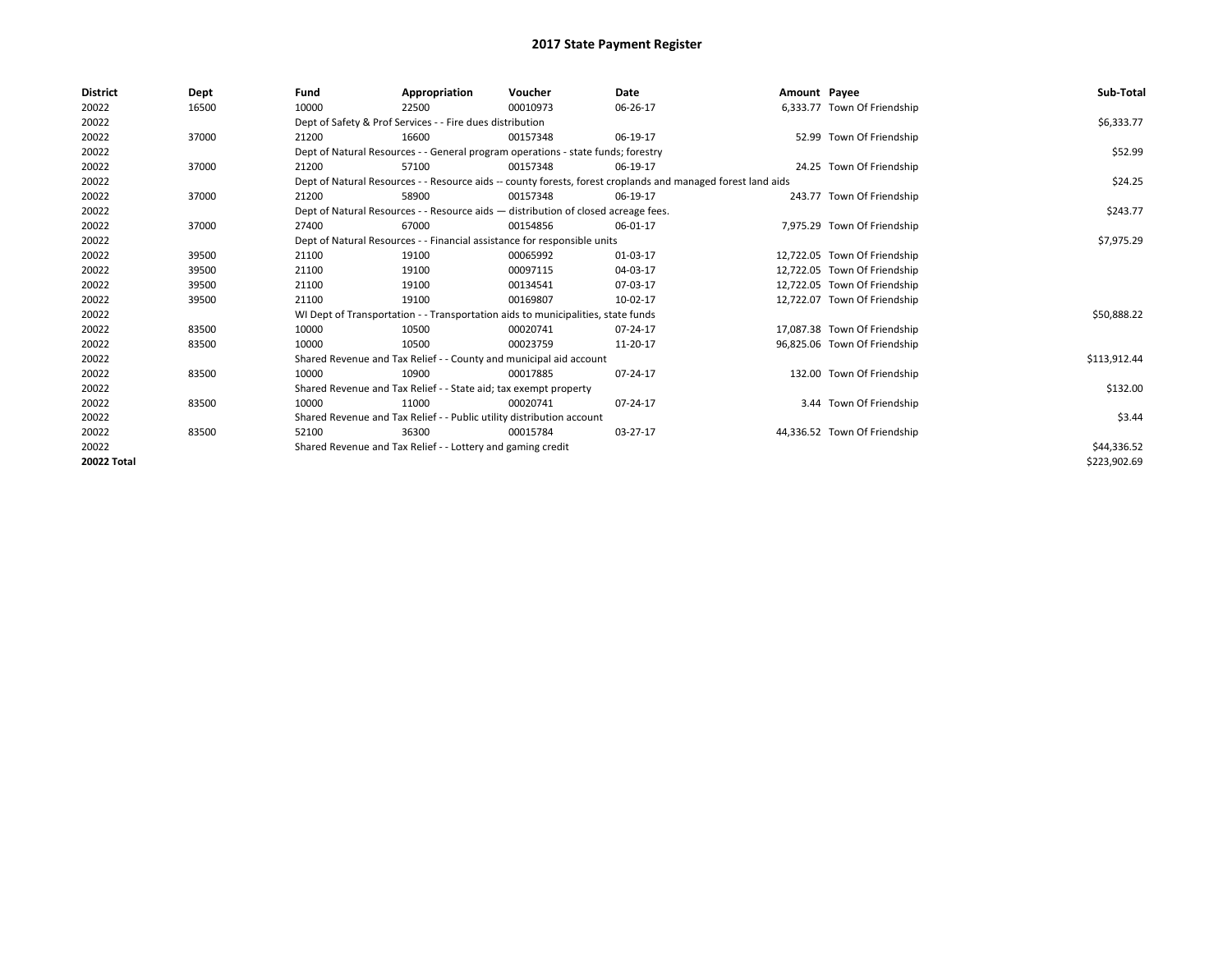| <b>District</b> | Dept  | Fund                                                                     | Appropriation                                                                      | Voucher    | Date                                                                                                         | Amount Payee |                              | Sub-Total    |
|-----------------|-------|--------------------------------------------------------------------------|------------------------------------------------------------------------------------|------------|--------------------------------------------------------------------------------------------------------------|--------------|------------------------------|--------------|
| 20022           | 16500 | 10000                                                                    | 22500                                                                              | 00010973   | 06-26-17                                                                                                     |              | 6,333.77 Town Of Friendship  |              |
| 20022           |       |                                                                          | Dept of Safety & Prof Services - - Fire dues distribution                          |            |                                                                                                              |              |                              | \$6,333.77   |
| 20022           | 37000 | 21200                                                                    | 16600                                                                              | 00157348   | 06-19-17                                                                                                     |              | 52.99 Town Of Friendship     |              |
| 20022           |       |                                                                          | Dept of Natural Resources - - General program operations - state funds; forestry   |            |                                                                                                              |              |                              | \$52.99      |
| 20022           | 37000 | 21200                                                                    | 57100                                                                              | 00157348   | 06-19-17                                                                                                     |              | 24.25 Town Of Friendship     |              |
| 20022           |       |                                                                          |                                                                                    |            | Dept of Natural Resources - - Resource aids -- county forests, forest croplands and managed forest land aids |              |                              | \$24.25      |
| 20022           | 37000 | 21200                                                                    | 58900                                                                              | 00157348   | 06-19-17                                                                                                     |              | 243.77 Town Of Friendship    |              |
| 20022           |       |                                                                          | Dept of Natural Resources - - Resource aids - distribution of closed acreage fees. |            |                                                                                                              |              |                              | \$243.77     |
| 20022           | 37000 | 27400                                                                    | 67000                                                                              | 00154856   | 06-01-17                                                                                                     |              | 7,975.29 Town Of Friendship  |              |
| 20022           |       | Dept of Natural Resources - - Financial assistance for responsible units |                                                                                    | \$7,975.29 |                                                                                                              |              |                              |              |
| 20022           | 39500 | 21100                                                                    | 19100                                                                              | 00065992   | 01-03-17                                                                                                     |              | 12,722.05 Town Of Friendship |              |
| 20022           | 39500 | 21100                                                                    | 19100                                                                              | 00097115   | 04-03-17                                                                                                     |              | 12,722.05 Town Of Friendship |              |
| 20022           | 39500 | 21100                                                                    | 19100                                                                              | 00134541   | 07-03-17                                                                                                     |              | 12,722.05 Town Of Friendship |              |
| 20022           | 39500 | 21100                                                                    | 19100                                                                              | 00169807   | 10-02-17                                                                                                     |              | 12,722.07 Town Of Friendship |              |
| 20022           |       |                                                                          | WI Dept of Transportation - - Transportation aids to municipalities, state funds   |            |                                                                                                              |              |                              | \$50,888.22  |
| 20022           | 83500 | 10000                                                                    | 10500                                                                              | 00020741   | 07-24-17                                                                                                     |              | 17,087.38 Town Of Friendship |              |
| 20022           | 83500 | 10000                                                                    | 10500                                                                              | 00023759   | 11-20-17                                                                                                     |              | 96,825.06 Town Of Friendship |              |
| 20022           |       |                                                                          | Shared Revenue and Tax Relief - - County and municipal aid account                 |            |                                                                                                              |              |                              | \$113,912.44 |
| 20022           | 83500 | 10000                                                                    | 10900                                                                              | 00017885   | 07-24-17                                                                                                     |              | 132.00 Town Of Friendship    |              |
| 20022           |       |                                                                          | Shared Revenue and Tax Relief - - State aid; tax exempt property                   |            |                                                                                                              |              |                              | \$132.00     |
| 20022           | 83500 | 10000                                                                    | 11000                                                                              | 00020741   | 07-24-17                                                                                                     |              | 3.44 Town Of Friendship      |              |
| 20022           |       |                                                                          | Shared Revenue and Tax Relief - - Public utility distribution account              |            |                                                                                                              |              |                              | \$3.44       |
| 20022           | 83500 | 52100                                                                    | 36300                                                                              | 00015784   | 03-27-17                                                                                                     |              | 44,336.52 Town Of Friendship |              |
| 20022           |       |                                                                          | Shared Revenue and Tax Relief - - Lottery and gaming credit                        |            |                                                                                                              |              |                              | \$44,336.52  |
| 20022 Total     |       |                                                                          |                                                                                    |            |                                                                                                              |              |                              | \$223,902.69 |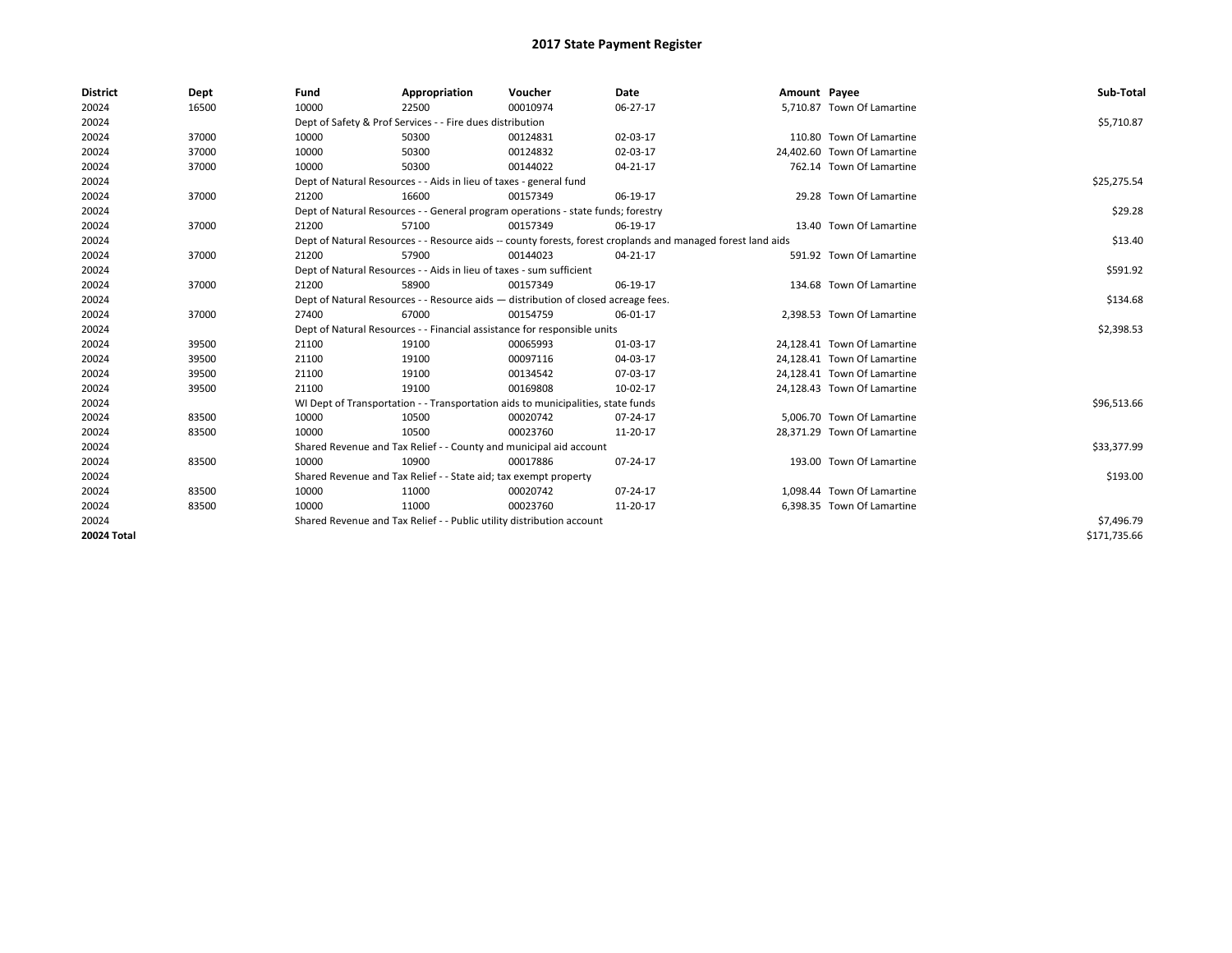| <b>District</b> | Dept  | Fund                                                                                                         | Appropriation                                                                    | Voucher    | Date           | Amount Payee |                             | Sub-Total    |
|-----------------|-------|--------------------------------------------------------------------------------------------------------------|----------------------------------------------------------------------------------|------------|----------------|--------------|-----------------------------|--------------|
| 20024           | 16500 | 10000                                                                                                        | 22500                                                                            | 00010974   | 06-27-17       |              | 5,710.87 Town Of Lamartine  |              |
| 20024           |       |                                                                                                              | Dept of Safety & Prof Services - - Fire dues distribution                        |            |                |              |                             | \$5,710.87   |
| 20024           | 37000 | 10000                                                                                                        | 50300                                                                            | 00124831   | 02-03-17       |              | 110.80 Town Of Lamartine    |              |
| 20024           | 37000 | 10000                                                                                                        | 50300                                                                            | 00124832   | 02-03-17       |              | 24,402.60 Town Of Lamartine |              |
| 20024           | 37000 | 10000                                                                                                        | 50300                                                                            | 00144022   | 04-21-17       |              | 762.14 Town Of Lamartine    |              |
| 20024           |       |                                                                                                              | Dept of Natural Resources - - Aids in lieu of taxes - general fund               |            |                |              |                             | \$25,275.54  |
| 20024           | 37000 | 21200                                                                                                        | 16600                                                                            | 00157349   | 06-19-17       |              | 29.28 Town Of Lamartine     |              |
| 20024           |       |                                                                                                              | Dept of Natural Resources - - General program operations - state funds; forestry |            |                |              |                             | \$29.28      |
| 20024           | 37000 | 21200                                                                                                        | 57100                                                                            | 00157349   | 06-19-17       |              | 13.40 Town Of Lamartine     |              |
| 20024           |       | Dept of Natural Resources - - Resource aids -- county forests, forest croplands and managed forest land aids |                                                                                  | \$13.40    |                |              |                             |              |
| 20024           | 37000 | 21200                                                                                                        | 57900                                                                            | 00144023   | $04 - 21 - 17$ |              | 591.92 Town Of Lamartine    |              |
| 20024           |       |                                                                                                              | Dept of Natural Resources - - Aids in lieu of taxes - sum sufficient             |            |                |              |                             | \$591.92     |
| 20024           | 37000 | 21200                                                                                                        | 58900                                                                            | 00157349   | 06-19-17       |              | 134.68 Town Of Lamartine    |              |
| 20024           |       | Dept of Natural Resources - - Resource aids - distribution of closed acreage fees.                           |                                                                                  | \$134.68   |                |              |                             |              |
| 20024           | 37000 | 27400                                                                                                        | 67000                                                                            | 00154759   | 06-01-17       |              | 2.398.53 Town Of Lamartine  |              |
| 20024           |       |                                                                                                              | Dept of Natural Resources - - Financial assistance for responsible units         |            |                |              |                             | \$2,398.53   |
| 20024           | 39500 | 21100                                                                                                        | 19100                                                                            | 00065993   | $01-03-17$     |              | 24,128.41 Town Of Lamartine |              |
| 20024           | 39500 | 21100                                                                                                        | 19100                                                                            | 00097116   | 04-03-17       |              | 24,128.41 Town Of Lamartine |              |
| 20024           | 39500 | 21100                                                                                                        | 19100                                                                            | 00134542   | 07-03-17       |              | 24,128.41 Town Of Lamartine |              |
| 20024           | 39500 | 21100                                                                                                        | 19100                                                                            | 00169808   | 10-02-17       |              | 24,128.43 Town Of Lamartine |              |
| 20024           |       |                                                                                                              | WI Dept of Transportation - - Transportation aids to municipalities, state funds |            |                |              |                             | \$96,513.66  |
| 20024           | 83500 | 10000                                                                                                        | 10500                                                                            | 00020742   | 07-24-17       |              | 5.006.70 Town Of Lamartine  |              |
| 20024           | 83500 | 10000                                                                                                        | 10500                                                                            | 00023760   | 11-20-17       |              | 28,371.29 Town Of Lamartine |              |
| 20024           |       |                                                                                                              | Shared Revenue and Tax Relief - - County and municipal aid account               |            |                |              |                             | \$33,377.99  |
| 20024           | 83500 | 10000                                                                                                        | 10900                                                                            | 00017886   | 07-24-17       |              | 193.00 Town Of Lamartine    |              |
| 20024           |       |                                                                                                              | Shared Revenue and Tax Relief - - State aid; tax exempt property                 |            |                |              |                             | \$193.00     |
| 20024           | 83500 | 10000                                                                                                        | 11000                                                                            | 00020742   | 07-24-17       |              | 1.098.44 Town Of Lamartine  |              |
| 20024           | 83500 | 10000                                                                                                        | 11000                                                                            | 00023760   | 11-20-17       |              | 6,398.35 Town Of Lamartine  |              |
| 20024           |       | Shared Revenue and Tax Relief - - Public utility distribution account                                        |                                                                                  | \$7,496.79 |                |              |                             |              |
| 20024 Total     |       |                                                                                                              |                                                                                  |            |                |              |                             | \$171,735.66 |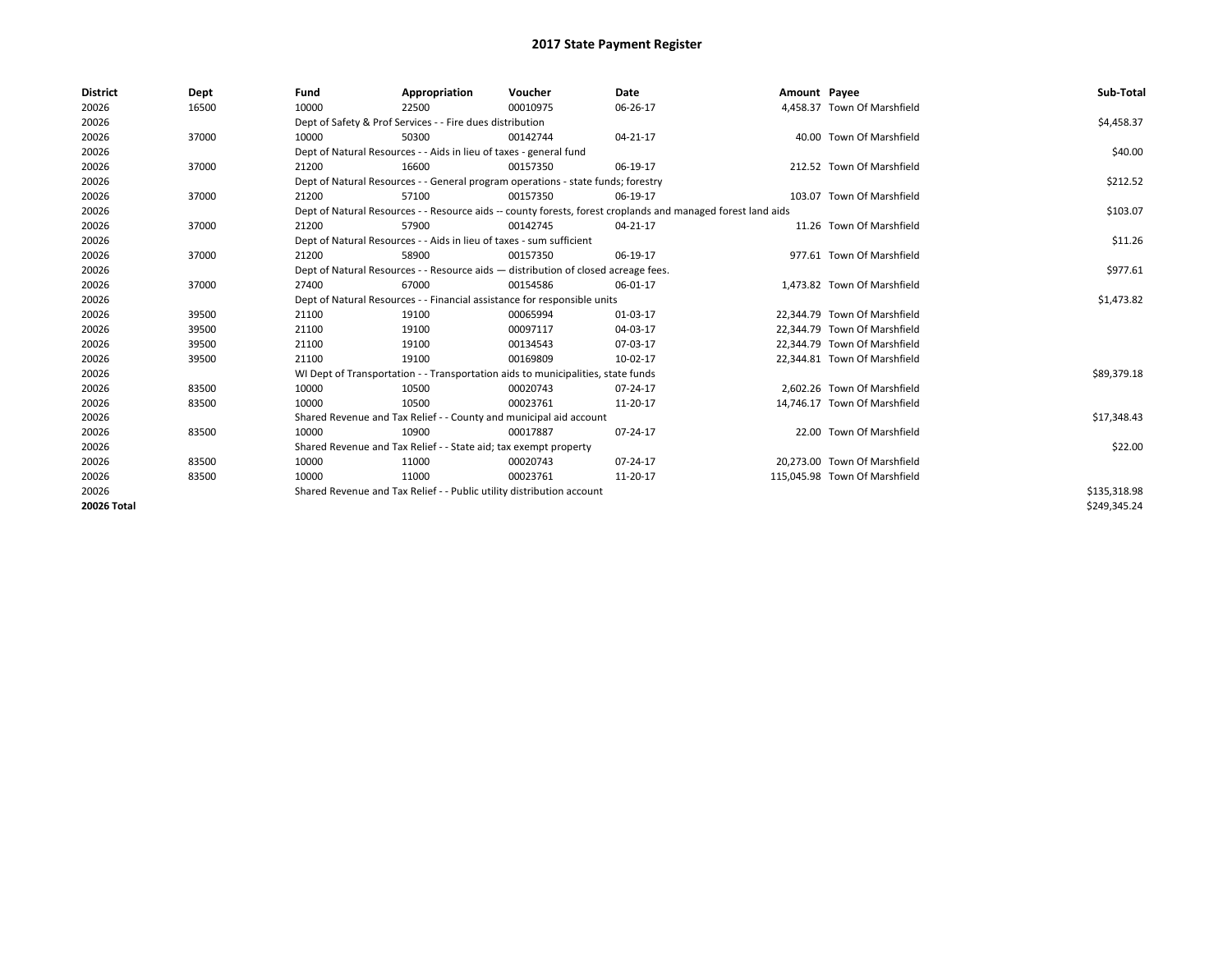| <b>District</b> | Dept  | Fund  | Appropriation                                                                                                | Voucher  | <b>Date</b> | Amount Payee |                               | Sub-Total    |
|-----------------|-------|-------|--------------------------------------------------------------------------------------------------------------|----------|-------------|--------------|-------------------------------|--------------|
| 20026           | 16500 | 10000 | 22500                                                                                                        | 00010975 | 06-26-17    |              | 4,458.37 Town Of Marshfield   |              |
| 20026           |       |       | Dept of Safety & Prof Services - - Fire dues distribution                                                    |          |             |              |                               | \$4,458.37   |
| 20026           | 37000 | 10000 | 50300                                                                                                        | 00142744 | 04-21-17    |              | 40.00 Town Of Marshfield      |              |
| 20026           |       |       | Dept of Natural Resources - - Aids in lieu of taxes - general fund                                           |          |             |              |                               | \$40.00      |
| 20026           | 37000 | 21200 | 16600                                                                                                        | 00157350 | 06-19-17    |              | 212.52 Town Of Marshfield     |              |
| 20026           |       |       | Dept of Natural Resources - - General program operations - state funds; forestry                             |          |             |              |                               | \$212.52     |
| 20026           | 37000 | 21200 | 57100                                                                                                        | 00157350 | 06-19-17    |              | 103.07 Town Of Marshfield     |              |
| 20026           |       |       | Dept of Natural Resources - - Resource aids -- county forests, forest croplands and managed forest land aids |          |             |              |                               | \$103.07     |
| 20026           | 37000 | 21200 | 57900                                                                                                        | 00142745 | 04-21-17    |              | 11.26 Town Of Marshfield      |              |
| 20026           |       |       | Dept of Natural Resources - - Aids in lieu of taxes - sum sufficient                                         |          |             |              |                               | \$11.26      |
| 20026           | 37000 | 21200 | 58900                                                                                                        | 00157350 | 06-19-17    |              | 977.61 Town Of Marshfield     |              |
| 20026           |       |       | Dept of Natural Resources - - Resource aids - distribution of closed acreage fees.                           |          |             |              |                               | \$977.61     |
| 20026           | 37000 | 27400 | 67000                                                                                                        | 00154586 | 06-01-17    |              | 1,473.82 Town Of Marshfield   |              |
| 20026           |       |       | Dept of Natural Resources - - Financial assistance for responsible units                                     |          |             |              |                               | \$1,473.82   |
| 20026           | 39500 | 21100 | 19100                                                                                                        | 00065994 | 01-03-17    |              | 22,344.79 Town Of Marshfield  |              |
| 20026           | 39500 | 21100 | 19100                                                                                                        | 00097117 | 04-03-17    |              | 22.344.79 Town Of Marshfield  |              |
| 20026           | 39500 | 21100 | 19100                                                                                                        | 00134543 | 07-03-17    |              | 22,344.79 Town Of Marshfield  |              |
| 20026           | 39500 | 21100 | 19100                                                                                                        | 00169809 | 10-02-17    |              | 22,344.81 Town Of Marshfield  |              |
| 20026           |       |       | WI Dept of Transportation - - Transportation aids to municipalities, state funds                             |          |             |              |                               | \$89,379.18  |
| 20026           | 83500 | 10000 | 10500                                                                                                        | 00020743 | 07-24-17    |              | 2.602.26 Town Of Marshfield   |              |
| 20026           | 83500 | 10000 | 10500                                                                                                        | 00023761 | 11-20-17    |              | 14,746.17 Town Of Marshfield  |              |
| 20026           |       |       | Shared Revenue and Tax Relief - - County and municipal aid account                                           |          |             |              |                               | \$17,348.43  |
| 20026           | 83500 | 10000 | 10900                                                                                                        | 00017887 | 07-24-17    |              | 22.00 Town Of Marshfield      |              |
| 20026           |       |       | Shared Revenue and Tax Relief - - State aid; tax exempt property                                             |          |             |              |                               | \$22.00      |
| 20026           | 83500 | 10000 | 11000                                                                                                        | 00020743 | 07-24-17    |              | 20,273.00 Town Of Marshfield  |              |
| 20026           | 83500 | 10000 | 11000                                                                                                        | 00023761 | 11-20-17    |              | 115,045.98 Town Of Marshfield |              |
| 20026           |       |       | Shared Revenue and Tax Relief - - Public utility distribution account                                        |          |             |              |                               | \$135,318.98 |
| 20026 Total     |       |       |                                                                                                              |          |             |              |                               | \$249,345.24 |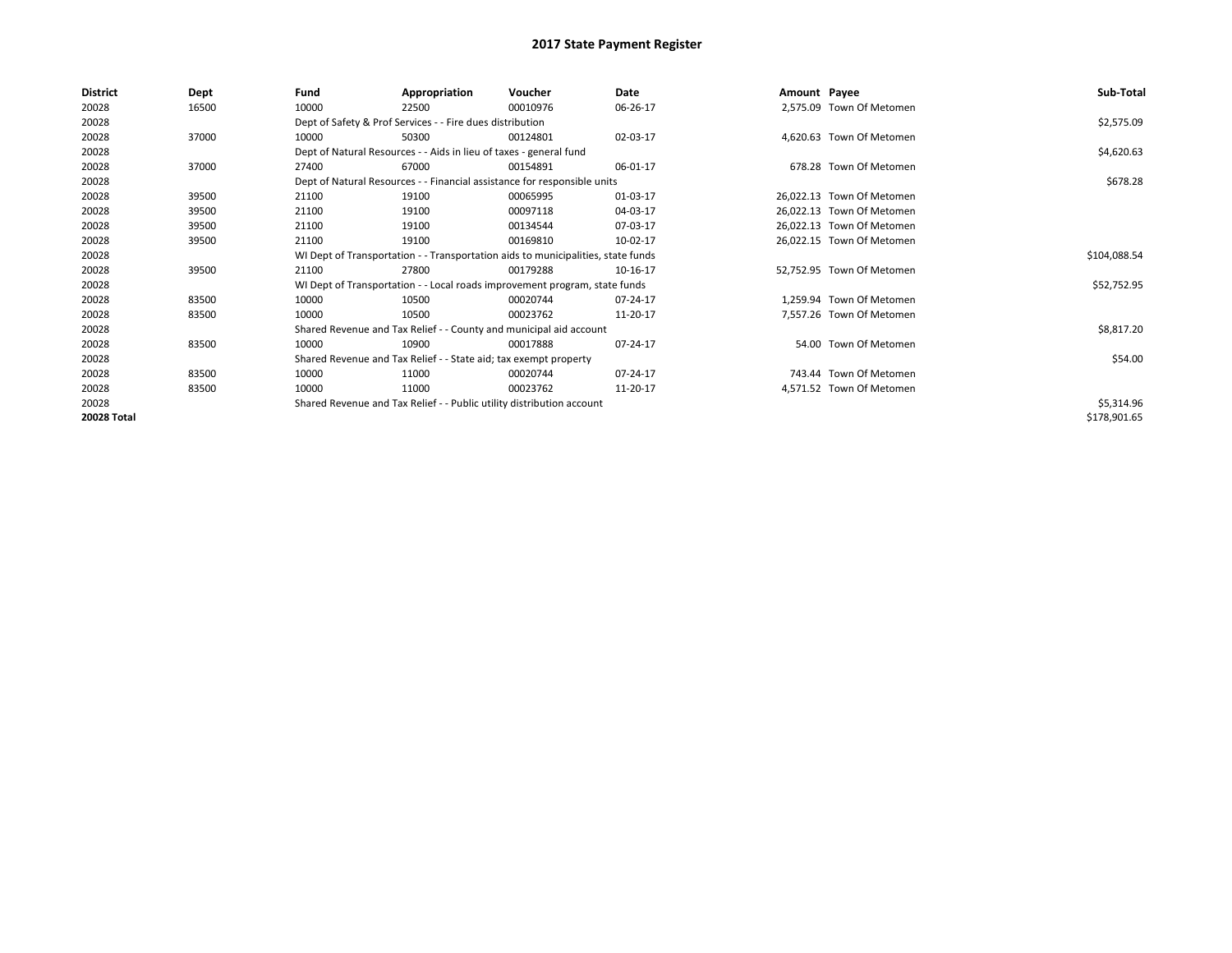| <b>District</b> | Dept  | Fund                                                                             | Appropriation                                                              | Voucher      | Date     | Amount Payee |                           | Sub-Total    |
|-----------------|-------|----------------------------------------------------------------------------------|----------------------------------------------------------------------------|--------------|----------|--------------|---------------------------|--------------|
| 20028           | 16500 | 10000                                                                            | 22500                                                                      | 00010976     | 06-26-17 |              | 2,575.09 Town Of Metomen  |              |
| 20028           |       |                                                                                  | Dept of Safety & Prof Services - - Fire dues distribution                  |              |          |              |                           | \$2,575.09   |
| 20028           | 37000 | 10000                                                                            | 50300                                                                      | 00124801     | 02-03-17 |              | 4,620.63 Town Of Metomen  |              |
| 20028           |       |                                                                                  | Dept of Natural Resources - - Aids in lieu of taxes - general fund         |              |          |              |                           | \$4,620.63   |
| 20028           | 37000 | 27400                                                                            | 67000                                                                      | 00154891     | 06-01-17 |              | 678.28 Town Of Metomen    |              |
| 20028           |       |                                                                                  | Dept of Natural Resources - - Financial assistance for responsible units   |              |          |              |                           | \$678.28     |
| 20028           | 39500 | 21100                                                                            | 19100                                                                      | 00065995     | 01-03-17 |              | 26,022.13 Town Of Metomen |              |
| 20028           | 39500 | 21100                                                                            | 19100                                                                      | 00097118     | 04-03-17 |              | 26,022.13 Town Of Metomen |              |
| 20028           | 39500 | 21100                                                                            | 19100                                                                      | 00134544     | 07-03-17 |              | 26,022.13 Town Of Metomen |              |
| 20028           | 39500 | 21100                                                                            | 19100                                                                      | 00169810     | 10-02-17 |              | 26,022.15 Town Of Metomen |              |
| 20028           |       | WI Dept of Transportation - - Transportation aids to municipalities, state funds |                                                                            | \$104,088.54 |          |              |                           |              |
| 20028           | 39500 | 21100                                                                            | 27800                                                                      | 00179288     | 10-16-17 |              | 52,752.95 Town Of Metomen |              |
| 20028           |       |                                                                                  | WI Dept of Transportation - - Local roads improvement program, state funds |              |          |              |                           | \$52,752.95  |
| 20028           | 83500 | 10000                                                                            | 10500                                                                      | 00020744     | 07-24-17 |              | 1,259.94 Town Of Metomen  |              |
| 20028           | 83500 | 10000                                                                            | 10500                                                                      | 00023762     | 11-20-17 |              | 7,557.26 Town Of Metomen  |              |
| 20028           |       |                                                                                  | Shared Revenue and Tax Relief - - County and municipal aid account         |              |          |              |                           | \$8,817.20   |
| 20028           | 83500 | 10000                                                                            | 10900                                                                      | 00017888     | 07-24-17 |              | 54.00 Town Of Metomen     |              |
| 20028           |       |                                                                                  | Shared Revenue and Tax Relief - - State aid; tax exempt property           |              |          |              |                           | \$54.00      |
| 20028           | 83500 | 10000                                                                            | 11000                                                                      | 00020744     | 07-24-17 |              | 743.44 Town Of Metomen    |              |
| 20028           | 83500 | 10000                                                                            | 11000                                                                      | 00023762     | 11-20-17 |              | 4,571.52 Town Of Metomen  |              |
| 20028           |       |                                                                                  | Shared Revenue and Tax Relief - - Public utility distribution account      |              |          |              |                           | \$5,314.96   |
| 20028 Total     |       |                                                                                  |                                                                            |              |          |              |                           | \$178,901.65 |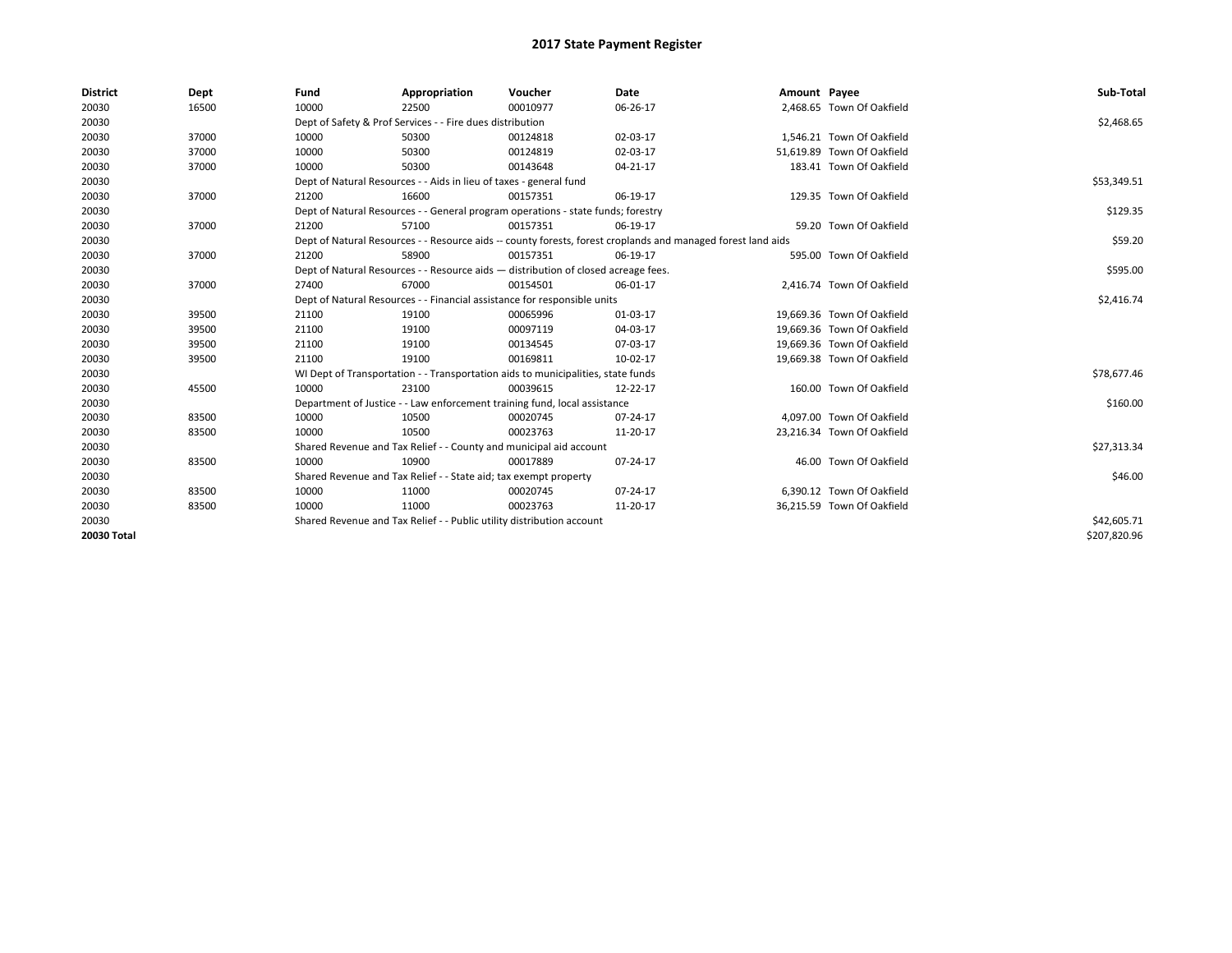| <b>District</b> | Dept  | Fund                                                                     | Appropriation                                                                      | Voucher    | Date                                                                                                         | Amount Payee |                            | Sub-Total    |
|-----------------|-------|--------------------------------------------------------------------------|------------------------------------------------------------------------------------|------------|--------------------------------------------------------------------------------------------------------------|--------------|----------------------------|--------------|
| 20030           | 16500 | 10000                                                                    | 22500                                                                              | 00010977   | 06-26-17                                                                                                     |              | 2,468.65 Town Of Oakfield  |              |
| 20030           |       |                                                                          | Dept of Safety & Prof Services - - Fire dues distribution                          |            |                                                                                                              |              |                            | \$2,468.65   |
| 20030           | 37000 | 10000                                                                    | 50300                                                                              | 00124818   | 02-03-17                                                                                                     |              | 1.546.21 Town Of Oakfield  |              |
| 20030           | 37000 | 10000                                                                    | 50300                                                                              | 00124819   | 02-03-17                                                                                                     |              | 51,619.89 Town Of Oakfield |              |
| 20030           | 37000 | 10000                                                                    | 50300                                                                              | 00143648   | 04-21-17                                                                                                     |              | 183.41 Town Of Oakfield    |              |
| 20030           |       |                                                                          | Dept of Natural Resources - - Aids in lieu of taxes - general fund                 |            |                                                                                                              |              |                            | \$53,349.51  |
| 20030           | 37000 | 21200                                                                    | 16600                                                                              | 00157351   | 06-19-17                                                                                                     |              | 129.35 Town Of Oakfield    |              |
| 20030           |       |                                                                          | Dept of Natural Resources - - General program operations - state funds; forestry   |            |                                                                                                              |              |                            | \$129.35     |
| 20030           | 37000 | 21200                                                                    | 57100                                                                              | 00157351   | 06-19-17                                                                                                     |              | 59.20 Town Of Oakfield     |              |
| 20030           |       |                                                                          |                                                                                    |            | Dept of Natural Resources - - Resource aids -- county forests, forest croplands and managed forest land aids |              |                            | \$59.20      |
| 20030           | 37000 | 21200                                                                    | 58900                                                                              | 00157351   | 06-19-17                                                                                                     |              | 595.00 Town Of Oakfield    |              |
| 20030           |       |                                                                          | Dept of Natural Resources - - Resource aids - distribution of closed acreage fees. |            |                                                                                                              |              |                            | \$595.00     |
| 20030           | 37000 | 27400                                                                    | 67000                                                                              | 00154501   | 06-01-17                                                                                                     |              | 2,416.74 Town Of Oakfield  |              |
| 20030           |       | Dept of Natural Resources - - Financial assistance for responsible units |                                                                                    | \$2,416.74 |                                                                                                              |              |                            |              |
| 20030           | 39500 | 21100                                                                    | 19100                                                                              | 00065996   | 01-03-17                                                                                                     |              | 19,669.36 Town Of Oakfield |              |
| 20030           | 39500 | 21100                                                                    | 19100                                                                              | 00097119   | 04-03-17                                                                                                     |              | 19.669.36 Town Of Oakfield |              |
| 20030           | 39500 | 21100                                                                    | 19100                                                                              | 00134545   | 07-03-17                                                                                                     |              | 19,669.36 Town Of Oakfield |              |
| 20030           | 39500 | 21100                                                                    | 19100                                                                              | 00169811   | 10-02-17                                                                                                     |              | 19,669.38 Town Of Oakfield |              |
| 20030           |       |                                                                          | WI Dept of Transportation - - Transportation aids to municipalities, state funds   |            |                                                                                                              |              |                            | \$78,677.46  |
| 20030           | 45500 | 10000                                                                    | 23100                                                                              | 00039615   | 12-22-17                                                                                                     |              | 160.00 Town Of Oakfield    |              |
| 20030           |       |                                                                          | Department of Justice - - Law enforcement training fund, local assistance          |            |                                                                                                              |              |                            | \$160.00     |
| 20030           | 83500 | 10000                                                                    | 10500                                                                              | 00020745   | 07-24-17                                                                                                     |              | 4.097.00 Town Of Oakfield  |              |
| 20030           | 83500 | 10000                                                                    | 10500                                                                              | 00023763   | 11-20-17                                                                                                     |              | 23,216.34 Town Of Oakfield |              |
| 20030           |       |                                                                          | Shared Revenue and Tax Relief - - County and municipal aid account                 |            |                                                                                                              |              |                            | \$27,313.34  |
| 20030           | 83500 | 10000                                                                    | 10900                                                                              | 00017889   | 07-24-17                                                                                                     |              | 46.00 Town Of Oakfield     |              |
| 20030           |       |                                                                          | Shared Revenue and Tax Relief - - State aid; tax exempt property                   |            |                                                                                                              |              |                            | \$46.00      |
| 20030           | 83500 | 10000                                                                    | 11000                                                                              | 00020745   | 07-24-17                                                                                                     |              | 6.390.12 Town Of Oakfield  |              |
| 20030           | 83500 | 10000                                                                    | 11000                                                                              | 00023763   | 11-20-17                                                                                                     |              | 36,215.59 Town Of Oakfield |              |
| 20030           |       |                                                                          | Shared Revenue and Tax Relief - - Public utility distribution account              |            |                                                                                                              |              |                            | \$42,605.71  |
| 20030 Total     |       |                                                                          |                                                                                    |            |                                                                                                              |              |                            | \$207,820.96 |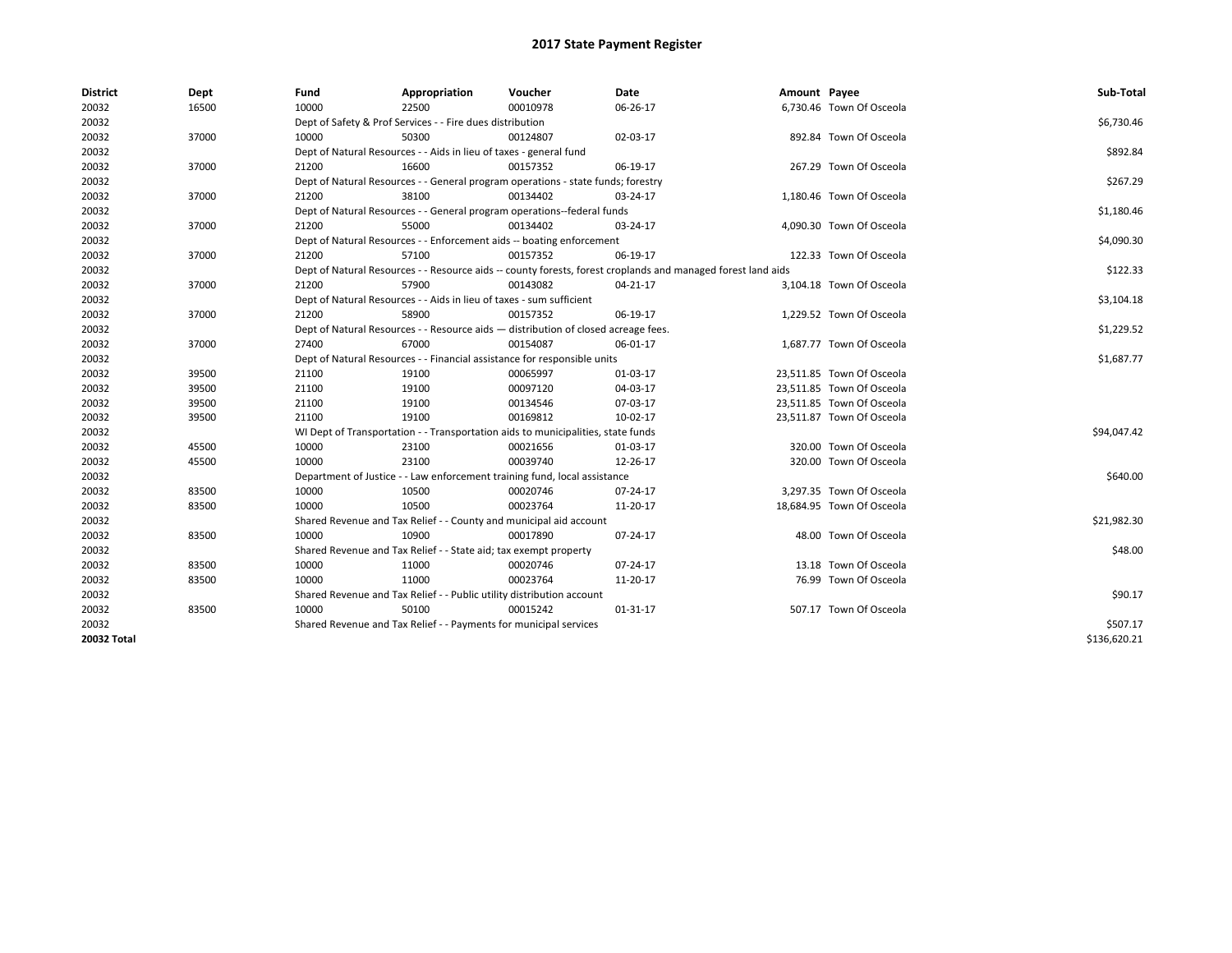| <b>District</b> | Dept  | Fund  | Appropriation                                                                                                | Voucher  | Date           | Amount Payee |                           | Sub-Total    |  |  |  |
|-----------------|-------|-------|--------------------------------------------------------------------------------------------------------------|----------|----------------|--------------|---------------------------|--------------|--|--|--|
| 20032           | 16500 | 10000 | 22500                                                                                                        | 00010978 | 06-26-17       |              | 6,730.46 Town Of Osceola  |              |  |  |  |
| 20032           |       |       | Dept of Safety & Prof Services - - Fire dues distribution                                                    |          |                |              |                           | \$6,730.46   |  |  |  |
| 20032           | 37000 | 10000 | 50300                                                                                                        | 00124807 | 02-03-17       |              | 892.84 Town Of Osceola    |              |  |  |  |
| 20032           |       |       | Dept of Natural Resources - - Aids in lieu of taxes - general fund                                           |          |                |              |                           | \$892.84     |  |  |  |
| 20032           | 37000 | 21200 | 16600                                                                                                        | 00157352 | 06-19-17       |              | 267.29 Town Of Osceola    |              |  |  |  |
| 20032           |       |       | Dept of Natural Resources - - General program operations - state funds; forestry                             |          |                |              |                           | \$267.29     |  |  |  |
| 20032           | 37000 | 21200 | 38100                                                                                                        | 00134402 | 03-24-17       |              | 1,180.46 Town Of Osceola  |              |  |  |  |
| 20032           |       |       | Dept of Natural Resources - - General program operations--federal funds                                      |          |                |              |                           | \$1,180.46   |  |  |  |
| 20032           | 37000 | 21200 | 55000                                                                                                        | 00134402 | 03-24-17       |              | 4,090.30 Town Of Osceola  |              |  |  |  |
| 20032           |       |       | Dept of Natural Resources - - Enforcement aids -- boating enforcement                                        |          |                |              |                           | \$4,090.30   |  |  |  |
| 20032           | 37000 | 21200 | 57100                                                                                                        | 00157352 | 06-19-17       |              | 122.33 Town Of Osceola    |              |  |  |  |
| 20032           |       |       | Dept of Natural Resources - - Resource aids -- county forests, forest croplands and managed forest land aids |          |                |              |                           |              |  |  |  |
| 20032           | 37000 | 21200 | 57900                                                                                                        | 00143082 | 04-21-17       |              | 3,104.18 Town Of Osceola  |              |  |  |  |
| 20032           |       |       | Dept of Natural Resources - - Aids in lieu of taxes - sum sufficient                                         |          |                |              |                           | \$3,104.18   |  |  |  |
| 20032           | 37000 | 21200 | 58900                                                                                                        | 00157352 | 06-19-17       |              | 1,229.52 Town Of Osceola  |              |  |  |  |
| 20032           |       |       | Dept of Natural Resources - - Resource aids - distribution of closed acreage fees.                           |          |                |              |                           |              |  |  |  |
| 20032           | 37000 | 27400 | 67000                                                                                                        | 00154087 | 06-01-17       |              | 1,687.77 Town Of Osceola  |              |  |  |  |
| 20032           |       |       | Dept of Natural Resources - - Financial assistance for responsible units                                     |          |                |              |                           |              |  |  |  |
| 20032           | 39500 | 21100 | 19100                                                                                                        | 00065997 | 01-03-17       |              | 23,511.85 Town Of Osceola |              |  |  |  |
| 20032           | 39500 | 21100 | 19100                                                                                                        | 00097120 | 04-03-17       |              | 23,511.85 Town Of Osceola |              |  |  |  |
| 20032           | 39500 | 21100 | 19100                                                                                                        | 00134546 | 07-03-17       |              | 23,511.85 Town Of Osceola |              |  |  |  |
| 20032           | 39500 | 21100 | 19100                                                                                                        | 00169812 | 10-02-17       |              | 23,511.87 Town Of Osceola |              |  |  |  |
| 20032           |       |       | WI Dept of Transportation - - Transportation aids to municipalities, state funds                             |          |                |              |                           | \$94,047.42  |  |  |  |
| 20032           | 45500 | 10000 | 23100                                                                                                        | 00021656 | 01-03-17       |              | 320.00 Town Of Osceola    |              |  |  |  |
| 20032           | 45500 | 10000 | 23100                                                                                                        | 00039740 | 12-26-17       |              | 320.00 Town Of Osceola    |              |  |  |  |
| 20032           |       |       | Department of Justice - - Law enforcement training fund, local assistance                                    |          |                |              |                           | \$640.00     |  |  |  |
| 20032           | 83500 | 10000 | 10500                                                                                                        | 00020746 | 07-24-17       |              | 3,297.35 Town Of Osceola  |              |  |  |  |
| 20032           | 83500 | 10000 | 10500                                                                                                        | 00023764 | 11-20-17       |              | 18,684.95 Town Of Osceola |              |  |  |  |
| 20032           |       |       | Shared Revenue and Tax Relief - - County and municipal aid account                                           |          |                |              |                           | \$21,982.30  |  |  |  |
| 20032           | 83500 | 10000 | 10900                                                                                                        | 00017890 | 07-24-17       |              | 48.00 Town Of Osceola     |              |  |  |  |
| 20032           |       |       | Shared Revenue and Tax Relief - - State aid; tax exempt property                                             |          |                |              |                           | \$48.00      |  |  |  |
| 20032           | 83500 | 10000 | 11000                                                                                                        | 00020746 | 07-24-17       |              | 13.18 Town Of Osceola     |              |  |  |  |
| 20032           | 83500 | 10000 | 11000                                                                                                        | 00023764 | 11-20-17       |              | 76.99 Town Of Osceola     |              |  |  |  |
| 20032           |       |       | Shared Revenue and Tax Relief - - Public utility distribution account                                        |          |                |              |                           | \$90.17      |  |  |  |
| 20032           | 83500 | 10000 | 50100                                                                                                        | 00015242 | $01 - 31 - 17$ |              | 507.17 Town Of Osceola    |              |  |  |  |
| 20032           |       |       | Shared Revenue and Tax Relief - - Payments for municipal services                                            |          |                |              |                           | \$507.17     |  |  |  |
| 20032 Total     |       |       |                                                                                                              |          |                |              |                           | \$136,620.21 |  |  |  |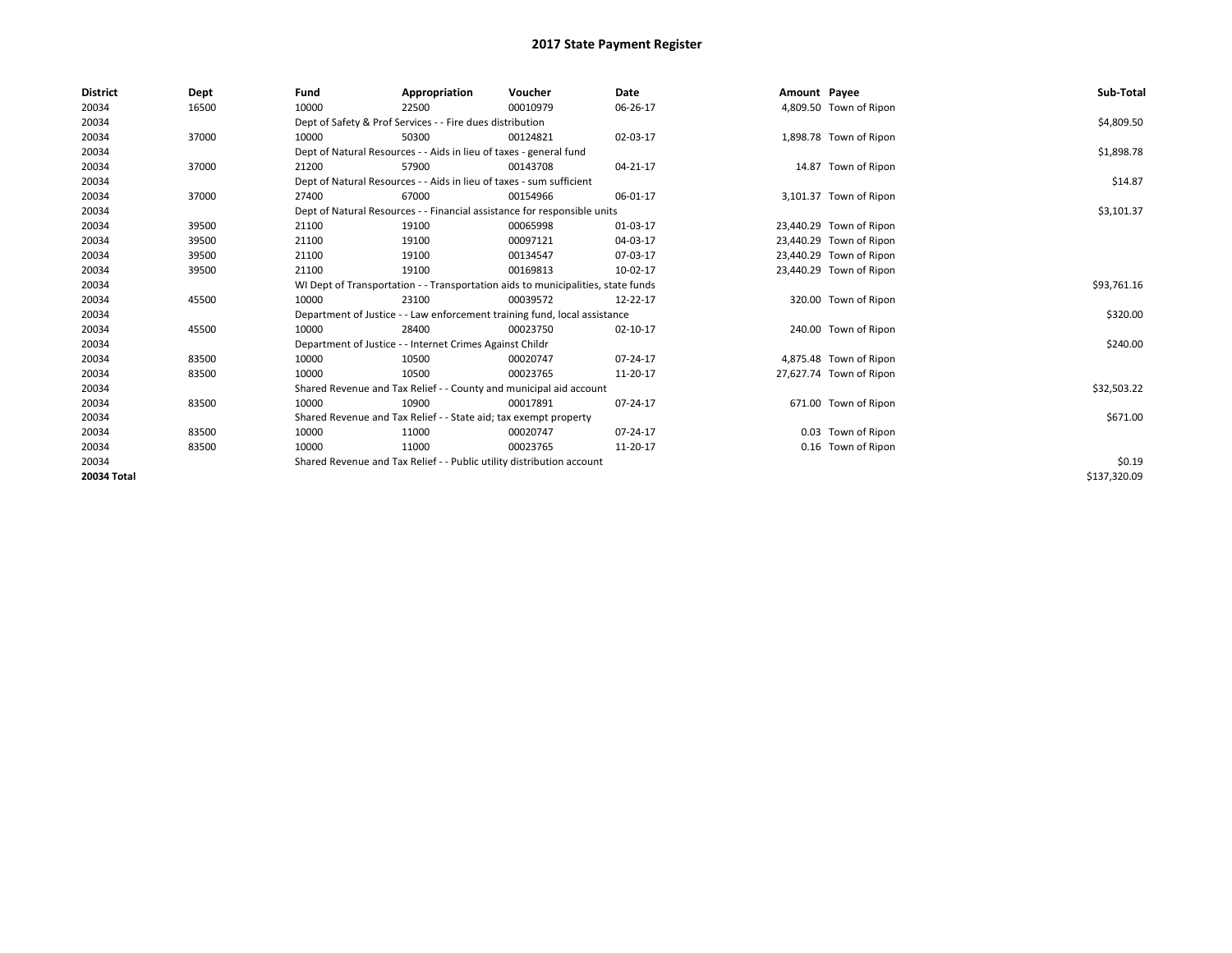| <b>District</b> | Dept  | Fund                                                                  | Appropriation                                                                    | Voucher                                                                   | Date     | Amount Payee |                         | Sub-Total    |  |  |  |
|-----------------|-------|-----------------------------------------------------------------------|----------------------------------------------------------------------------------|---------------------------------------------------------------------------|----------|--------------|-------------------------|--------------|--|--|--|
| 20034           | 16500 | 10000                                                                 | 22500                                                                            | 00010979                                                                  | 06-26-17 |              | 4,809.50 Town of Ripon  |              |  |  |  |
| 20034           |       |                                                                       | Dept of Safety & Prof Services - - Fire dues distribution                        |                                                                           |          |              |                         | \$4,809.50   |  |  |  |
| 20034           | 37000 | 10000                                                                 | 50300                                                                            | 00124821                                                                  | 02-03-17 |              | 1,898.78 Town of Ripon  |              |  |  |  |
| 20034           |       |                                                                       | Dept of Natural Resources - - Aids in lieu of taxes - general fund               |                                                                           |          |              |                         | \$1,898.78   |  |  |  |
| 20034           | 37000 | 21200                                                                 | 57900                                                                            | 00143708                                                                  | 04-21-17 |              | 14.87 Town of Ripon     |              |  |  |  |
| 20034           |       |                                                                       | Dept of Natural Resources - - Aids in lieu of taxes - sum sufficient             |                                                                           |          |              |                         | \$14.87      |  |  |  |
| 20034           | 37000 | 27400                                                                 | 67000                                                                            | 00154966                                                                  | 06-01-17 |              | 3,101.37 Town of Ripon  |              |  |  |  |
| 20034           |       |                                                                       |                                                                                  | Dept of Natural Resources - - Financial assistance for responsible units  |          |              |                         | \$3,101.37   |  |  |  |
| 20034           | 39500 | 21100                                                                 | 19100                                                                            | 00065998                                                                  | 01-03-17 |              | 23,440.29 Town of Ripon |              |  |  |  |
| 20034           | 39500 | 21100                                                                 | 19100                                                                            | 00097121                                                                  | 04-03-17 |              | 23,440.29 Town of Ripon |              |  |  |  |
| 20034           | 39500 | 21100                                                                 | 19100                                                                            | 00134547                                                                  | 07-03-17 |              | 23,440.29 Town of Ripon |              |  |  |  |
| 20034           | 39500 | 21100                                                                 | 19100                                                                            | 00169813                                                                  | 10-02-17 |              | 23,440.29 Town of Ripon |              |  |  |  |
| 20034           |       |                                                                       | WI Dept of Transportation - - Transportation aids to municipalities, state funds |                                                                           |          |              |                         |              |  |  |  |
| 20034           | 45500 | 10000                                                                 | 23100                                                                            | 00039572                                                                  | 12-22-17 |              | 320.00 Town of Ripon    |              |  |  |  |
| 20034           |       |                                                                       |                                                                                  | Department of Justice - - Law enforcement training fund, local assistance |          |              |                         | \$320.00     |  |  |  |
| 20034           | 45500 | 10000                                                                 | 28400                                                                            | 00023750                                                                  | 02-10-17 |              | 240.00 Town of Ripon    |              |  |  |  |
| 20034           |       |                                                                       | Department of Justice - - Internet Crimes Against Childr                         |                                                                           |          |              |                         | \$240.00     |  |  |  |
| 20034           | 83500 | 10000                                                                 | 10500                                                                            | 00020747                                                                  | 07-24-17 |              | 4,875.48 Town of Ripon  |              |  |  |  |
| 20034           | 83500 | 10000                                                                 | 10500                                                                            | 00023765                                                                  | 11-20-17 |              | 27,627.74 Town of Ripon |              |  |  |  |
| 20034           |       |                                                                       |                                                                                  | Shared Revenue and Tax Relief - - County and municipal aid account        |          |              |                         | \$32,503.22  |  |  |  |
| 20034           | 83500 | 10000                                                                 | 10900                                                                            | 00017891                                                                  | 07-24-17 |              | 671.00 Town of Ripon    |              |  |  |  |
| 20034           |       |                                                                       | Shared Revenue and Tax Relief - - State aid; tax exempt property                 |                                                                           |          |              |                         | \$671.00     |  |  |  |
| 20034           | 83500 | 10000                                                                 | 11000                                                                            | 00020747                                                                  | 07-24-17 |              | 0.03 Town of Ripon      |              |  |  |  |
| 20034           | 83500 | 10000                                                                 | 11000                                                                            | 00023765                                                                  | 11-20-17 |              | 0.16 Town of Ripon      |              |  |  |  |
| 20034           |       | Shared Revenue and Tax Relief - - Public utility distribution account |                                                                                  | \$0.19                                                                    |          |              |                         |              |  |  |  |
| 20034 Total     |       |                                                                       |                                                                                  |                                                                           |          |              |                         | \$137,320.09 |  |  |  |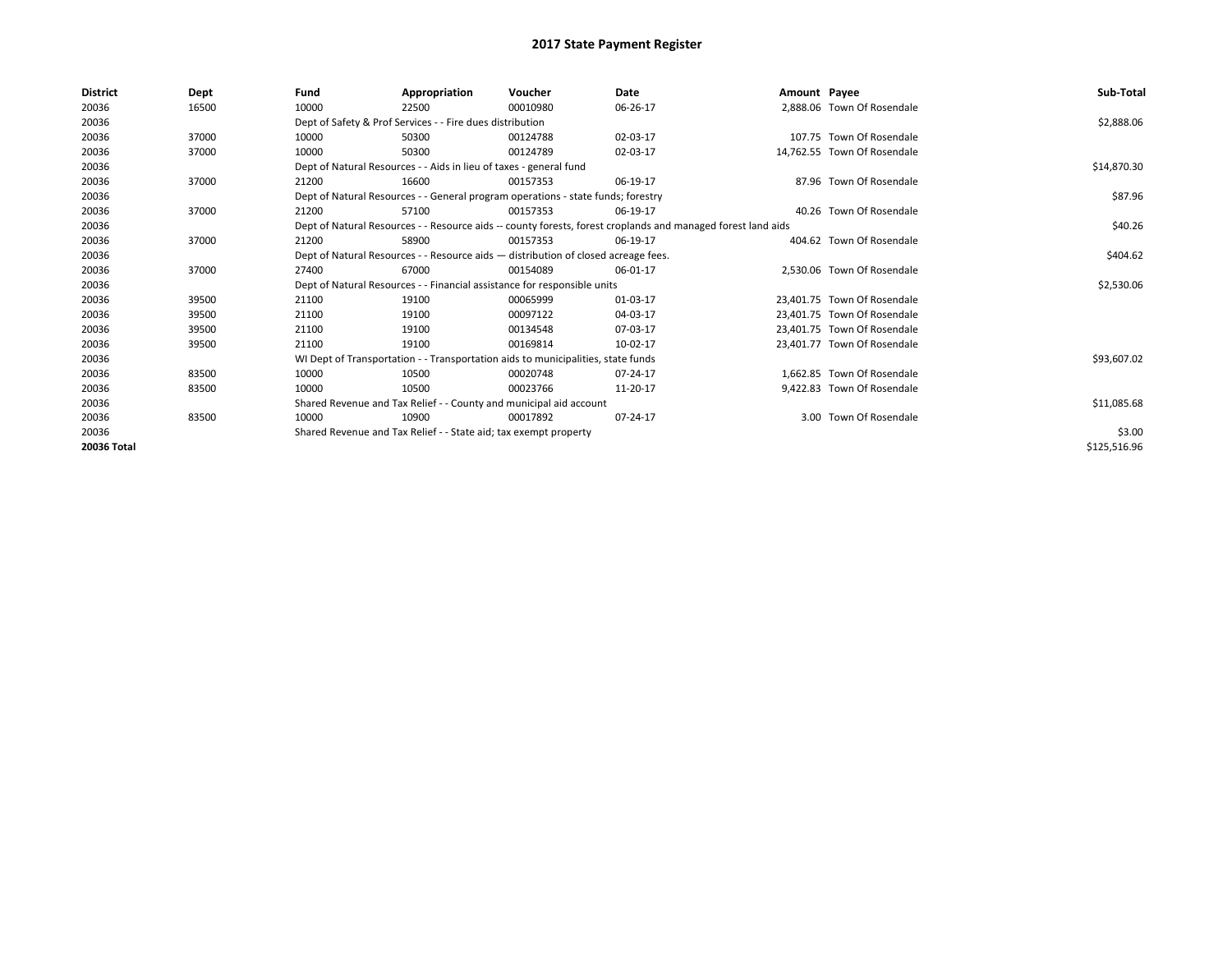| <b>District</b> | Dept  | Fund  | Appropriation                                                      | Voucher                                                                            | Date                                                                                                         | Amount Payee |                             | Sub-Total    |
|-----------------|-------|-------|--------------------------------------------------------------------|------------------------------------------------------------------------------------|--------------------------------------------------------------------------------------------------------------|--------------|-----------------------------|--------------|
| 20036           | 16500 | 10000 | 22500                                                              | 00010980                                                                           | 06-26-17                                                                                                     |              | 2,888.06 Town Of Rosendale  |              |
| 20036           |       |       | Dept of Safety & Prof Services - - Fire dues distribution          |                                                                                    |                                                                                                              |              |                             | \$2,888.06   |
| 20036           | 37000 | 10000 | 50300                                                              | 00124788                                                                           | 02-03-17                                                                                                     |              | 107.75 Town Of Rosendale    |              |
| 20036           | 37000 | 10000 | 50300                                                              | 00124789                                                                           | 02-03-17                                                                                                     |              | 14,762.55 Town Of Rosendale |              |
| 20036           |       |       | Dept of Natural Resources - - Aids in lieu of taxes - general fund |                                                                                    |                                                                                                              |              |                             | \$14,870.30  |
| 20036           | 37000 | 21200 | 16600                                                              | 00157353                                                                           | 06-19-17                                                                                                     |              | 87.96 Town Of Rosendale     |              |
| 20036           |       |       |                                                                    | Dept of Natural Resources - - General program operations - state funds; forestry   |                                                                                                              |              |                             | \$87.96      |
| 20036           | 37000 | 21200 | 57100                                                              | 00157353                                                                           | 06-19-17                                                                                                     |              | 40.26 Town Of Rosendale     |              |
| 20036           |       |       |                                                                    |                                                                                    | Dept of Natural Resources - - Resource aids -- county forests, forest croplands and managed forest land aids |              |                             | \$40.26      |
| 20036           | 37000 | 21200 | 58900                                                              | 00157353                                                                           | 06-19-17                                                                                                     |              | 404.62 Town Of Rosendale    |              |
| 20036           |       |       |                                                                    | Dept of Natural Resources - - Resource aids - distribution of closed acreage fees. |                                                                                                              |              |                             | \$404.62     |
| 20036           | 37000 | 27400 | 67000                                                              | 00154089                                                                           | 06-01-17                                                                                                     |              | 2,530.06 Town Of Rosendale  |              |
| 20036           |       |       |                                                                    | Dept of Natural Resources - - Financial assistance for responsible units           |                                                                                                              |              |                             | \$2,530.06   |
| 20036           | 39500 | 21100 | 19100                                                              | 00065999                                                                           | 01-03-17                                                                                                     |              | 23,401.75 Town Of Rosendale |              |
| 20036           | 39500 | 21100 | 19100                                                              | 00097122                                                                           | 04-03-17                                                                                                     |              | 23,401.75 Town Of Rosendale |              |
| 20036           | 39500 | 21100 | 19100                                                              | 00134548                                                                           | 07-03-17                                                                                                     |              | 23.401.75 Town Of Rosendale |              |
| 20036           | 39500 | 21100 | 19100                                                              | 00169814                                                                           | 10-02-17                                                                                                     |              | 23,401.77 Town Of Rosendale |              |
| 20036           |       |       |                                                                    | WI Dept of Transportation - - Transportation aids to municipalities, state funds   |                                                                                                              |              |                             | \$93,607.02  |
| 20036           | 83500 | 10000 | 10500                                                              | 00020748                                                                           | 07-24-17                                                                                                     |              | 1.662.85 Town Of Rosendale  |              |
| 20036           | 83500 | 10000 | 10500                                                              | 00023766                                                                           | 11-20-17                                                                                                     |              | 9,422.83 Town Of Rosendale  |              |
| 20036           |       |       |                                                                    | Shared Revenue and Tax Relief - - County and municipal aid account                 |                                                                                                              |              |                             | \$11,085.68  |
| 20036           | 83500 | 10000 | 10900                                                              | 00017892                                                                           | 07-24-17                                                                                                     |              | 3.00 Town Of Rosendale      |              |
| 20036           |       |       | Shared Revenue and Tax Relief - - State aid; tax exempt property   |                                                                                    |                                                                                                              |              |                             | \$3.00       |
| 20036 Total     |       |       |                                                                    |                                                                                    |                                                                                                              |              |                             | \$125,516.96 |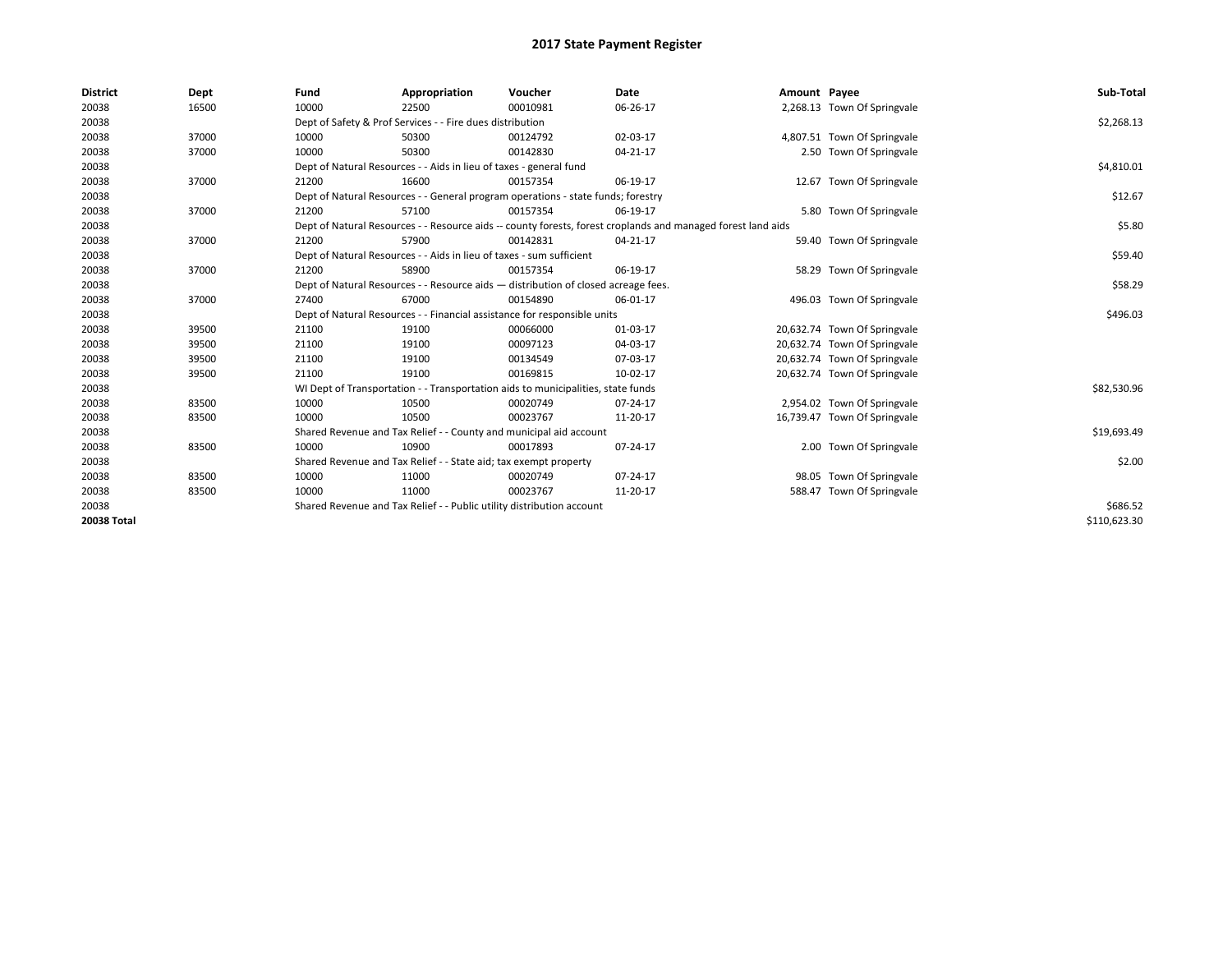| <b>District</b> | Dept  | Fund                                                                               | Appropriation                                                                    | Voucher  | Date                                                                                                         | Amount Payee |                              | Sub-Total    |
|-----------------|-------|------------------------------------------------------------------------------------|----------------------------------------------------------------------------------|----------|--------------------------------------------------------------------------------------------------------------|--------------|------------------------------|--------------|
| 20038           | 16500 | 10000                                                                              | 22500                                                                            | 00010981 | 06-26-17                                                                                                     |              | 2,268.13 Town Of Springvale  |              |
| 20038           |       |                                                                                    | Dept of Safety & Prof Services - - Fire dues distribution                        |          |                                                                                                              |              |                              | \$2,268.13   |
| 20038           | 37000 | 10000                                                                              | 50300                                                                            | 00124792 | 02-03-17                                                                                                     |              | 4,807.51 Town Of Springvale  |              |
| 20038           | 37000 | 10000                                                                              | 50300                                                                            | 00142830 | 04-21-17                                                                                                     |              | 2.50 Town Of Springvale      |              |
| 20038           |       |                                                                                    | Dept of Natural Resources - - Aids in lieu of taxes - general fund               |          |                                                                                                              |              |                              | \$4,810.01   |
| 20038           | 37000 | 21200                                                                              | 16600                                                                            | 00157354 | 06-19-17                                                                                                     |              | 12.67 Town Of Springvale     |              |
| 20038           |       |                                                                                    | Dept of Natural Resources - - General program operations - state funds; forestry |          |                                                                                                              |              |                              | \$12.67      |
| 20038           | 37000 | 21200                                                                              | 57100                                                                            | 00157354 | 06-19-17                                                                                                     |              | 5.80 Town Of Springvale      |              |
| 20038           |       |                                                                                    |                                                                                  |          | Dept of Natural Resources - - Resource aids -- county forests, forest croplands and managed forest land aids |              |                              | \$5.80       |
| 20038           | 37000 | 21200                                                                              | 57900                                                                            | 00142831 | 04-21-17                                                                                                     |              | 59.40 Town Of Springvale     |              |
| 20038           |       |                                                                                    | Dept of Natural Resources - - Aids in lieu of taxes - sum sufficient             |          |                                                                                                              |              |                              | \$59.40      |
| 20038           | 37000 | 21200                                                                              | 58900                                                                            | 00157354 | 06-19-17                                                                                                     |              | 58.29 Town Of Springvale     |              |
| 20038           |       | Dept of Natural Resources - - Resource aids - distribution of closed acreage fees. |                                                                                  | \$58.29  |                                                                                                              |              |                              |              |
| 20038           | 37000 | 27400                                                                              | 67000                                                                            | 00154890 | 06-01-17                                                                                                     |              | 496.03 Town Of Springvale    |              |
| 20038           |       |                                                                                    | Dept of Natural Resources - - Financial assistance for responsible units         |          |                                                                                                              |              |                              | \$496.03     |
| 20038           | 39500 | 21100                                                                              | 19100                                                                            | 00066000 | 01-03-17                                                                                                     |              | 20,632.74 Town Of Springvale |              |
| 20038           | 39500 | 21100                                                                              | 19100                                                                            | 00097123 | 04-03-17                                                                                                     |              | 20,632.74 Town Of Springvale |              |
| 20038           | 39500 | 21100                                                                              | 19100                                                                            | 00134549 | 07-03-17                                                                                                     |              | 20,632.74 Town Of Springvale |              |
| 20038           | 39500 | 21100                                                                              | 19100                                                                            | 00169815 | 10-02-17                                                                                                     |              | 20,632.74 Town Of Springvale |              |
| 20038           |       |                                                                                    | WI Dept of Transportation - - Transportation aids to municipalities, state funds |          |                                                                                                              |              |                              | \$82,530.96  |
| 20038           | 83500 | 10000                                                                              | 10500                                                                            | 00020749 | 07-24-17                                                                                                     |              | 2,954.02 Town Of Springvale  |              |
| 20038           | 83500 | 10000                                                                              | 10500                                                                            | 00023767 | 11-20-17                                                                                                     |              | 16,739.47 Town Of Springvale |              |
| 20038           |       |                                                                                    | Shared Revenue and Tax Relief - - County and municipal aid account               |          |                                                                                                              |              |                              | \$19,693.49  |
| 20038           | 83500 | 10000                                                                              | 10900                                                                            | 00017893 | 07-24-17                                                                                                     |              | 2.00 Town Of Springvale      |              |
| 20038           |       |                                                                                    | Shared Revenue and Tax Relief - - State aid; tax exempt property                 |          |                                                                                                              |              |                              | \$2.00       |
| 20038           | 83500 | 10000                                                                              | 11000                                                                            | 00020749 | 07-24-17                                                                                                     |              | 98.05 Town Of Springvale     |              |
| 20038           | 83500 | 10000                                                                              | 11000                                                                            | 00023767 | 11-20-17                                                                                                     |              | 588.47 Town Of Springvale    |              |
| 20038           |       |                                                                                    | Shared Revenue and Tax Relief - - Public utility distribution account            |          |                                                                                                              |              |                              | \$686.52     |
| 20038 Total     |       |                                                                                    |                                                                                  |          |                                                                                                              |              |                              | \$110,623.30 |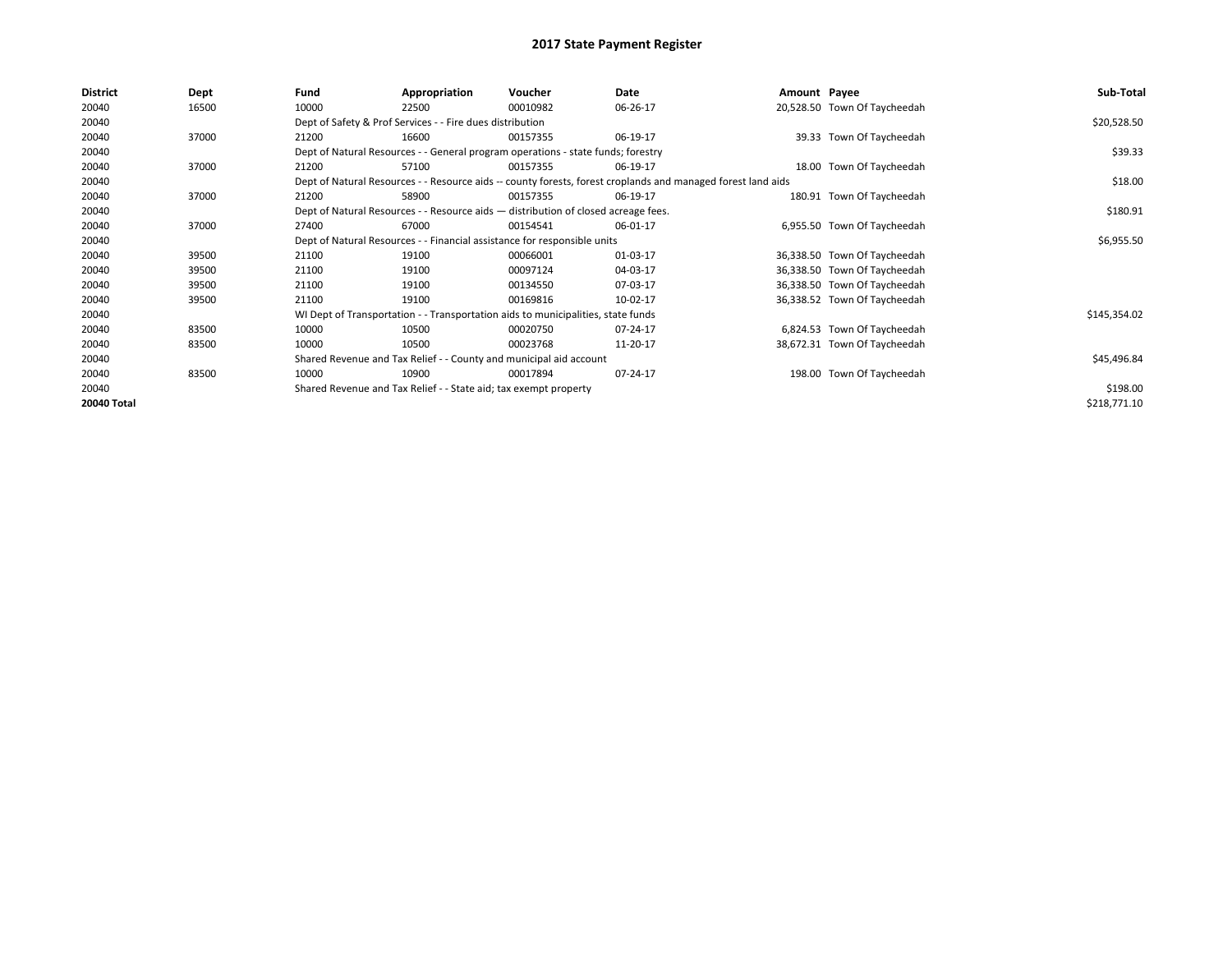| 20040<br>10000<br>20,528.50 Town Of Taycheedah<br>16500<br>22500<br>00010982<br>06-26-17<br>20040<br>Dept of Safety & Prof Services - - Fire dues distribution | \$20,528.50  |
|----------------------------------------------------------------------------------------------------------------------------------------------------------------|--------------|
|                                                                                                                                                                |              |
|                                                                                                                                                                |              |
| 20040<br>37000<br>16600<br>06-19-17<br>39.33 Town Of Taycheedah<br>21200<br>00157355                                                                           |              |
| 20040<br>Dept of Natural Resources - - General program operations - state funds; forestry                                                                      | \$39.33      |
| 37000<br>18.00 Town Of Taycheedah<br>20040<br>57100<br>06-19-17<br>21200<br>00157355                                                                           |              |
| Dept of Natural Resources - - Resource aids -- county forests, forest croplands and managed forest land aids<br>20040                                          | \$18.00      |
| 20040<br>180.91 Town Of Taycheedah<br>37000<br>21200<br>58900<br>00157355<br>06-19-17                                                                          |              |
| 20040<br>Dept of Natural Resources - - Resource aids - distribution of closed acreage fees.                                                                    | \$180.91     |
| 20040<br>37000<br>27400<br>67000<br>00154541<br>6,955.50 Town Of Taycheedah<br>06-01-17                                                                        |              |
| 20040<br>Dept of Natural Resources - - Financial assistance for responsible units                                                                              | \$6,955.50   |
| 20040<br>39500<br>21100<br>19100<br>00066001<br>01-03-17<br>36,338.50 Town Of Taycheedah                                                                       |              |
| 20040<br>39500<br>21100<br>00097124<br>04-03-17<br>36,338.50 Town Of Taycheedah<br>19100                                                                       |              |
| 20040<br>21100<br>36,338.50 Town Of Taycheedah<br>39500<br>19100<br>00134550<br>07-03-17                                                                       |              |
| 20040<br>39500<br>21100<br>19100<br>00169816<br>10-02-17<br>36,338.52 Town Of Taycheedah                                                                       |              |
| 20040<br>WI Dept of Transportation - - Transportation aids to municipalities, state funds                                                                      | \$145,354.02 |
| 20040<br>6,824.53 Town Of Taycheedah<br>83500<br>10000<br>10500<br>00020750<br>07-24-17                                                                        |              |
| 20040<br>83500<br>10000<br>10500<br>00023768<br>11-20-17<br>38,672.31 Town Of Taycheedah                                                                       |              |
| 20040<br>Shared Revenue and Tax Relief - - County and municipal aid account                                                                                    | \$45,496.84  |
| 198.00 Town Of Taycheedah<br>20040<br>83500<br>10900<br>07-24-17<br>10000<br>00017894                                                                          |              |
| 20040<br>Shared Revenue and Tax Relief - - State aid; tax exempt property                                                                                      | \$198.00     |
| 20040 Total                                                                                                                                                    | \$218,771.10 |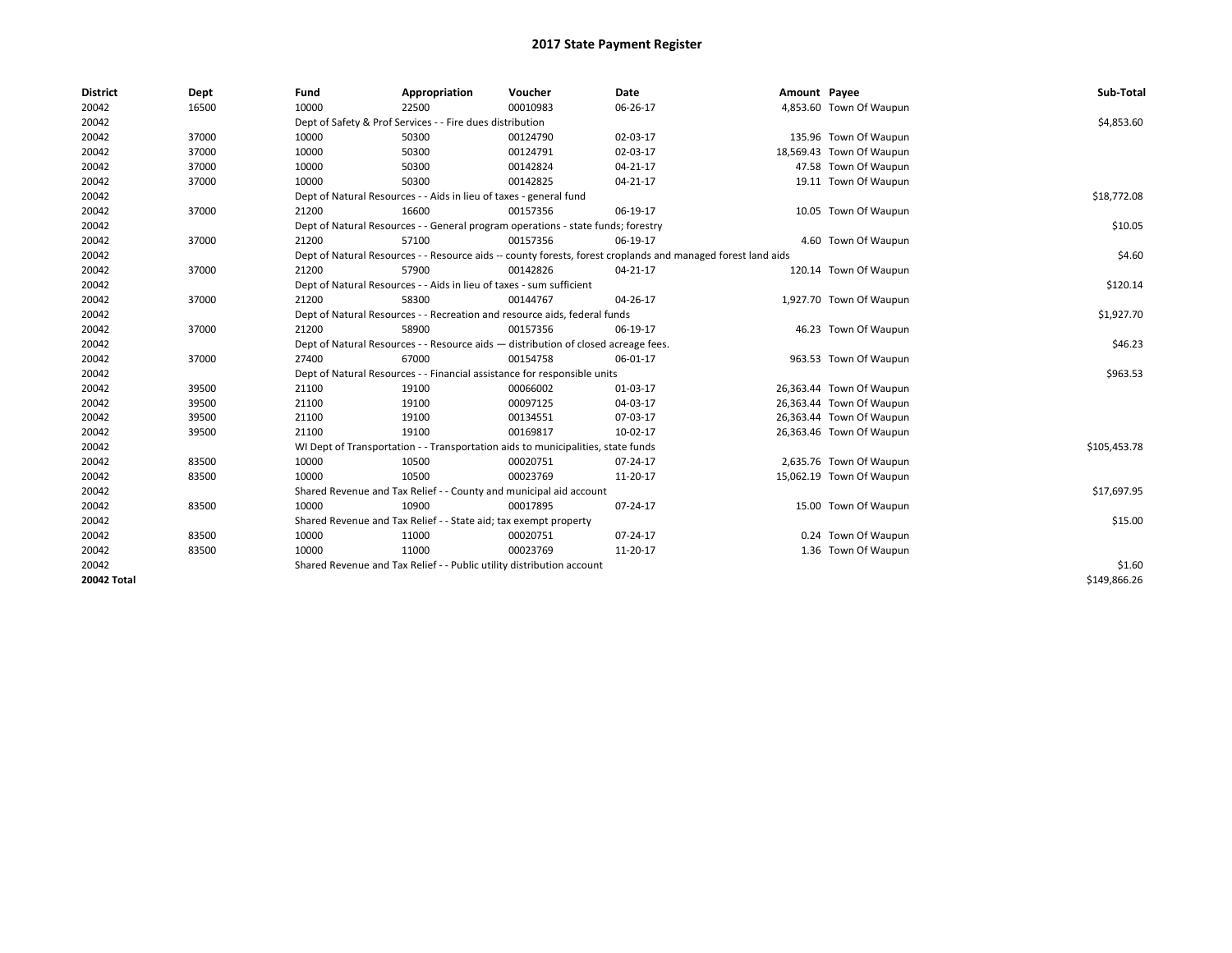| <b>District</b>    | Dept  | Fund  | Appropriation                                                                      | Voucher  | Date                                                                                                         | Amount Payee |                          | Sub-Total    |
|--------------------|-------|-------|------------------------------------------------------------------------------------|----------|--------------------------------------------------------------------------------------------------------------|--------------|--------------------------|--------------|
| 20042              | 16500 | 10000 | 22500                                                                              | 00010983 | 06-26-17                                                                                                     |              | 4,853.60 Town Of Waupun  |              |
| 20042              |       |       | Dept of Safety & Prof Services - - Fire dues distribution                          |          |                                                                                                              |              |                          | \$4,853.60   |
| 20042              | 37000 | 10000 | 50300                                                                              | 00124790 | 02-03-17                                                                                                     |              | 135.96 Town Of Waupun    |              |
| 20042              | 37000 | 10000 | 50300                                                                              | 00124791 | 02-03-17                                                                                                     |              | 18,569.43 Town Of Waupun |              |
| 20042              | 37000 | 10000 | 50300                                                                              | 00142824 | $04 - 21 - 17$                                                                                               |              | 47.58 Town Of Waupun     |              |
| 20042              | 37000 | 10000 | 50300                                                                              | 00142825 | 04-21-17                                                                                                     |              | 19.11 Town Of Waupun     |              |
| 20042              |       |       | Dept of Natural Resources - - Aids in lieu of taxes - general fund                 |          |                                                                                                              |              |                          | \$18,772.08  |
| 20042              | 37000 | 21200 | 16600                                                                              | 00157356 | 06-19-17                                                                                                     |              | 10.05 Town Of Waupun     |              |
| 20042              |       |       | Dept of Natural Resources - - General program operations - state funds; forestry   |          |                                                                                                              |              |                          | \$10.05      |
| 20042              | 37000 | 21200 | 57100                                                                              | 00157356 | 06-19-17                                                                                                     |              | 4.60 Town Of Waupun      |              |
| 20042              |       |       |                                                                                    |          | Dept of Natural Resources - - Resource aids -- county forests, forest croplands and managed forest land aids |              |                          | \$4.60       |
| 20042              | 37000 | 21200 | 57900                                                                              | 00142826 | 04-21-17                                                                                                     |              | 120.14 Town Of Waupun    |              |
| 20042              |       |       | Dept of Natural Resources - - Aids in lieu of taxes - sum sufficient               |          |                                                                                                              |              |                          | \$120.14     |
| 20042              | 37000 | 21200 | 58300                                                                              | 00144767 | 04-26-17                                                                                                     |              | 1,927.70 Town Of Waupun  |              |
| 20042              |       |       | Dept of Natural Resources - - Recreation and resource aids, federal funds          |          |                                                                                                              |              |                          | \$1,927.70   |
| 20042              | 37000 | 21200 | 58900                                                                              | 00157356 | 06-19-17                                                                                                     |              | 46.23 Town Of Waupun     |              |
| 20042              |       |       | Dept of Natural Resources - - Resource aids - distribution of closed acreage fees. |          |                                                                                                              |              |                          | \$46.23      |
| 20042              | 37000 | 27400 | 67000                                                                              | 00154758 | 06-01-17                                                                                                     |              | 963.53 Town Of Waupun    |              |
| 20042              |       |       | Dept of Natural Resources - - Financial assistance for responsible units           |          |                                                                                                              |              |                          | \$963.53     |
| 20042              | 39500 | 21100 | 19100                                                                              | 00066002 | 01-03-17                                                                                                     |              | 26,363.44 Town Of Waupun |              |
| 20042              | 39500 | 21100 | 19100                                                                              | 00097125 | 04-03-17                                                                                                     |              | 26,363.44 Town Of Waupun |              |
| 20042              | 39500 | 21100 | 19100                                                                              | 00134551 | 07-03-17                                                                                                     |              | 26,363.44 Town Of Waupun |              |
| 20042              | 39500 | 21100 | 19100                                                                              | 00169817 | 10-02-17                                                                                                     |              | 26,363.46 Town Of Waupun |              |
| 20042              |       |       | WI Dept of Transportation - - Transportation aids to municipalities, state funds   |          |                                                                                                              |              |                          | \$105,453.78 |
| 20042              | 83500 | 10000 | 10500                                                                              | 00020751 | 07-24-17                                                                                                     |              | 2,635.76 Town Of Waupun  |              |
| 20042              | 83500 | 10000 | 10500                                                                              | 00023769 | 11-20-17                                                                                                     |              | 15,062.19 Town Of Waupun |              |
| 20042              |       |       | Shared Revenue and Tax Relief - - County and municipal aid account                 |          |                                                                                                              |              |                          | \$17,697.95  |
| 20042              | 83500 | 10000 | 10900                                                                              | 00017895 | 07-24-17                                                                                                     |              | 15.00 Town Of Waupun     |              |
| 20042              |       |       | Shared Revenue and Tax Relief - - State aid; tax exempt property                   |          |                                                                                                              |              |                          | \$15.00      |
| 20042              | 83500 | 10000 | 11000                                                                              | 00020751 | 07-24-17                                                                                                     |              | 0.24 Town Of Waupun      |              |
| 20042              | 83500 | 10000 | 11000                                                                              | 00023769 | 11-20-17                                                                                                     |              | 1.36 Town Of Waupun      |              |
| 20042              |       |       | Shared Revenue and Tax Relief - - Public utility distribution account              |          |                                                                                                              |              |                          | \$1.60       |
| <b>20042 Total</b> |       |       |                                                                                    |          |                                                                                                              |              |                          | \$149.866.26 |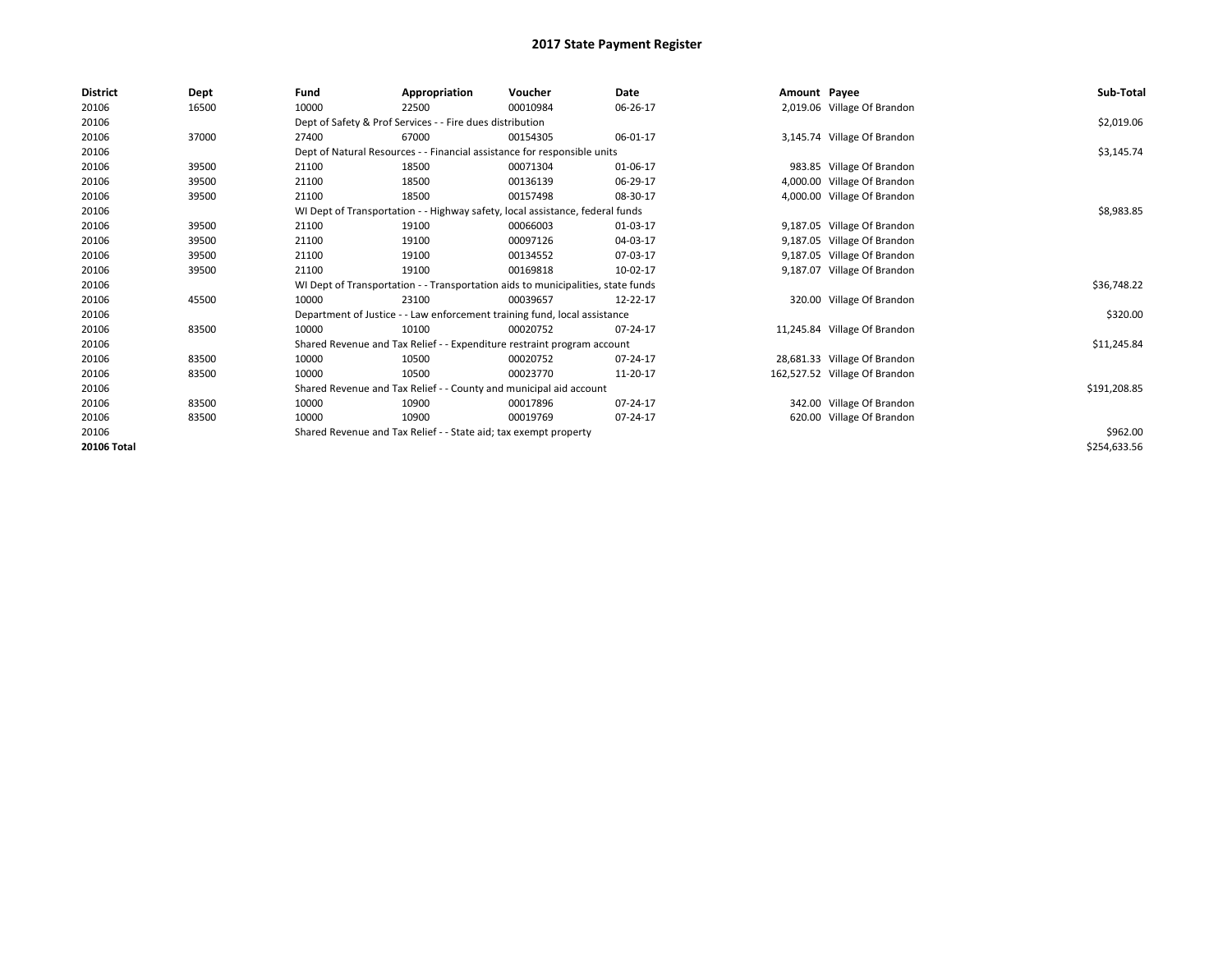| <b>District</b> | Dept  | Fund  | Appropriation                                                    | Voucher                                                                          | Date     | Amount Payee |                               | Sub-Total    |
|-----------------|-------|-------|------------------------------------------------------------------|----------------------------------------------------------------------------------|----------|--------------|-------------------------------|--------------|
| 20106           | 16500 | 10000 | 22500                                                            | 00010984                                                                         | 06-26-17 |              | 2,019.06 Village Of Brandon   |              |
| 20106           |       |       | Dept of Safety & Prof Services - - Fire dues distribution        |                                                                                  |          |              |                               | \$2,019.06   |
| 20106           | 37000 | 27400 | 67000                                                            | 00154305                                                                         | 06-01-17 |              | 3,145.74 Village Of Brandon   |              |
| 20106           |       |       |                                                                  | Dept of Natural Resources - - Financial assistance for responsible units         |          |              |                               | \$3,145.74   |
| 20106           | 39500 | 21100 | 18500                                                            | 00071304                                                                         | 01-06-17 |              | 983.85 Village Of Brandon     |              |
| 20106           | 39500 | 21100 | 18500                                                            | 00136139                                                                         | 06-29-17 |              | 4,000.00 Village Of Brandon   |              |
| 20106           | 39500 | 21100 | 18500                                                            | 00157498                                                                         | 08-30-17 |              | 4,000.00 Village Of Brandon   |              |
| 20106           |       |       |                                                                  | WI Dept of Transportation - - Highway safety, local assistance, federal funds    |          |              |                               | \$8,983.85   |
| 20106           | 39500 | 21100 | 19100                                                            | 00066003                                                                         | 01-03-17 |              | 9,187.05 Village Of Brandon   |              |
| 20106           | 39500 | 21100 | 19100                                                            | 00097126                                                                         | 04-03-17 |              | 9,187.05 Village Of Brandon   |              |
| 20106           | 39500 | 21100 | 19100                                                            | 00134552                                                                         | 07-03-17 |              | 9,187.05 Village Of Brandon   |              |
| 20106           | 39500 | 21100 | 19100                                                            | 00169818                                                                         | 10-02-17 |              | 9,187.07 Village Of Brandon   |              |
| 20106           |       |       |                                                                  | WI Dept of Transportation - - Transportation aids to municipalities, state funds |          |              |                               | \$36,748.22  |
| 20106           | 45500 | 10000 | 23100                                                            | 00039657                                                                         | 12-22-17 |              | 320.00 Village Of Brandon     |              |
| 20106           |       |       |                                                                  | Department of Justice - - Law enforcement training fund, local assistance        |          |              |                               | \$320.00     |
| 20106           | 83500 | 10000 | 10100                                                            | 00020752                                                                         | 07-24-17 |              | 11,245.84 Village Of Brandon  |              |
| 20106           |       |       |                                                                  | Shared Revenue and Tax Relief - - Expenditure restraint program account          |          |              |                               | \$11,245.84  |
| 20106           | 83500 | 10000 | 10500                                                            | 00020752                                                                         | 07-24-17 |              | 28,681.33 Village Of Brandon  |              |
| 20106           | 83500 | 10000 | 10500                                                            | 00023770                                                                         | 11-20-17 |              | 162,527.52 Village Of Brandon |              |
| 20106           |       |       |                                                                  | Shared Revenue and Tax Relief - - County and municipal aid account               |          |              |                               | \$191,208.85 |
| 20106           | 83500 | 10000 | 10900                                                            | 00017896                                                                         | 07-24-17 |              | 342.00 Village Of Brandon     |              |
| 20106           | 83500 | 10000 | 10900                                                            | 00019769                                                                         | 07-24-17 |              | 620.00 Village Of Brandon     |              |
| 20106           |       |       | Shared Revenue and Tax Relief - - State aid; tax exempt property |                                                                                  |          |              |                               | \$962.00     |
| 20106 Total     |       |       |                                                                  |                                                                                  |          |              |                               | \$254,633.56 |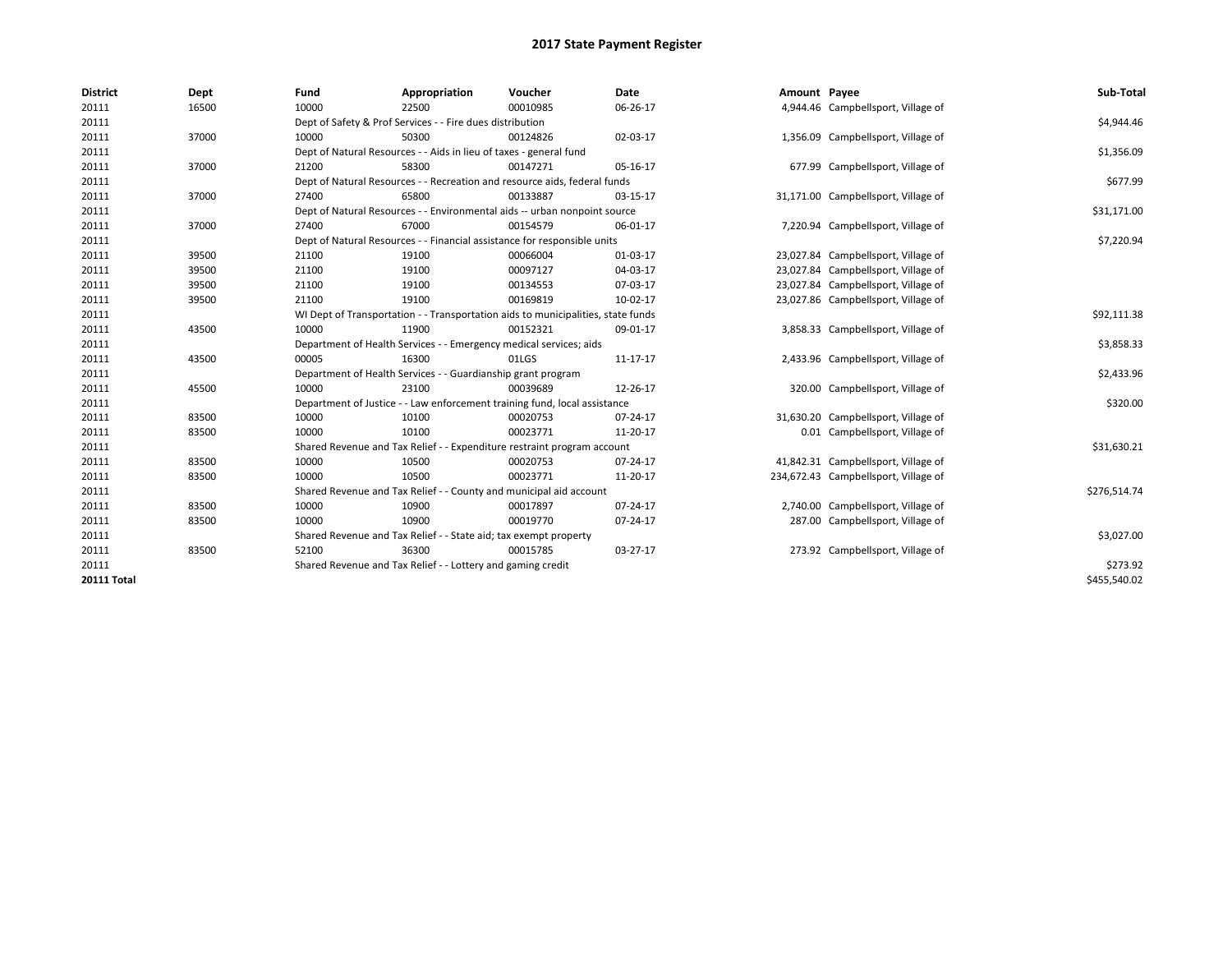| <b>District</b>    | Dept  | Fund  | Appropriation                                                                    | Voucher  | <b>Date</b> | Amount Payee |                                      | Sub-Total    |
|--------------------|-------|-------|----------------------------------------------------------------------------------|----------|-------------|--------------|--------------------------------------|--------------|
| 20111              | 16500 | 10000 | 22500                                                                            | 00010985 | 06-26-17    |              | 4,944.46 Campbellsport, Village of   |              |
| 20111              |       |       | Dept of Safety & Prof Services - - Fire dues distribution                        |          |             |              |                                      | \$4,944.46   |
| 20111              | 37000 | 10000 | 50300                                                                            | 00124826 | 02-03-17    |              | 1,356.09 Campbellsport, Village of   |              |
| 20111              |       |       | Dept of Natural Resources - - Aids in lieu of taxes - general fund               |          |             |              |                                      | \$1,356.09   |
| 20111              | 37000 | 21200 | 58300                                                                            | 00147271 | 05-16-17    |              | 677.99 Campbellsport, Village of     |              |
| 20111              |       |       | Dept of Natural Resources - - Recreation and resource aids, federal funds        |          |             |              |                                      | \$677.99     |
| 20111              | 37000 | 27400 | 65800                                                                            | 00133887 | 03-15-17    |              | 31,171.00 Campbellsport, Village of  |              |
| 20111              |       |       | Dept of Natural Resources - - Environmental aids -- urban nonpoint source        |          |             |              |                                      | \$31,171.00  |
| 20111              | 37000 | 27400 | 67000                                                                            | 00154579 | 06-01-17    |              | 7,220.94 Campbellsport, Village of   |              |
| 20111              |       |       | Dept of Natural Resources - - Financial assistance for responsible units         |          |             |              |                                      | \$7,220.94   |
| 20111              | 39500 | 21100 | 19100                                                                            | 00066004 | 01-03-17    |              | 23,027.84 Campbellsport, Village of  |              |
| 20111              | 39500 | 21100 | 19100                                                                            | 00097127 | 04-03-17    |              | 23,027.84 Campbellsport, Village of  |              |
| 20111              | 39500 | 21100 | 19100                                                                            | 00134553 | 07-03-17    |              | 23,027.84 Campbellsport, Village of  |              |
| 20111              | 39500 | 21100 | 19100                                                                            | 00169819 | 10-02-17    |              | 23,027.86 Campbellsport, Village of  |              |
| 20111              |       |       | WI Dept of Transportation - - Transportation aids to municipalities, state funds |          |             |              |                                      | \$92,111.38  |
| 20111              | 43500 | 10000 | 11900                                                                            | 00152321 | 09-01-17    |              | 3,858.33 Campbellsport, Village of   |              |
| 20111              |       |       | Department of Health Services - - Emergency medical services; aids               |          |             |              |                                      | \$3,858.33   |
| 20111              | 43500 | 00005 | 16300                                                                            | 01LGS    | 11-17-17    |              | 2,433.96 Campbellsport, Village of   |              |
| 20111              |       |       | Department of Health Services - - Guardianship grant program                     |          |             |              |                                      | \$2,433.96   |
| 20111              | 45500 | 10000 | 23100                                                                            | 00039689 | 12-26-17    |              | 320.00 Campbellsport, Village of     |              |
| 20111              |       |       | Department of Justice - - Law enforcement training fund, local assistance        |          |             |              |                                      | \$320.00     |
| 20111              | 83500 | 10000 | 10100                                                                            | 00020753 | 07-24-17    |              | 31,630.20 Campbellsport, Village of  |              |
| 20111              | 83500 | 10000 | 10100                                                                            | 00023771 | 11-20-17    |              | 0.01 Campbellsport, Village of       |              |
| 20111              |       |       | Shared Revenue and Tax Relief - - Expenditure restraint program account          |          |             |              |                                      | \$31,630.21  |
| 20111              | 83500 | 10000 | 10500                                                                            | 00020753 | 07-24-17    |              | 41,842.31 Campbellsport, Village of  |              |
| 20111              | 83500 | 10000 | 10500                                                                            | 00023771 | 11-20-17    |              | 234,672.43 Campbellsport, Village of |              |
| 20111              |       |       | Shared Revenue and Tax Relief - - County and municipal aid account               |          |             |              |                                      | \$276,514.74 |
| 20111              | 83500 | 10000 | 10900                                                                            | 00017897 | 07-24-17    |              | 2,740.00 Campbellsport, Village of   |              |
| 20111              | 83500 | 10000 | 10900                                                                            | 00019770 | 07-24-17    |              | 287.00 Campbellsport, Village of     |              |
| 20111              |       |       | Shared Revenue and Tax Relief - - State aid; tax exempt property                 |          |             |              |                                      | \$3,027.00   |
| 20111              | 83500 | 52100 | 36300                                                                            | 00015785 | 03-27-17    |              | 273.92 Campbellsport, Village of     |              |
| 20111              |       |       | Shared Revenue and Tax Relief - - Lottery and gaming credit                      |          |             |              |                                      | \$273.92     |
| <b>20111 Total</b> |       |       |                                                                                  |          |             |              |                                      | \$455,540.02 |
|                    |       |       |                                                                                  |          |             |              |                                      |              |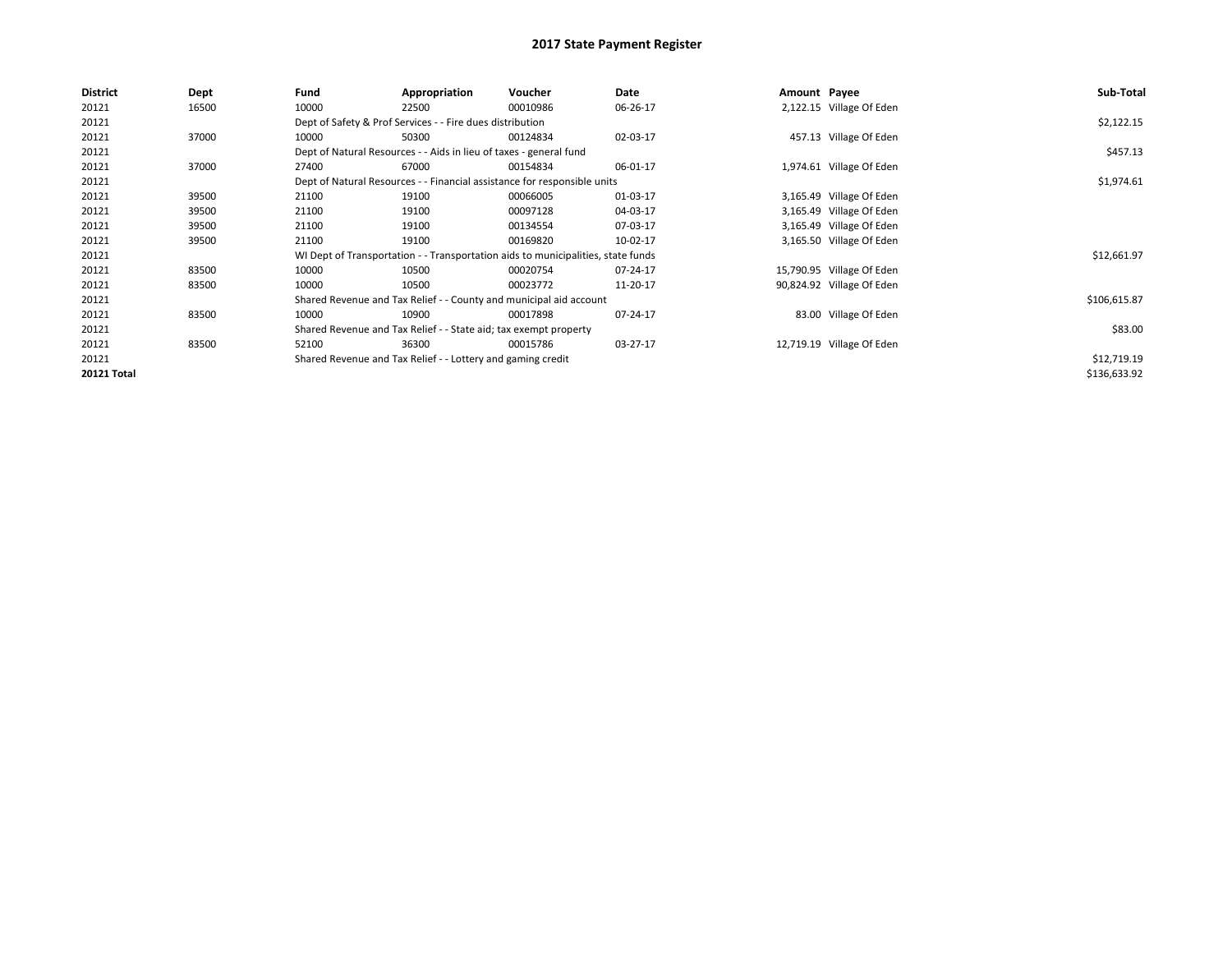| <b>District</b>    | Dept  | Fund  | Appropriation                                                                    | Voucher  | Date     | Amount Payee |                           | Sub-Total    |
|--------------------|-------|-------|----------------------------------------------------------------------------------|----------|----------|--------------|---------------------------|--------------|
| 20121              | 16500 | 10000 | 22500                                                                            | 00010986 | 06-26-17 |              | 2,122.15 Village Of Eden  |              |
| 20121              |       |       | Dept of Safety & Prof Services - - Fire dues distribution                        |          |          |              |                           | \$2,122.15   |
| 20121              | 37000 | 10000 | 50300                                                                            | 00124834 | 02-03-17 |              | 457.13 Village Of Eden    |              |
| 20121              |       |       | Dept of Natural Resources - - Aids in lieu of taxes - general fund               |          |          |              |                           | \$457.13     |
| 20121              | 37000 | 27400 | 67000                                                                            | 00154834 | 06-01-17 |              | 1,974.61 Village Of Eden  |              |
| 20121              |       |       | Dept of Natural Resources - - Financial assistance for responsible units         |          |          |              |                           | \$1,974.61   |
| 20121              | 39500 | 21100 | 19100                                                                            | 00066005 | 01-03-17 |              | 3,165.49 Village Of Eden  |              |
| 20121              | 39500 | 21100 | 19100                                                                            | 00097128 | 04-03-17 |              | 3,165.49 Village Of Eden  |              |
| 20121              | 39500 | 21100 | 19100                                                                            | 00134554 | 07-03-17 |              | 3,165.49 Village Of Eden  |              |
| 20121              | 39500 | 21100 | 19100                                                                            | 00169820 | 10-02-17 |              | 3,165.50 Village Of Eden  |              |
| 20121              |       |       | WI Dept of Transportation - - Transportation aids to municipalities, state funds |          |          |              |                           | \$12,661.97  |
| 20121              | 83500 | 10000 | 10500                                                                            | 00020754 | 07-24-17 |              | 15,790.95 Village Of Eden |              |
| 20121              | 83500 | 10000 | 10500                                                                            | 00023772 | 11-20-17 |              | 90,824.92 Village Of Eden |              |
| 20121              |       |       | Shared Revenue and Tax Relief - - County and municipal aid account               |          |          |              |                           | \$106,615.87 |
| 20121              | 83500 | 10000 | 10900                                                                            | 00017898 | 07-24-17 |              | 83.00 Village Of Eden     |              |
| 20121              |       |       | Shared Revenue and Tax Relief - - State aid; tax exempt property                 |          |          |              |                           | \$83.00      |
| 20121              | 83500 | 52100 | 36300                                                                            | 00015786 | 03-27-17 |              | 12,719.19 Village Of Eden |              |
| 20121              |       |       | Shared Revenue and Tax Relief - - Lottery and gaming credit                      |          |          |              |                           | \$12,719.19  |
| <b>20121 Total</b> |       |       |                                                                                  |          |          |              |                           | \$136,633.92 |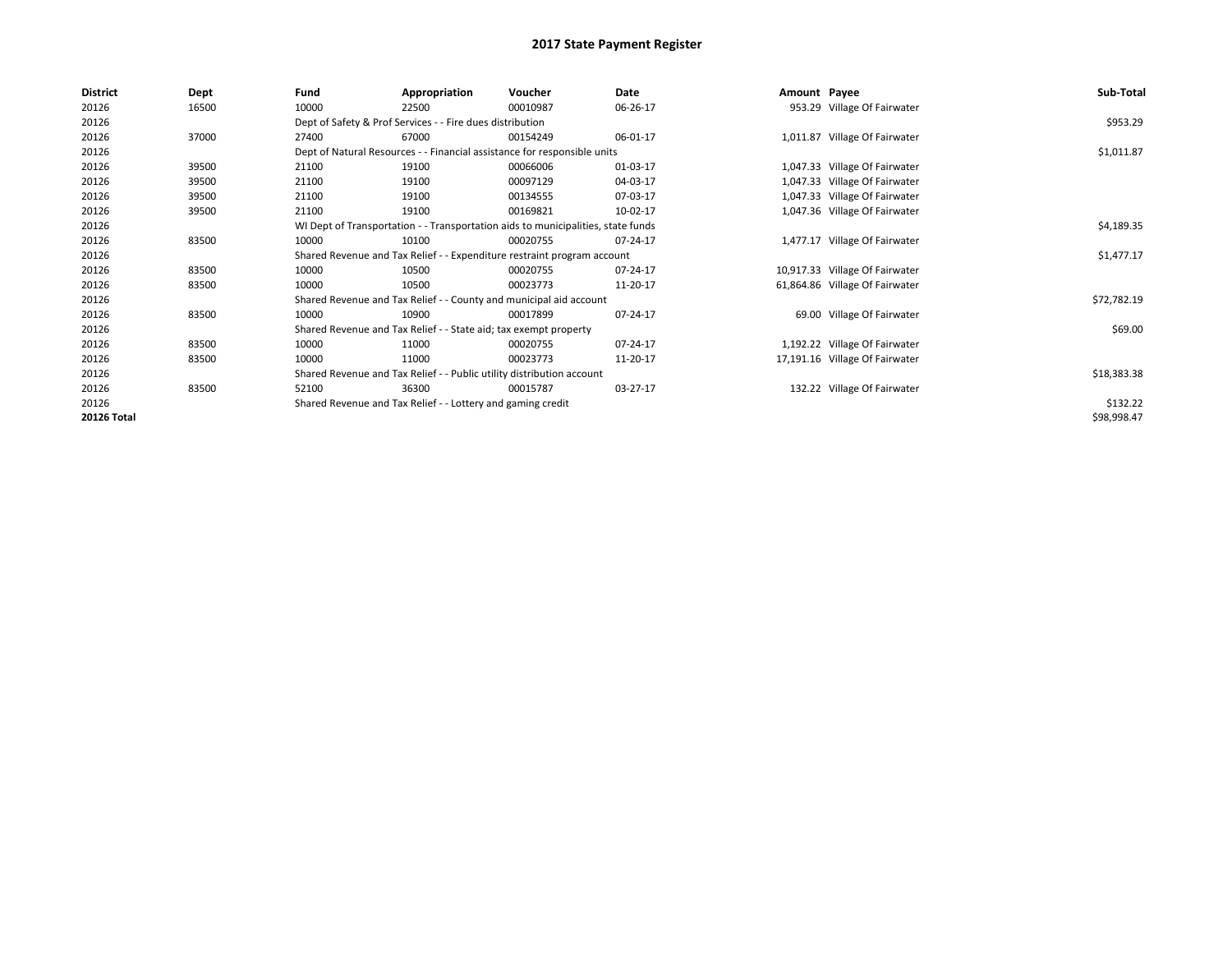| <b>District</b> | Dept  | Fund  | Appropriation                                                                    | Voucher  | Date     | Amount Payee |                                | Sub-Total   |
|-----------------|-------|-------|----------------------------------------------------------------------------------|----------|----------|--------------|--------------------------------|-------------|
| 20126           | 16500 | 10000 | 22500                                                                            | 00010987 | 06-26-17 |              | 953.29 Village Of Fairwater    |             |
| 20126           |       |       | Dept of Safety & Prof Services - - Fire dues distribution                        |          |          |              |                                | \$953.29    |
| 20126           | 37000 | 27400 | 67000                                                                            | 00154249 | 06-01-17 |              | 1,011.87 Village Of Fairwater  |             |
| 20126           |       |       | Dept of Natural Resources - - Financial assistance for responsible units         |          |          |              |                                | \$1,011.87  |
| 20126           | 39500 | 21100 | 19100                                                                            | 00066006 | 01-03-17 |              | 1,047.33 Village Of Fairwater  |             |
| 20126           | 39500 | 21100 | 19100                                                                            | 00097129 | 04-03-17 |              | 1,047.33 Village Of Fairwater  |             |
| 20126           | 39500 | 21100 | 19100                                                                            | 00134555 | 07-03-17 |              | 1,047.33 Village Of Fairwater  |             |
| 20126           | 39500 | 21100 | 19100                                                                            | 00169821 | 10-02-17 |              | 1,047.36 Village Of Fairwater  |             |
| 20126           |       |       | WI Dept of Transportation - - Transportation aids to municipalities, state funds |          |          |              |                                | \$4,189.35  |
| 20126           | 83500 | 10000 | 10100                                                                            | 00020755 | 07-24-17 |              | 1,477.17 Village Of Fairwater  |             |
| 20126           |       |       | Shared Revenue and Tax Relief - - Expenditure restraint program account          |          |          |              |                                | \$1,477.17  |
| 20126           | 83500 | 10000 | 10500                                                                            | 00020755 | 07-24-17 |              | 10,917.33 Village Of Fairwater |             |
| 20126           | 83500 | 10000 | 10500                                                                            | 00023773 | 11-20-17 |              | 61,864.86 Village Of Fairwater |             |
| 20126           |       |       | Shared Revenue and Tax Relief - - County and municipal aid account               |          |          |              |                                | \$72,782.19 |
| 20126           | 83500 | 10000 | 10900                                                                            | 00017899 | 07-24-17 |              | 69.00 Village Of Fairwater     |             |
| 20126           |       |       | Shared Revenue and Tax Relief - - State aid; tax exempt property                 |          |          |              |                                | \$69.00     |
| 20126           | 83500 | 10000 | 11000                                                                            | 00020755 | 07-24-17 |              | 1,192.22 Village Of Fairwater  |             |
| 20126           | 83500 | 10000 | 11000                                                                            | 00023773 | 11-20-17 |              | 17,191.16 Village Of Fairwater |             |
| 20126           |       |       | Shared Revenue and Tax Relief - - Public utility distribution account            |          |          |              |                                | \$18,383.38 |
| 20126           | 83500 | 52100 | 36300                                                                            | 00015787 | 03-27-17 |              | 132.22 Village Of Fairwater    |             |
| 20126           |       |       | Shared Revenue and Tax Relief - - Lottery and gaming credit                      |          |          |              |                                | \$132.22    |
| 20126 Total     |       |       |                                                                                  |          |          |              |                                | \$98,998.47 |
|                 |       |       |                                                                                  |          |          |              |                                |             |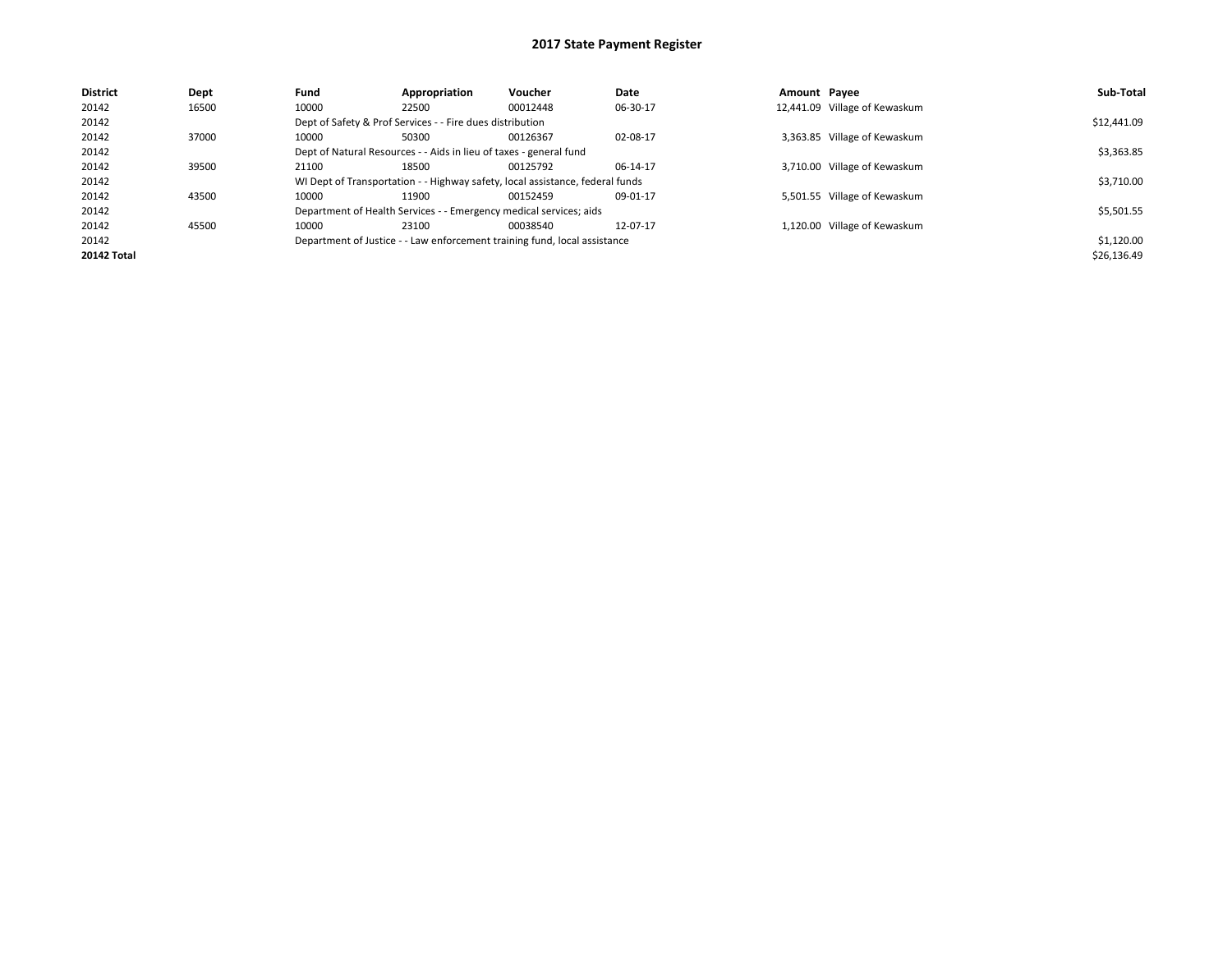| <b>District</b>    | Dept  | Fund  | Appropriation                                                      | <b>Voucher</b>                                                                | Date     | Amount Pavee |                               | Sub-Total   |
|--------------------|-------|-------|--------------------------------------------------------------------|-------------------------------------------------------------------------------|----------|--------------|-------------------------------|-------------|
| 20142              | 16500 | 10000 | 22500                                                              | 00012448                                                                      | 06-30-17 |              | 12,441.09 Village of Kewaskum |             |
| 20142              |       |       | Dept of Safety & Prof Services - - Fire dues distribution          |                                                                               |          |              |                               | \$12,441.09 |
| 20142              | 37000 | 10000 | 50300                                                              | 00126367                                                                      | 02-08-17 |              | 3,363.85 Village of Kewaskum  |             |
| 20142              |       |       | Dept of Natural Resources - - Aids in lieu of taxes - general fund |                                                                               |          |              |                               | \$3,363.85  |
| 20142              | 39500 | 21100 | 18500                                                              | 00125792                                                                      | 06-14-17 |              | 3,710.00 Village of Kewaskum  |             |
| 20142              |       |       |                                                                    | WI Dept of Transportation - - Highway safety, local assistance, federal funds |          |              |                               | \$3,710.00  |
| 20142              | 43500 | 10000 | 11900                                                              | 00152459                                                                      | 09-01-17 |              | 5,501.55 Village of Kewaskum  |             |
| 20142              |       |       | Department of Health Services - - Emergency medical services; aids |                                                                               |          |              |                               | \$5,501.55  |
| 20142              | 45500 | 10000 | 23100                                                              | 00038540                                                                      | 12-07-17 |              | 1,120.00 Village of Kewaskum  |             |
| 20142              |       |       |                                                                    | Department of Justice - - Law enforcement training fund, local assistance     |          |              |                               | \$1,120.00  |
| <b>20142 Total</b> |       |       |                                                                    |                                                                               |          |              |                               | \$26,136.49 |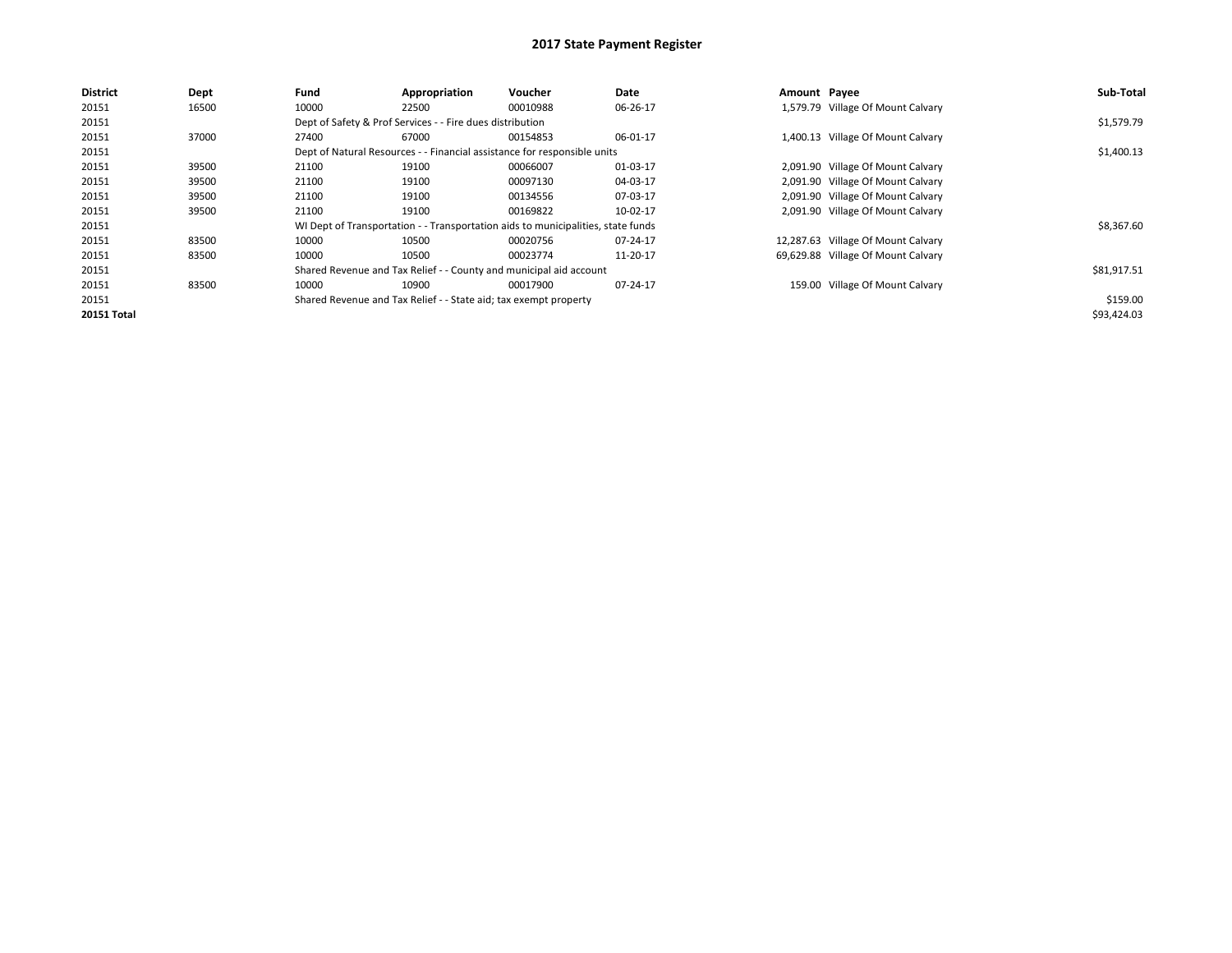| <b>District</b>    | Dept  | Fund  | Appropriation                                                                    | Voucher  | Date     | Amount Payee |                                    | Sub-Total   |
|--------------------|-------|-------|----------------------------------------------------------------------------------|----------|----------|--------------|------------------------------------|-------------|
| 20151              | 16500 | 10000 | 22500                                                                            | 00010988 | 06-26-17 |              | 1,579.79 Village Of Mount Calvary  |             |
| 20151              |       |       | Dept of Safety & Prof Services - - Fire dues distribution                        |          |          |              |                                    | \$1,579.79  |
| 20151              | 37000 | 27400 | 67000                                                                            | 00154853 | 06-01-17 |              | 1,400.13 Village Of Mount Calvary  |             |
| 20151              |       |       | Dept of Natural Resources - - Financial assistance for responsible units         |          |          |              |                                    | \$1,400.13  |
| 20151              | 39500 | 21100 | 19100                                                                            | 00066007 | 01-03-17 |              | 2,091.90 Village Of Mount Calvary  |             |
| 20151              | 39500 | 21100 | 19100                                                                            | 00097130 | 04-03-17 |              | 2,091.90 Village Of Mount Calvary  |             |
| 20151              | 39500 | 21100 | 19100                                                                            | 00134556 | 07-03-17 |              | 2,091.90 Village Of Mount Calvary  |             |
| 20151              | 39500 | 21100 | 19100                                                                            | 00169822 | 10-02-17 |              | 2,091.90 Village Of Mount Calvary  |             |
| 20151              |       |       | WI Dept of Transportation - - Transportation aids to municipalities, state funds |          |          |              |                                    | \$8,367.60  |
| 20151              | 83500 | 10000 | 10500                                                                            | 00020756 | 07-24-17 |              | 12,287.63 Village Of Mount Calvary |             |
| 20151              | 83500 | 10000 | 10500                                                                            | 00023774 | 11-20-17 |              | 69,629.88 Village Of Mount Calvary |             |
| 20151              |       |       | Shared Revenue and Tax Relief - - County and municipal aid account               |          |          |              |                                    | \$81,917.51 |
| 20151              | 83500 | 10000 | 10900                                                                            | 00017900 | 07-24-17 |              | 159.00 Village Of Mount Calvary    |             |
| 20151              |       |       | Shared Revenue and Tax Relief - - State aid; tax exempt property                 |          |          |              |                                    | \$159.00    |
| <b>20151 Total</b> |       |       |                                                                                  |          |          |              |                                    | \$93,424.03 |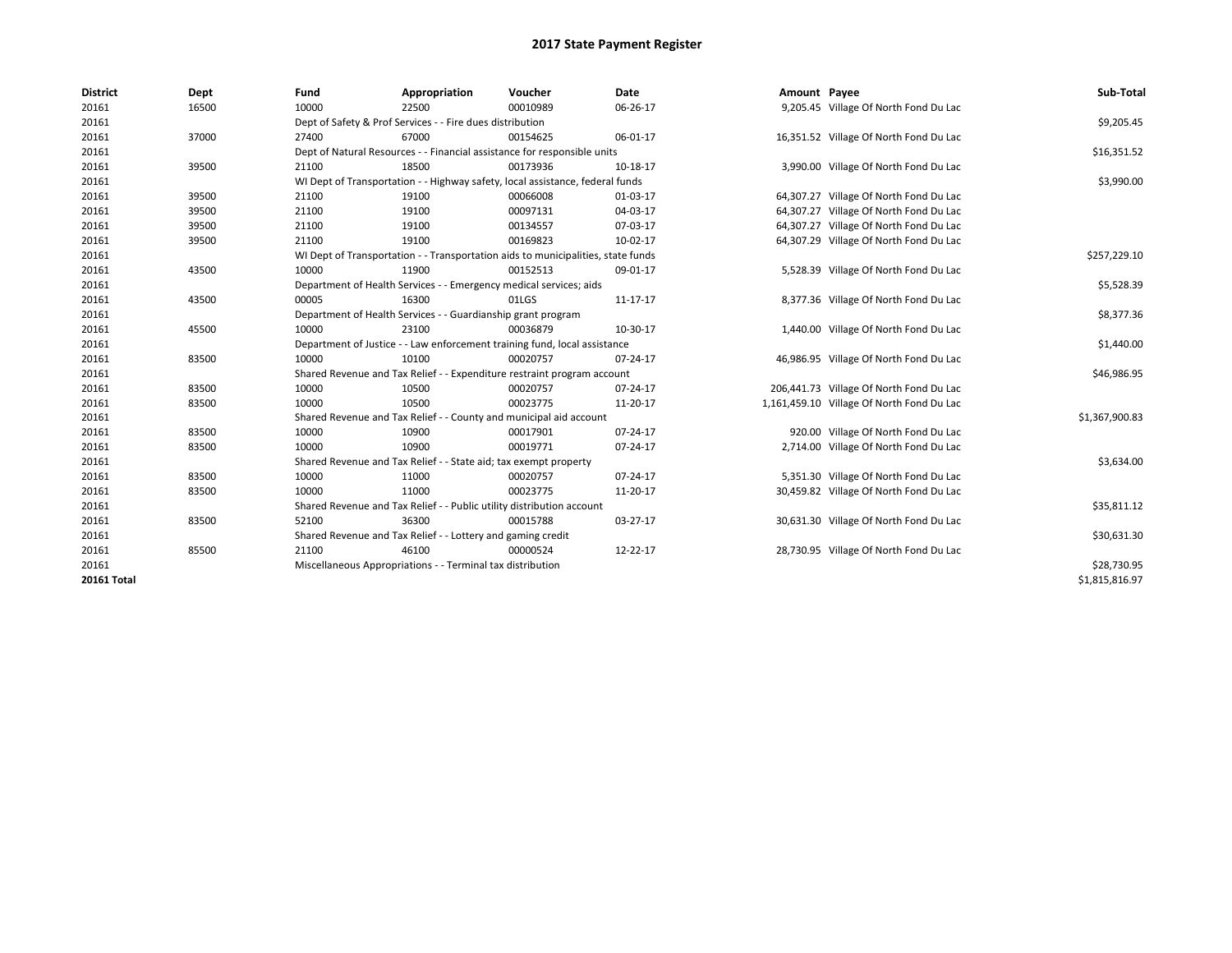| <b>District</b>    | Dept  | Fund  | Appropriation                                                                    | Voucher  | Date     | Amount Payee |                                           | Sub-Total      |
|--------------------|-------|-------|----------------------------------------------------------------------------------|----------|----------|--------------|-------------------------------------------|----------------|
| 20161              | 16500 | 10000 | 22500                                                                            | 00010989 | 06-26-17 |              | 9,205.45 Village Of North Fond Du Lac     |                |
| 20161              |       |       | Dept of Safety & Prof Services - - Fire dues distribution                        |          |          |              |                                           | \$9,205.45     |
| 20161              | 37000 | 27400 | 67000                                                                            | 00154625 | 06-01-17 |              | 16,351.52 Village Of North Fond Du Lac    |                |
| 20161              |       |       | Dept of Natural Resources - - Financial assistance for responsible units         |          |          |              |                                           | \$16,351.52    |
| 20161              | 39500 | 21100 | 18500                                                                            | 00173936 | 10-18-17 |              | 3,990.00 Village Of North Fond Du Lac     |                |
| 20161              |       |       | WI Dept of Transportation - - Highway safety, local assistance, federal funds    |          |          |              |                                           | \$3,990.00     |
| 20161              | 39500 | 21100 | 19100                                                                            | 00066008 | 01-03-17 |              | 64,307.27 Village Of North Fond Du Lac    |                |
| 20161              | 39500 | 21100 | 19100                                                                            | 00097131 | 04-03-17 |              | 64,307.27 Village Of North Fond Du Lac    |                |
| 20161              | 39500 | 21100 | 19100                                                                            | 00134557 | 07-03-17 |              | 64,307.27 Village Of North Fond Du Lac    |                |
| 20161              | 39500 | 21100 | 19100                                                                            | 00169823 | 10-02-17 |              | 64,307.29 Village Of North Fond Du Lac    |                |
| 20161              |       |       | WI Dept of Transportation - - Transportation aids to municipalities, state funds |          |          |              |                                           | \$257,229.10   |
| 20161              | 43500 | 10000 | 11900                                                                            | 00152513 | 09-01-17 |              | 5,528.39 Village Of North Fond Du Lac     |                |
| 20161              |       |       | Department of Health Services - - Emergency medical services; aids               |          |          |              |                                           | \$5,528.39     |
| 20161              | 43500 | 00005 | 16300                                                                            | 01LGS    | 11-17-17 |              | 8,377.36 Village Of North Fond Du Lac     |                |
| 20161              |       |       | Department of Health Services - - Guardianship grant program                     |          |          |              |                                           | \$8,377.36     |
| 20161              | 45500 | 10000 | 23100                                                                            | 00036879 | 10-30-17 |              | 1,440.00 Village Of North Fond Du Lac     |                |
| 20161              |       |       | Department of Justice - - Law enforcement training fund, local assistance        |          |          |              |                                           | \$1,440.00     |
| 20161              | 83500 | 10000 | 10100                                                                            | 00020757 | 07-24-17 |              | 46,986.95 Village Of North Fond Du Lac    |                |
| 20161              |       |       | Shared Revenue and Tax Relief - - Expenditure restraint program account          |          |          |              |                                           | \$46,986.95    |
| 20161              | 83500 | 10000 | 10500                                                                            | 00020757 | 07-24-17 |              | 206,441.73 Village Of North Fond Du Lac   |                |
| 20161              | 83500 | 10000 | 10500                                                                            | 00023775 | 11-20-17 |              | 1,161,459.10 Village Of North Fond Du Lac |                |
| 20161              |       |       | Shared Revenue and Tax Relief - - County and municipal aid account               |          |          |              |                                           | \$1,367,900.83 |
| 20161              | 83500 | 10000 | 10900                                                                            | 00017901 | 07-24-17 |              | 920.00 Village Of North Fond Du Lac       |                |
| 20161              | 83500 | 10000 | 10900                                                                            | 00019771 | 07-24-17 |              | 2,714.00 Village Of North Fond Du Lac     |                |
| 20161              |       |       | Shared Revenue and Tax Relief - - State aid; tax exempt property                 |          |          |              |                                           | \$3,634.00     |
| 20161              | 83500 | 10000 | 11000                                                                            | 00020757 | 07-24-17 |              | 5,351.30 Village Of North Fond Du Lac     |                |
| 20161              | 83500 | 10000 | 11000                                                                            | 00023775 | 11-20-17 |              | 30,459.82 Village Of North Fond Du Lac    |                |
| 20161              |       |       | Shared Revenue and Tax Relief - - Public utility distribution account            |          |          |              |                                           | \$35,811.12    |
| 20161              | 83500 | 52100 | 36300                                                                            | 00015788 | 03-27-17 |              | 30,631.30 Village Of North Fond Du Lac    |                |
| 20161              |       |       | Shared Revenue and Tax Relief - - Lottery and gaming credit                      |          |          |              |                                           | \$30,631.30    |
| 20161              | 85500 | 21100 | 46100                                                                            | 00000524 | 12-22-17 |              | 28,730.95 Village Of North Fond Du Lac    |                |
| 20161              |       |       | Miscellaneous Appropriations - - Terminal tax distribution                       |          |          |              |                                           | \$28,730.95    |
| <b>20161 Total</b> |       |       |                                                                                  |          |          |              |                                           | \$1,815,816.97 |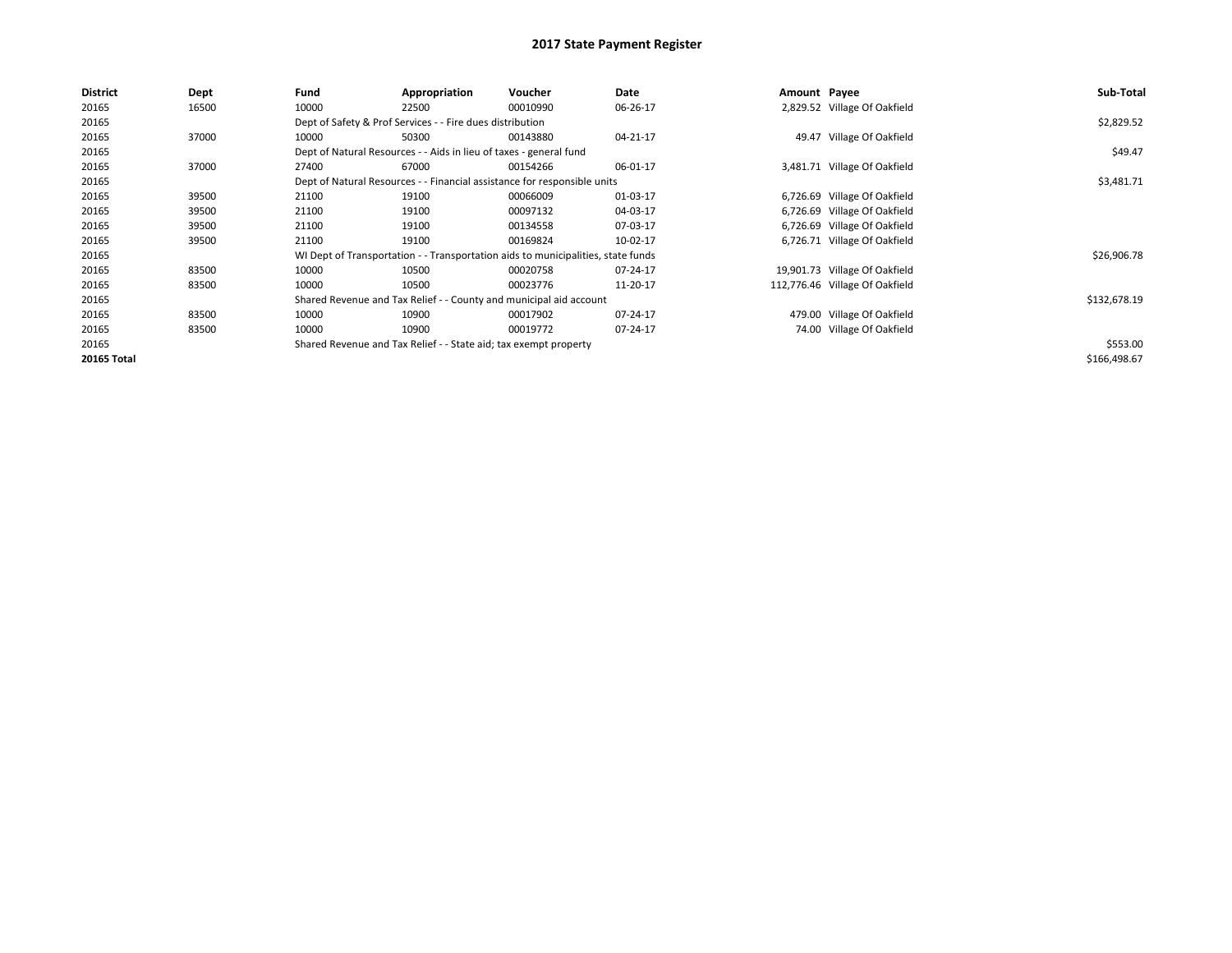| <b>District</b>    | Dept  | Fund  | Appropriation                                                                    | Voucher  | Date     | Amount Payee |                                | Sub-Total    |
|--------------------|-------|-------|----------------------------------------------------------------------------------|----------|----------|--------------|--------------------------------|--------------|
| 20165              | 16500 | 10000 | 22500                                                                            | 00010990 | 06-26-17 |              | 2,829.52 Village Of Oakfield   |              |
| 20165              |       |       | Dept of Safety & Prof Services - - Fire dues distribution                        |          |          |              |                                | \$2,829.52   |
| 20165              | 37000 | 10000 | 50300                                                                            | 00143880 | 04-21-17 |              | 49.47 Village Of Oakfield      |              |
| 20165              |       |       | Dept of Natural Resources - - Aids in lieu of taxes - general fund               |          |          |              |                                | \$49.47      |
| 20165              | 37000 | 27400 | 67000                                                                            | 00154266 | 06-01-17 |              | 3,481.71 Village Of Oakfield   |              |
| 20165              |       |       | Dept of Natural Resources - - Financial assistance for responsible units         |          |          |              |                                | \$3,481.71   |
| 20165              | 39500 | 21100 | 19100                                                                            | 00066009 | 01-03-17 |              | 6,726.69 Village Of Oakfield   |              |
| 20165              | 39500 | 21100 | 19100                                                                            | 00097132 | 04-03-17 |              | 6,726.69 Village Of Oakfield   |              |
| 20165              | 39500 | 21100 | 19100                                                                            | 00134558 | 07-03-17 |              | 6,726.69 Village Of Oakfield   |              |
| 20165              | 39500 | 21100 | 19100                                                                            | 00169824 | 10-02-17 |              | 6,726.71 Village Of Oakfield   |              |
| 20165              |       |       | WI Dept of Transportation - - Transportation aids to municipalities, state funds |          |          |              |                                | \$26,906.78  |
| 20165              | 83500 | 10000 | 10500                                                                            | 00020758 | 07-24-17 |              | 19,901.73 Village Of Oakfield  |              |
| 20165              | 83500 | 10000 | 10500                                                                            | 00023776 | 11-20-17 |              | 112,776.46 Village Of Oakfield |              |
| 20165              |       |       | Shared Revenue and Tax Relief - - County and municipal aid account               |          |          |              |                                | \$132,678.19 |
| 20165              | 83500 | 10000 | 10900                                                                            | 00017902 | 07-24-17 |              | 479.00 Village Of Oakfield     |              |
| 20165              | 83500 | 10000 | 10900                                                                            | 00019772 | 07-24-17 |              | 74.00 Village Of Oakfield      |              |
| 20165              |       |       | Shared Revenue and Tax Relief - - State aid; tax exempt property                 |          |          |              |                                | \$553.00     |
| <b>20165 Total</b> |       |       |                                                                                  |          |          |              |                                | \$166,498.67 |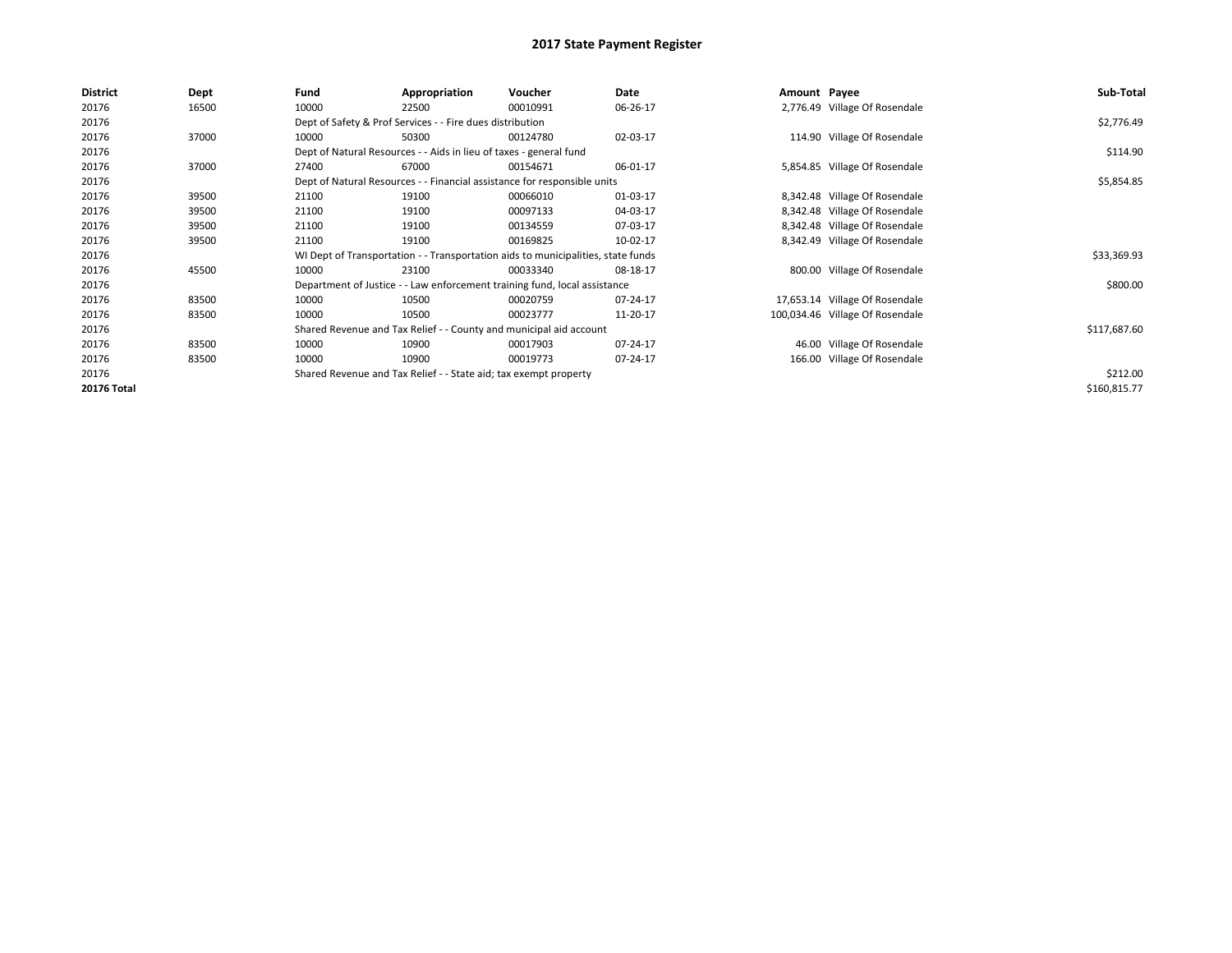| <b>District</b>    | Dept  | Fund  | Appropriation                                                                    | Voucher  | Date     | Amount Payee |                                 | Sub-Total    |
|--------------------|-------|-------|----------------------------------------------------------------------------------|----------|----------|--------------|---------------------------------|--------------|
| 20176              | 16500 | 10000 | 22500                                                                            | 00010991 | 06-26-17 |              | 2,776.49 Village Of Rosendale   |              |
| 20176              |       |       | Dept of Safety & Prof Services - - Fire dues distribution                        |          |          |              |                                 | \$2,776.49   |
| 20176              | 37000 | 10000 | 50300                                                                            | 00124780 | 02-03-17 |              | 114.90 Village Of Rosendale     |              |
| 20176              |       |       | Dept of Natural Resources - - Aids in lieu of taxes - general fund               |          |          |              |                                 | \$114.90     |
| 20176              | 37000 | 27400 | 67000                                                                            | 00154671 | 06-01-17 |              | 5,854.85 Village Of Rosendale   |              |
| 20176              |       |       | Dept of Natural Resources - - Financial assistance for responsible units         |          |          |              |                                 | \$5,854.85   |
| 20176              | 39500 | 21100 | 19100                                                                            | 00066010 | 01-03-17 |              | 8,342.48 Village Of Rosendale   |              |
| 20176              | 39500 | 21100 | 19100                                                                            | 00097133 | 04-03-17 |              | 8,342.48 Village Of Rosendale   |              |
| 20176              | 39500 | 21100 | 19100                                                                            | 00134559 | 07-03-17 |              | 8,342.48 Village Of Rosendale   |              |
| 20176              | 39500 | 21100 | 19100                                                                            | 00169825 | 10-02-17 |              | 8,342.49 Village Of Rosendale   |              |
| 20176              |       |       | WI Dept of Transportation - - Transportation aids to municipalities, state funds |          |          |              |                                 | \$33,369.93  |
| 20176              | 45500 | 10000 | 23100                                                                            | 00033340 | 08-18-17 |              | 800.00 Village Of Rosendale     |              |
| 20176              |       |       | Department of Justice - - Law enforcement training fund, local assistance        |          |          |              |                                 | \$800.00     |
| 20176              | 83500 | 10000 | 10500                                                                            | 00020759 | 07-24-17 |              | 17,653.14 Village Of Rosendale  |              |
| 20176              | 83500 | 10000 | 10500                                                                            | 00023777 | 11-20-17 |              | 100,034.46 Village Of Rosendale |              |
| 20176              |       |       | Shared Revenue and Tax Relief - - County and municipal aid account               |          |          |              |                                 | \$117,687.60 |
| 20176              | 83500 | 10000 | 10900                                                                            | 00017903 | 07-24-17 |              | 46.00 Village Of Rosendale      |              |
| 20176              | 83500 | 10000 | 10900                                                                            | 00019773 | 07-24-17 |              | 166.00 Village Of Rosendale     |              |
| 20176              |       |       | Shared Revenue and Tax Relief - - State aid; tax exempt property                 |          |          |              |                                 | \$212.00     |
| <b>20176 Total</b> |       |       |                                                                                  |          |          |              |                                 | \$160,815.77 |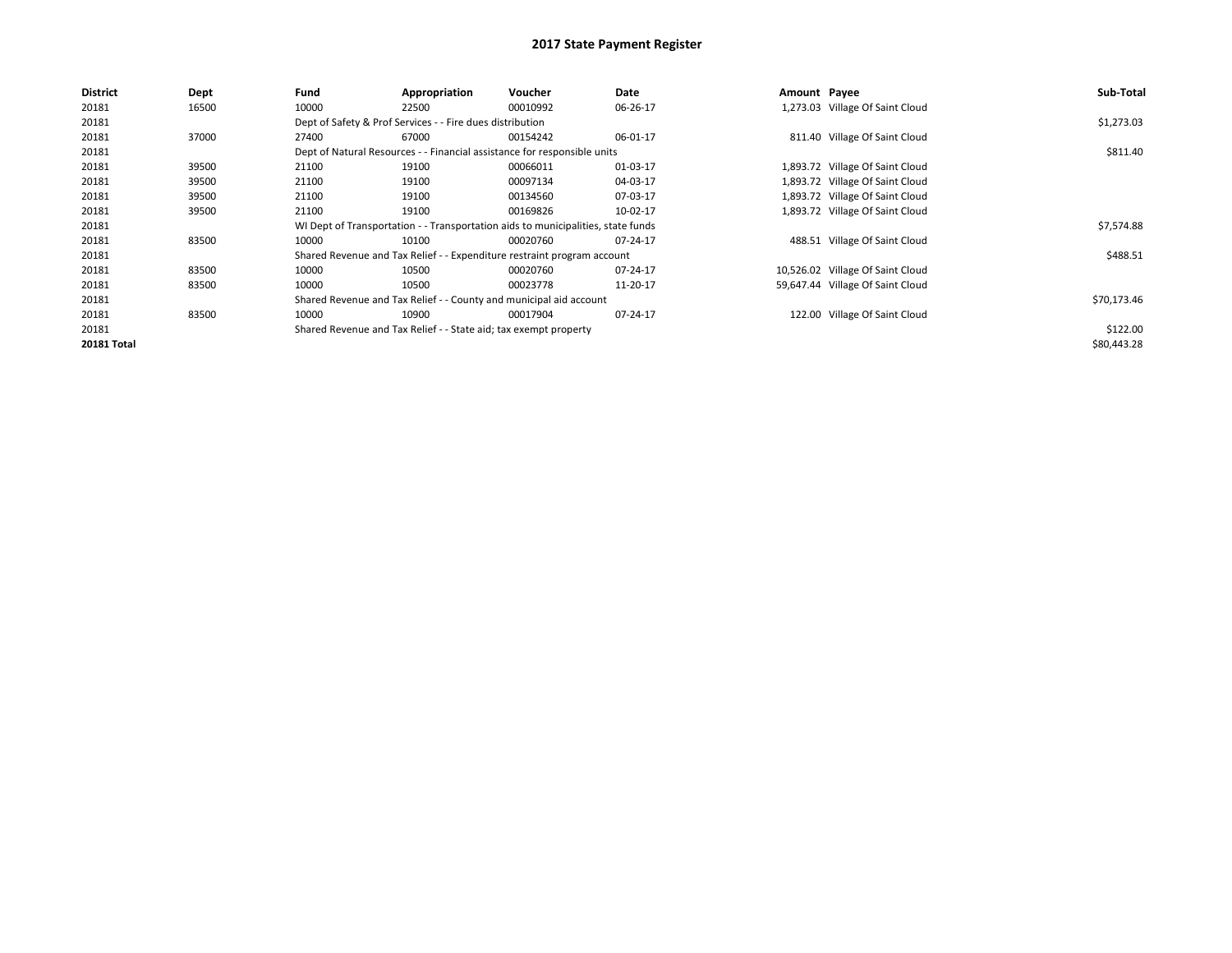| <b>District</b>    | <b>Dept</b> | Fund  | Appropriation                                                    | Voucher                                                                          | Date     | Amount Payee |                                  | Sub-Total   |
|--------------------|-------------|-------|------------------------------------------------------------------|----------------------------------------------------------------------------------|----------|--------------|----------------------------------|-------------|
| 20181              | 16500       | 10000 | 22500                                                            | 00010992                                                                         | 06-26-17 |              | 1,273.03 Village Of Saint Cloud  |             |
| 20181              |             |       | Dept of Safety & Prof Services - - Fire dues distribution        |                                                                                  |          |              |                                  | \$1,273.03  |
| 20181              | 37000       | 27400 | 67000                                                            | 00154242                                                                         | 06-01-17 |              | 811.40 Village Of Saint Cloud    |             |
| 20181              |             |       |                                                                  | Dept of Natural Resources - - Financial assistance for responsible units         |          |              |                                  | \$811.40    |
| 20181              | 39500       | 21100 | 19100                                                            | 00066011                                                                         | 01-03-17 |              | 1,893.72 Village Of Saint Cloud  |             |
| 20181              | 39500       | 21100 | 19100                                                            | 00097134                                                                         | 04-03-17 |              | 1,893.72 Village Of Saint Cloud  |             |
| 20181              | 39500       | 21100 | 19100                                                            | 00134560                                                                         | 07-03-17 |              | 1,893.72 Village Of Saint Cloud  |             |
| 20181              | 39500       | 21100 | 19100                                                            | 00169826                                                                         | 10-02-17 |              | 1,893.72 Village Of Saint Cloud  |             |
| 20181              |             |       |                                                                  | WI Dept of Transportation - - Transportation aids to municipalities, state funds |          |              |                                  | \$7,574.88  |
| 20181              | 83500       | 10000 | 10100                                                            | 00020760                                                                         | 07-24-17 |              | 488.51 Village Of Saint Cloud    |             |
| 20181              |             |       |                                                                  | Shared Revenue and Tax Relief - - Expenditure restraint program account          |          |              |                                  | \$488.51    |
| 20181              | 83500       | 10000 | 10500                                                            | 00020760                                                                         | 07-24-17 |              | 10,526.02 Village Of Saint Cloud |             |
| 20181              | 83500       | 10000 | 10500                                                            | 00023778                                                                         | 11-20-17 |              | 59,647.44 Village Of Saint Cloud |             |
| 20181              |             |       |                                                                  | Shared Revenue and Tax Relief - - County and municipal aid account               |          |              |                                  | \$70,173.46 |
| 20181              | 83500       | 10000 | 10900                                                            | 00017904                                                                         | 07-24-17 |              | 122.00 Village Of Saint Cloud    |             |
| 20181              |             |       | Shared Revenue and Tax Relief - - State aid; tax exempt property |                                                                                  |          |              |                                  | \$122.00    |
| <b>20181 Total</b> |             |       |                                                                  |                                                                                  |          |              |                                  | \$80,443.28 |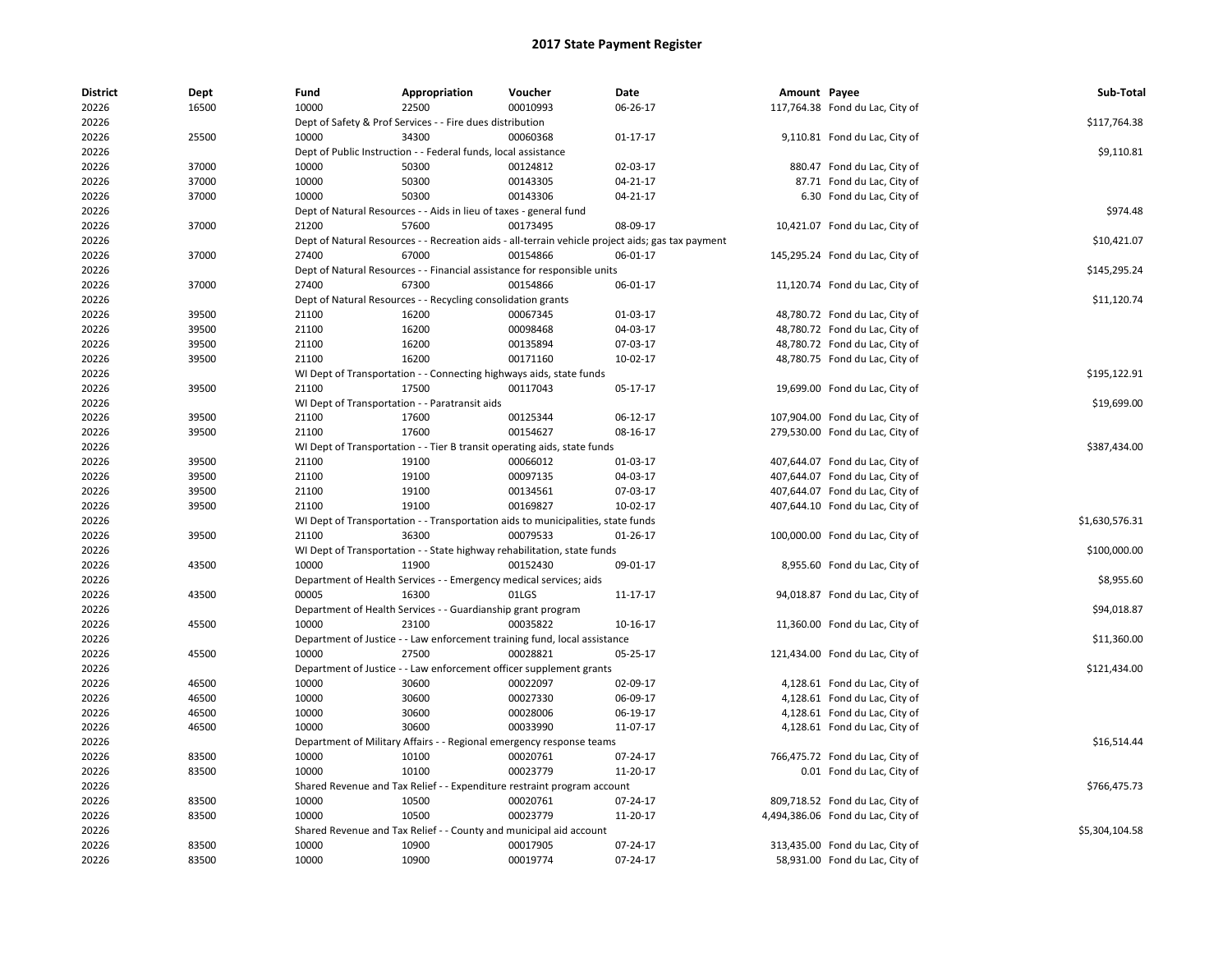| <b>District</b> | Dept  | Fund                                                           | Appropriation                                                      | Voucher                                                                          | Date                                                                                              | Amount Payee |                                   | Sub-Total      |
|-----------------|-------|----------------------------------------------------------------|--------------------------------------------------------------------|----------------------------------------------------------------------------------|---------------------------------------------------------------------------------------------------|--------------|-----------------------------------|----------------|
| 20226           | 16500 | 10000                                                          | 22500                                                              | 00010993                                                                         | 06-26-17                                                                                          |              | 117,764.38 Fond du Lac, City of   |                |
| 20226           |       | Dept of Safety & Prof Services - - Fire dues distribution      | \$117,764.38                                                       |                                                                                  |                                                                                                   |              |                                   |                |
| 20226           | 25500 | 10000                                                          | 34300                                                              | 00060368                                                                         | $01 - 17 - 17$                                                                                    |              | 9,110.81 Fond du Lac, City of     |                |
| 20226           |       | Dept of Public Instruction - - Federal funds, local assistance | \$9,110.81                                                         |                                                                                  |                                                                                                   |              |                                   |                |
| 20226           | 37000 | 10000                                                          | 50300                                                              | 00124812                                                                         | 02-03-17                                                                                          |              | 880.47 Fond du Lac, City of       |                |
| 20226           | 37000 | 10000                                                          | 50300                                                              | 00143305                                                                         | 04-21-17                                                                                          |              | 87.71 Fond du Lac, City of        |                |
| 20226           | 37000 | 10000                                                          | 50300                                                              | 00143306                                                                         | 04-21-17                                                                                          |              | 6.30 Fond du Lac, City of         |                |
| 20226           |       |                                                                | Dept of Natural Resources - - Aids in lieu of taxes - general fund |                                                                                  |                                                                                                   |              |                                   | \$974.48       |
| 20226           | 37000 | 21200                                                          | 57600                                                              | 00173495                                                                         | 08-09-17                                                                                          |              | 10,421.07 Fond du Lac, City of    |                |
| 20226           |       |                                                                |                                                                    |                                                                                  | Dept of Natural Resources - - Recreation aids - all-terrain vehicle project aids; gas tax payment |              |                                   | \$10,421.07    |
| 20226           | 37000 | 27400                                                          | 67000                                                              | 00154866                                                                         | 06-01-17                                                                                          |              | 145,295.24 Fond du Lac, City of   |                |
| 20226           |       |                                                                |                                                                    | Dept of Natural Resources - - Financial assistance for responsible units         |                                                                                                   |              |                                   | \$145,295.24   |
| 20226           | 37000 | 27400                                                          | 67300                                                              | 00154866                                                                         | 06-01-17                                                                                          |              | 11,120.74 Fond du Lac, City of    |                |
| 20226           |       |                                                                | Dept of Natural Resources - - Recycling consolidation grants       |                                                                                  |                                                                                                   |              |                                   | \$11,120.74    |
| 20226           | 39500 | 21100                                                          | 16200                                                              | 00067345                                                                         | 01-03-17                                                                                          |              | 48,780.72 Fond du Lac, City of    |                |
| 20226           | 39500 | 21100                                                          | 16200                                                              | 00098468                                                                         | 04-03-17                                                                                          |              | 48,780.72 Fond du Lac, City of    |                |
| 20226           | 39500 | 21100                                                          | 16200                                                              | 00135894                                                                         | 07-03-17                                                                                          |              | 48,780.72 Fond du Lac, City of    |                |
| 20226           | 39500 | 21100                                                          | 16200                                                              | 00171160                                                                         | 10-02-17                                                                                          |              | 48,780.75 Fond du Lac, City of    |                |
| 20226           |       |                                                                |                                                                    | WI Dept of Transportation - - Connecting highways aids, state funds              |                                                                                                   |              |                                   | \$195,122.91   |
| 20226           | 39500 | 21100                                                          | 17500                                                              | 00117043                                                                         | 05-17-17                                                                                          |              | 19,699.00 Fond du Lac, City of    |                |
| 20226           |       |                                                                | WI Dept of Transportation - - Paratransit aids                     |                                                                                  |                                                                                                   |              |                                   | \$19,699.00    |
| 20226           | 39500 | 21100                                                          | 17600                                                              | 00125344                                                                         | 06-12-17                                                                                          |              | 107,904.00 Fond du Lac, City of   |                |
| 20226           | 39500 | 21100                                                          | 17600                                                              | 00154627                                                                         | 08-16-17                                                                                          |              | 279,530.00 Fond du Lac, City of   |                |
| 20226           |       |                                                                |                                                                    | WI Dept of Transportation - - Tier B transit operating aids, state funds         |                                                                                                   |              |                                   | \$387,434.00   |
| 20226           | 39500 | 21100                                                          | 19100                                                              | 00066012                                                                         | 01-03-17                                                                                          |              | 407,644.07 Fond du Lac, City of   |                |
| 20226           | 39500 | 21100                                                          | 19100                                                              | 00097135                                                                         | 04-03-17                                                                                          |              | 407,644.07 Fond du Lac, City of   |                |
| 20226           | 39500 | 21100                                                          | 19100                                                              | 00134561                                                                         | 07-03-17                                                                                          |              | 407,644.07 Fond du Lac, City of   |                |
| 20226           | 39500 | 21100                                                          | 19100                                                              | 00169827                                                                         | 10-02-17                                                                                          |              | 407,644.10 Fond du Lac, City of   |                |
| 20226           |       |                                                                |                                                                    | WI Dept of Transportation - - Transportation aids to municipalities, state funds |                                                                                                   |              |                                   | \$1,630,576.31 |
| 20226           | 39500 | 21100                                                          | 36300                                                              | 00079533                                                                         | 01-26-17                                                                                          |              | 100,000.00 Fond du Lac, City of   |                |
| 20226           |       |                                                                |                                                                    | WI Dept of Transportation - - State highway rehabilitation, state funds          |                                                                                                   |              |                                   | \$100,000.00   |
| 20226           | 43500 | 10000                                                          | 11900                                                              | 00152430                                                                         | 09-01-17                                                                                          |              | 8,955.60 Fond du Lac, City of     |                |
| 20226           |       |                                                                | Department of Health Services - - Emergency medical services; aids |                                                                                  |                                                                                                   |              |                                   | \$8,955.60     |
| 20226           | 43500 | 00005                                                          | 16300                                                              | 01LGS                                                                            | 11-17-17                                                                                          |              | 94,018.87 Fond du Lac, City of    |                |
| 20226           |       |                                                                | Department of Health Services - - Guardianship grant program       |                                                                                  |                                                                                                   |              |                                   | \$94,018.87    |
| 20226           | 45500 | 10000                                                          | 23100                                                              | 00035822                                                                         | 10-16-17                                                                                          |              | 11,360.00 Fond du Lac, City of    |                |
| 20226           |       |                                                                |                                                                    | Department of Justice - - Law enforcement training fund, local assistance        |                                                                                                   |              |                                   | \$11,360.00    |
| 20226           | 45500 | 10000                                                          | 27500                                                              | 00028821                                                                         | 05-25-17                                                                                          |              | 121,434.00 Fond du Lac, City of   |                |
| 20226           |       |                                                                |                                                                    | Department of Justice - - Law enforcement officer supplement grants              |                                                                                                   |              |                                   | \$121,434.00   |
| 20226           | 46500 | 10000                                                          | 30600                                                              | 00022097                                                                         | 02-09-17                                                                                          |              | 4,128.61 Fond du Lac, City of     |                |
| 20226           | 46500 | 10000                                                          | 30600                                                              | 00027330                                                                         | 06-09-17                                                                                          |              | 4,128.61 Fond du Lac, City of     |                |
| 20226           | 46500 | 10000                                                          | 30600                                                              | 00028006                                                                         | 06-19-17                                                                                          |              | 4,128.61 Fond du Lac, City of     |                |
| 20226           | 46500 | 10000                                                          | 30600                                                              | 00033990                                                                         | 11-07-17                                                                                          |              | 4,128.61 Fond du Lac, City of     |                |
| 20226           |       | Department of Military Affairs                                 |                                                                    | Regional emergency response teams                                                |                                                                                                   |              |                                   | \$16.514.44    |
| 20226           | 83500 | 10000                                                          | 10100                                                              | 00020761                                                                         | 07-24-17                                                                                          |              | 766,475.72 Fond du Lac, City of   |                |
| 20226           | 83500 | 10000                                                          | 10100                                                              | 00023779                                                                         | 11-20-17                                                                                          |              | 0.01 Fond du Lac, City of         |                |
| 20226           |       |                                                                |                                                                    | Shared Revenue and Tax Relief - - Expenditure restraint program account          |                                                                                                   |              |                                   | \$766,475.73   |
| 20226           | 83500 | 10000                                                          | 10500                                                              | 00020761                                                                         | 07-24-17                                                                                          |              | 809,718.52 Fond du Lac, City of   |                |
| 20226           | 83500 | 10000                                                          | 10500                                                              | 00023779                                                                         | 11-20-17                                                                                          |              | 4,494,386.06 Fond du Lac, City of |                |
| 20226           |       |                                                                |                                                                    | Shared Revenue and Tax Relief - - County and municipal aid account               |                                                                                                   |              |                                   | \$5,304,104.58 |
| 20226           | 83500 | 10000                                                          | 10900                                                              | 00017905                                                                         | 07-24-17                                                                                          |              | 313,435.00 Fond du Lac, City of   |                |
| 20226           | 83500 | 10000                                                          | 10900                                                              | 00019774                                                                         | $07 - 24 - 17$                                                                                    |              | 58,931.00 Fond du Lac, City of    |                |
|                 |       |                                                                |                                                                    |                                                                                  |                                                                                                   |              |                                   |                |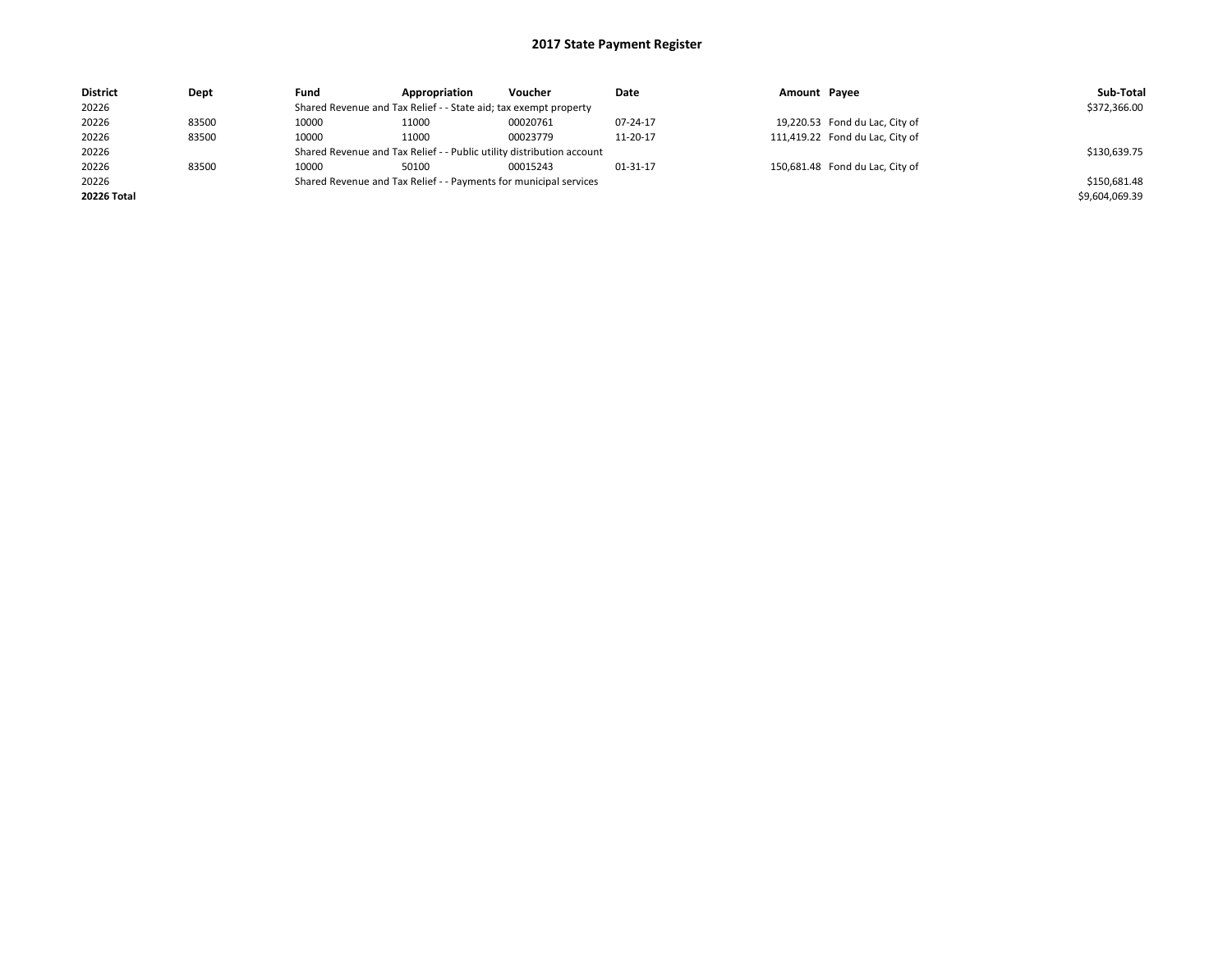| <b>District</b> | Dept  | Fund                                                                  | Appropriation | Voucher      | Date     | Amount Payee |                                 | Sub-Total      |
|-----------------|-------|-----------------------------------------------------------------------|---------------|--------------|----------|--------------|---------------------------------|----------------|
| 20226           |       | Shared Revenue and Tax Relief - - State aid; tax exempt property      |               | \$372,366.00 |          |              |                                 |                |
| 20226           | 83500 | 10000                                                                 | 11000         | 00020761     | 07-24-17 |              | 19,220.53 Fond du Lac, City of  |                |
| 20226           | 83500 | 10000                                                                 | 11000         | 00023779     | 11-20-17 |              | 111,419.22 Fond du Lac, City of |                |
| 20226           |       | Shared Revenue and Tax Relief - - Public utility distribution account |               | \$130,639.75 |          |              |                                 |                |
| 20226           | 83500 | 10000                                                                 | 50100         | 00015243     | 01-31-17 |              | 150,681.48 Fond du Lac, City of |                |
| 20226           |       | Shared Revenue and Tax Relief - - Payments for municipal services     |               | \$150,681.48 |          |              |                                 |                |
| 20226 Total     |       |                                                                       |               |              |          |              |                                 | \$9,604,069.39 |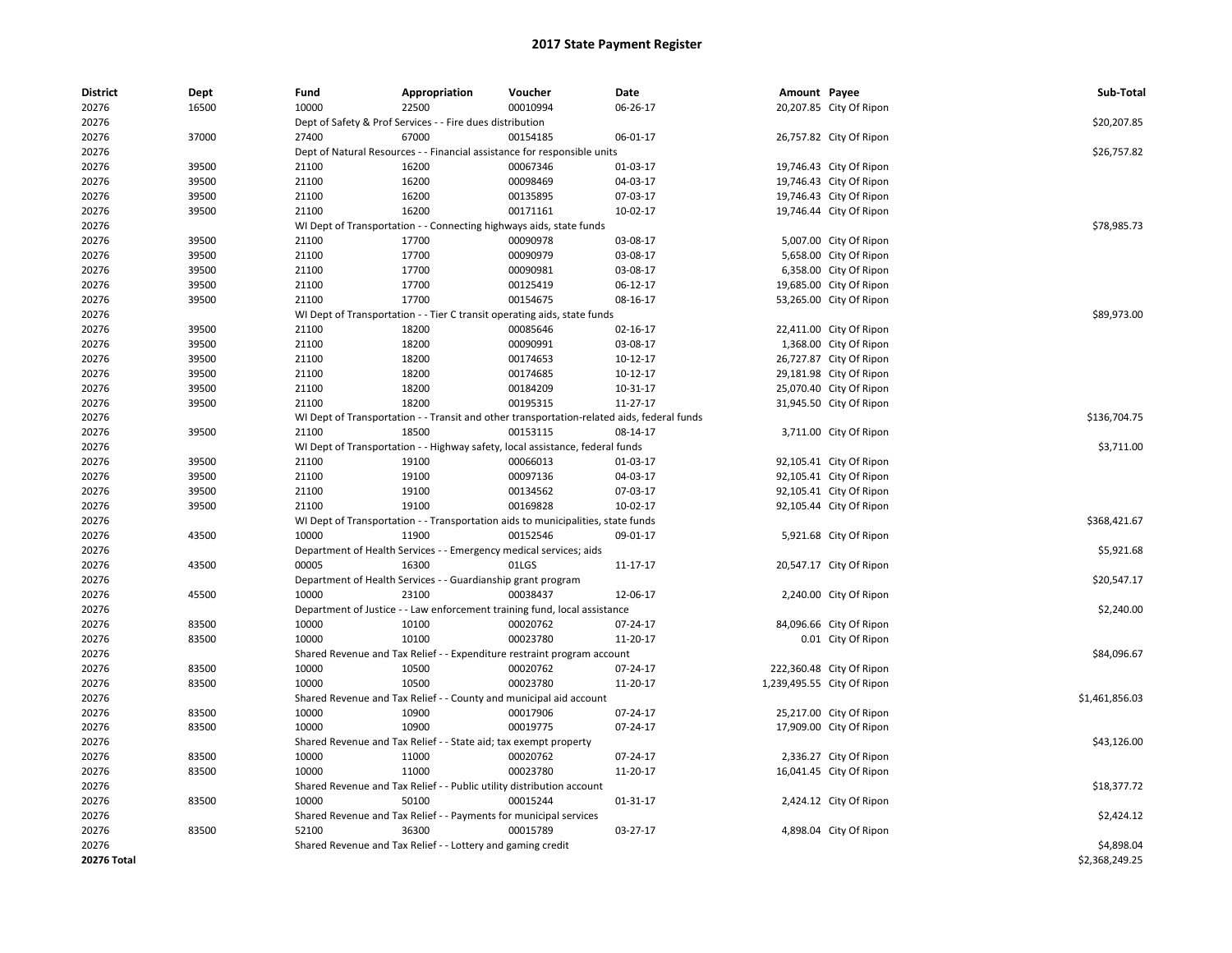| <b>District</b> | Dept  | Fund                                                                     | Appropriation                                                                              | Voucher     | Date           | Amount Payee |                            | Sub-Total      |
|-----------------|-------|--------------------------------------------------------------------------|--------------------------------------------------------------------------------------------|-------------|----------------|--------------|----------------------------|----------------|
| 20276           | 16500 | 10000                                                                    | 22500                                                                                      | 00010994    | 06-26-17       |              | 20,207.85 City Of Ripon    |                |
| 20276           |       | Dept of Safety & Prof Services - - Fire dues distribution                |                                                                                            | \$20,207.85 |                |              |                            |                |
| 20276           | 37000 | 27400                                                                    | 67000                                                                                      | 00154185    | 06-01-17       |              | 26,757.82 City Of Ripon    |                |
| 20276           |       | Dept of Natural Resources - - Financial assistance for responsible units |                                                                                            | \$26,757.82 |                |              |                            |                |
| 20276           | 39500 | 21100                                                                    | 16200                                                                                      | 00067346    | 01-03-17       |              | 19,746.43 City Of Ripon    |                |
| 20276           | 39500 | 21100                                                                    | 16200                                                                                      | 00098469    | 04-03-17       |              | 19,746.43 City Of Ripon    |                |
| 20276           | 39500 | 21100                                                                    | 16200                                                                                      | 00135895    | 07-03-17       |              | 19,746.43 City Of Ripon    |                |
| 20276           | 39500 | 21100                                                                    | 16200                                                                                      | 00171161    | 10-02-17       |              | 19,746.44 City Of Ripon    |                |
| 20276           |       |                                                                          | WI Dept of Transportation - - Connecting highways aids, state funds                        |             |                |              |                            | \$78,985.73    |
| 20276           | 39500 | 21100                                                                    | 17700                                                                                      | 00090978    | 03-08-17       |              | 5,007.00 City Of Ripon     |                |
| 20276           | 39500 | 21100                                                                    | 17700                                                                                      | 00090979    | 03-08-17       |              | 5,658.00 City Of Ripon     |                |
| 20276           | 39500 | 21100                                                                    | 17700                                                                                      | 00090981    | 03-08-17       |              | 6,358.00 City Of Ripon     |                |
| 20276           | 39500 | 21100                                                                    | 17700                                                                                      | 00125419    | 06-12-17       |              | 19,685.00 City Of Ripon    |                |
| 20276           | 39500 | 21100                                                                    | 17700                                                                                      | 00154675    | 08-16-17       |              | 53,265.00 City Of Ripon    |                |
| 20276           |       |                                                                          | WI Dept of Transportation - - Tier C transit operating aids, state funds                   |             |                |              |                            | \$89,973.00    |
| 20276           | 39500 | 21100                                                                    | 18200                                                                                      | 00085646    | 02-16-17       |              | 22,411.00 City Of Ripon    |                |
| 20276           | 39500 | 21100                                                                    | 18200                                                                                      | 00090991    | 03-08-17       |              | 1,368.00 City Of Ripon     |                |
| 20276           | 39500 | 21100                                                                    | 18200                                                                                      | 00174653    | 10-12-17       |              | 26,727.87 City Of Ripon    |                |
| 20276           | 39500 | 21100                                                                    | 18200                                                                                      | 00174685    | 10-12-17       |              | 29,181.98 City Of Ripon    |                |
| 20276           | 39500 | 21100                                                                    | 18200                                                                                      | 00184209    | 10-31-17       |              | 25,070.40 City Of Ripon    |                |
| 20276           | 39500 | 21100                                                                    | 18200                                                                                      | 00195315    | 11-27-17       |              | 31,945.50 City Of Ripon    |                |
| 20276           |       |                                                                          | WI Dept of Transportation - - Transit and other transportation-related aids, federal funds |             |                |              |                            | \$136,704.75   |
| 20276           | 39500 | 21100                                                                    | 18500                                                                                      | 00153115    | 08-14-17       |              | 3,711.00 City Of Ripon     |                |
| 20276           |       |                                                                          | WI Dept of Transportation - - Highway safety, local assistance, federal funds              |             |                |              |                            | \$3,711.00     |
| 20276           | 39500 | 21100                                                                    | 19100                                                                                      | 00066013    | 01-03-17       |              | 92,105.41 City Of Ripon    |                |
| 20276           | 39500 | 21100                                                                    | 19100                                                                                      | 00097136    | 04-03-17       |              | 92,105.41 City Of Ripon    |                |
| 20276           | 39500 | 21100                                                                    | 19100                                                                                      | 00134562    | 07-03-17       |              | 92,105.41 City Of Ripon    |                |
| 20276           | 39500 | 21100                                                                    | 19100                                                                                      | 00169828    | 10-02-17       |              | 92,105.44 City Of Ripon    |                |
| 20276           |       |                                                                          | WI Dept of Transportation - - Transportation aids to municipalities, state funds           |             |                |              |                            | \$368,421.67   |
| 20276           | 43500 | 10000                                                                    | 11900                                                                                      | 00152546    | 09-01-17       |              | 5,921.68 City Of Ripon     |                |
| 20276           |       |                                                                          | Department of Health Services - - Emergency medical services; aids                         |             |                |              |                            | \$5,921.68     |
| 20276           | 43500 | 00005                                                                    | 16300                                                                                      | 01LGS       | 11-17-17       |              | 20,547.17 City Of Ripon    |                |
| 20276           |       |                                                                          | Department of Health Services - - Guardianship grant program                               |             |                |              |                            | \$20,547.17    |
| 20276           | 45500 | 10000                                                                    | 23100                                                                                      | 00038437    | 12-06-17       |              | 2,240.00 City Of Ripon     |                |
| 20276           |       |                                                                          | Department of Justice - - Law enforcement training fund, local assistance                  |             |                |              |                            | \$2,240.00     |
| 20276           | 83500 | 10000                                                                    | 10100                                                                                      | 00020762    | 07-24-17       |              | 84,096.66 City Of Ripon    |                |
| 20276           | 83500 | 10000                                                                    | 10100                                                                                      | 00023780    | 11-20-17       |              | 0.01 City Of Ripon         |                |
| 20276           |       |                                                                          | Shared Revenue and Tax Relief - - Expenditure restraint program account                    |             |                |              |                            | \$84,096.67    |
| 20276           | 83500 | 10000                                                                    | 10500                                                                                      | 00020762    | 07-24-17       |              | 222,360.48 City Of Ripon   |                |
| 20276           | 83500 | 10000                                                                    | 10500                                                                                      | 00023780    | 11-20-17       |              | 1,239,495.55 City Of Ripon |                |
| 20276           |       |                                                                          | Shared Revenue and Tax Relief - - County and municipal aid account                         |             |                |              |                            | \$1,461,856.03 |
| 20276           | 83500 | 10000                                                                    | 10900                                                                                      | 00017906    | 07-24-17       |              | 25,217.00 City Of Ripon    |                |
| 20276           | 83500 | 10000                                                                    | 10900                                                                                      | 00019775    | 07-24-17       |              | 17,909.00 City Of Ripon    |                |
| 20276           |       |                                                                          | Shared Revenue and Tax Relief - - State aid; tax exempt property                           |             |                |              |                            | \$43,126.00    |
| 20276           | 83500 | 10000                                                                    | 11000                                                                                      | 00020762    | 07-24-17       |              | 2,336.27 City Of Ripon     |                |
| 20276           | 83500 | 10000                                                                    | 11000                                                                                      | 00023780    | 11-20-17       |              | 16,041.45 City Of Ripon    |                |
| 20276           |       |                                                                          | Shared Revenue and Tax Relief - - Public utility distribution account                      |             |                |              |                            | \$18,377.72    |
| 20276           | 83500 | 10000                                                                    | 50100                                                                                      | 00015244    | $01 - 31 - 17$ |              | 2,424.12 City Of Ripon     |                |
| 20276           |       |                                                                          | Shared Revenue and Tax Relief - - Payments for municipal services                          |             |                |              |                            | \$2,424.12     |
| 20276           | 83500 | 52100                                                                    | 36300                                                                                      | 00015789    | 03-27-17       |              | 4,898.04 City Of Ripon     |                |
| 20276           |       |                                                                          | Shared Revenue and Tax Relief - - Lottery and gaming credit                                |             |                |              |                            | \$4,898.04     |
| 20276 Total     |       |                                                                          |                                                                                            |             |                |              |                            | \$2,368,249.25 |